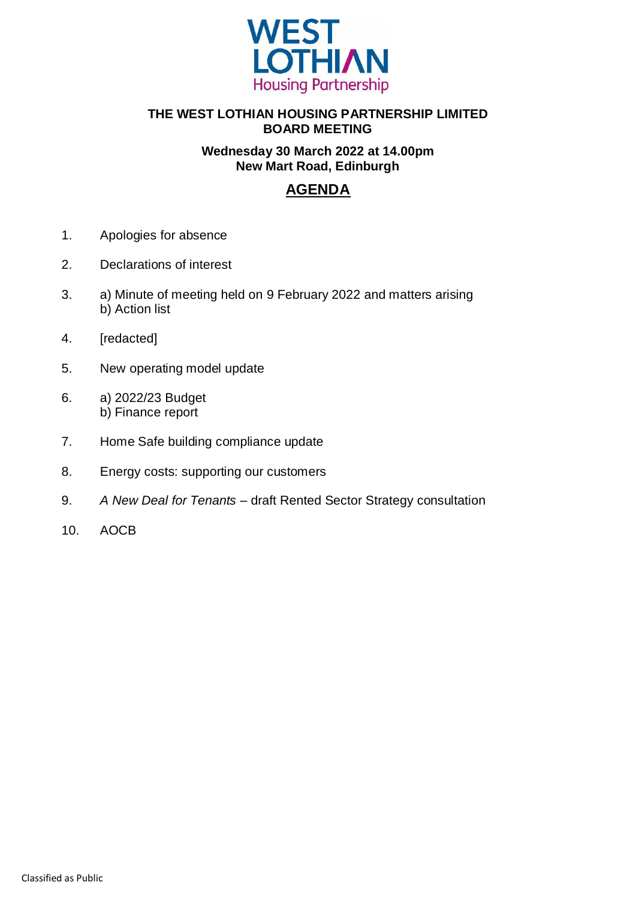

### **THE WEST LOTHIAN HOUSING PARTNERSHIP LIMITED BOARD MEETING**

### **Wednesday 30 March 2022 at 14.00pm New Mart Road, Edinburgh**

## **AGENDA**

- 1. Apologies for absence
- 2. Declarations of interest
- 3. a) Minute of meeting held on 9 February 2022 and matters arising b) Action list
- 4. [redacted]
- 5. New operating model update
- 6. a) 2022/23 Budget b) Finance report
- 7. Home Safe building compliance update
- 8. Energy costs: supporting our customers
- 9. *A New Deal for Tenants* draft Rented Sector Strategy consultation
- 10. AOCB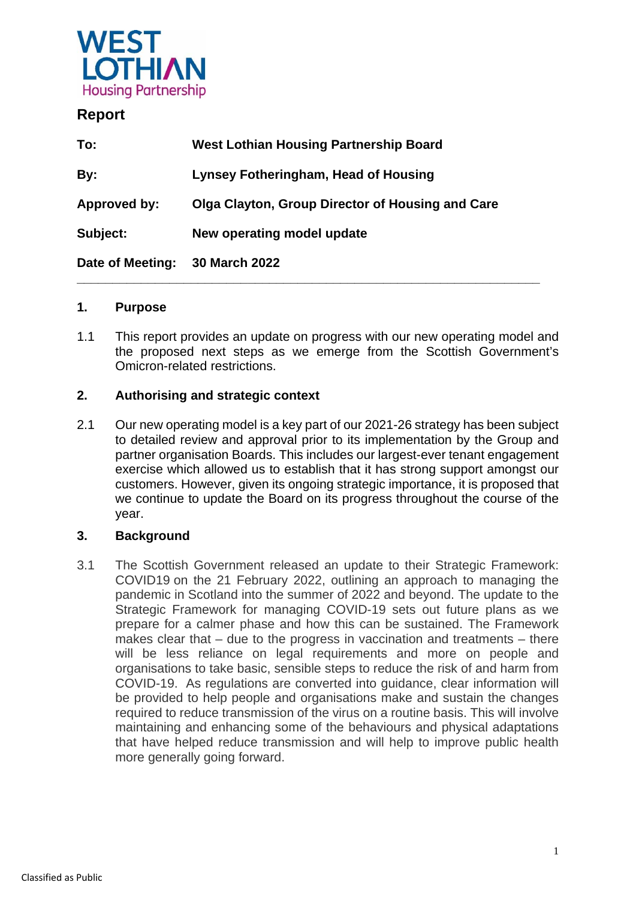

### **Report**

| To:              | <b>West Lothian Housing Partnership Board</b>    |
|------------------|--------------------------------------------------|
| By:              | <b>Lynsey Fotheringham, Head of Housing</b>      |
| Approved by:     | Olga Clayton, Group Director of Housing and Care |
| Subject:         | New operating model update                       |
| Date of Meeting: | 30 March 2022                                    |

### **1. Purpose**

1.1 This report provides an update on progress with our new operating model and the proposed next steps as we emerge from the Scottish Government's Omicron-related restrictions.

### **2. Authorising and strategic context**

2.1 Our new operating model is a key part of our 2021-26 strategy has been subject to detailed review and approval prior to its implementation by the Group and partner organisation Boards. This includes our largest-ever tenant engagement exercise which allowed us to establish that it has strong support amongst our customers. However, given its ongoing strategic importance, it is proposed that we continue to update the Board on its progress throughout the course of the year.

### **3. Background**

3.1 The Scottish Government released an update to their Strategic Framework: COVID19 on the 21 February 2022, outlining an approach to managing the pandemic in Scotland into the summer of 2022 and beyond. The update to the Strategic Framework for managing COVID-19 sets out future plans as we prepare for a calmer phase and how this can be sustained. The Framework makes clear that – due to the progress in vaccination and treatments – there will be less reliance on legal requirements and more on people and organisations to take basic, sensible steps to reduce the risk of and harm from COVID-19. As regulations are converted into guidance, clear information will be provided to help people and organisations make and sustain the changes required to reduce transmission of the virus on a routine basis. This will involve maintaining and enhancing some of the behaviours and physical adaptations that have helped reduce transmission and will help to improve public health more generally going forward.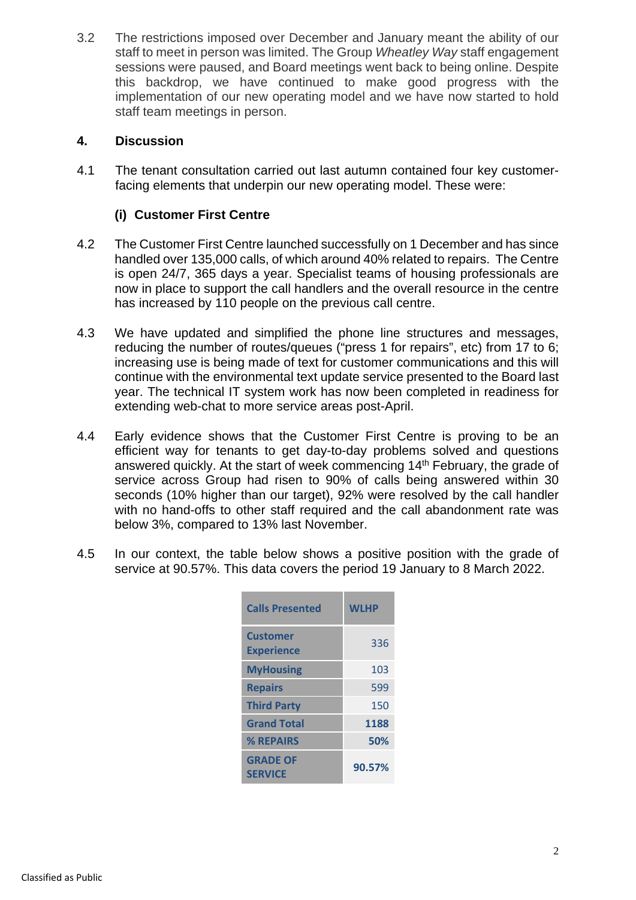3.2 The restrictions imposed over December and January meant the ability of our staff to meet in person was limited. The Group *Wheatley Way* staff engagement sessions were paused, and Board meetings went back to being online. Despite this backdrop, we have continued to make good progress with the implementation of our new operating model and we have now started to hold staff team meetings in person.

### **4. Discussion**

4.1 The tenant consultation carried out last autumn contained four key customerfacing elements that underpin our new operating model. These were:

### **(i) Customer First Centre**

- 4.2 The Customer First Centre launched successfully on 1 December and has since handled over 135,000 calls, of which around 40% related to repairs. The Centre is open 24/7, 365 days a year. Specialist teams of housing professionals are now in place to support the call handlers and the overall resource in the centre has increased by 110 people on the previous call centre.
- 4.3 We have updated and simplified the phone line structures and messages, reducing the number of routes/queues ("press 1 for repairs", etc) from 17 to 6; increasing use is being made of text for customer communications and this will continue with the environmental text update service presented to the Board last year. The technical IT system work has now been completed in readiness for extending web-chat to more service areas post-April.
- 4.4 Early evidence shows that the Customer First Centre is proving to be an efficient way for tenants to get day-to-day problems solved and questions answered quickly. At the start of week commencing 14<sup>th</sup> February, the grade of service across Group had risen to 90% of calls being answered within 30 seconds (10% higher than our target), 92% were resolved by the call handler with no hand-offs to other staff required and the call abandonment rate was below 3%, compared to 13% last November.
- 4.5 In our context, the table below shows a positive position with the grade of service at 90.57%. This data covers the period 19 January to 8 March 2022.

| <b>Calls Presented</b>               | <b>WLHP</b> |
|--------------------------------------|-------------|
| <b>Customer</b><br><b>Experience</b> | 336         |
| <b>MyHousing</b>                     | 103         |
| <b>Repairs</b>                       | 599         |
| <b>Third Party</b>                   | 150         |
| <b>Grand Total</b>                   | 1188        |
| % REPAIRS                            | 50%         |
| <b>GRADE OF</b><br><b>SERVICE</b>    | 90.57%      |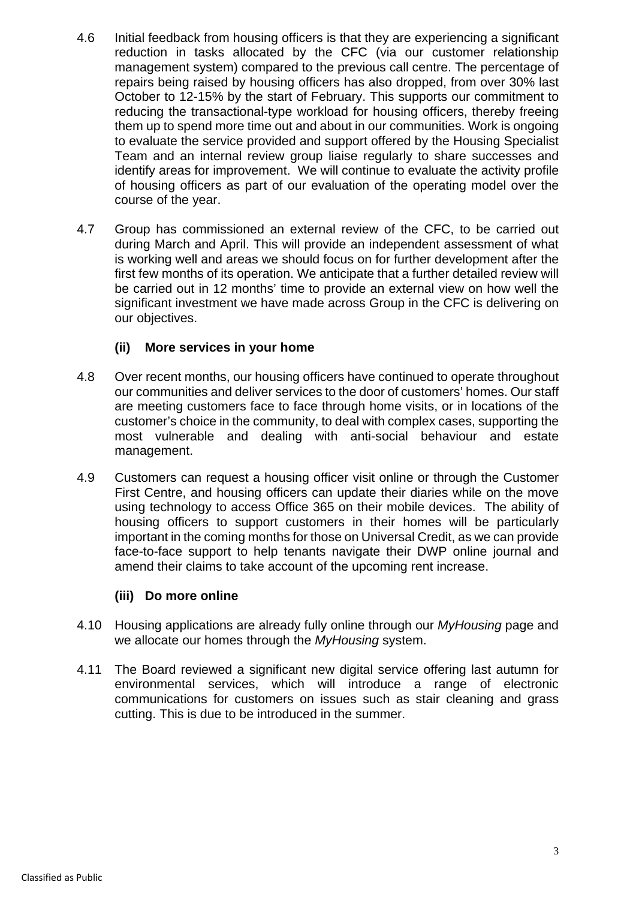- 4.6 Initial feedback from housing officers is that they are experiencing a significant reduction in tasks allocated by the CFC (via our customer relationship management system) compared to the previous call centre. The percentage of repairs being raised by housing officers has also dropped, from over 30% last October to 12-15% by the start of February. This supports our commitment to reducing the transactional-type workload for housing officers, thereby freeing them up to spend more time out and about in our communities. Work is ongoing to evaluate the service provided and support offered by the Housing Specialist Team and an internal review group liaise regularly to share successes and identify areas for improvement. We will continue to evaluate the activity profile of housing officers as part of our evaluation of the operating model over the course of the year.
- 4.7 Group has commissioned an external review of the CFC, to be carried out during March and April. This will provide an independent assessment of what is working well and areas we should focus on for further development after the first few months of its operation. We anticipate that a further detailed review will be carried out in 12 months' time to provide an external view on how well the significant investment we have made across Group in the CFC is delivering on our objectives.

### **(ii) More services in your home**

- 4.8 Over recent months, our housing officers have continued to operate throughout our communities and deliver services to the door of customers' homes. Our staff are meeting customers face to face through home visits, or in locations of the customer's choice in the community, to deal with complex cases, supporting the most vulnerable and dealing with anti-social behaviour and estate management.
- 4.9 Customers can request a housing officer visit online or through the Customer First Centre, and housing officers can update their diaries while on the move using technology to access Office 365 on their mobile devices. The ability of housing officers to support customers in their homes will be particularly important in the coming months for those on Universal Credit, as we can provide face-to-face support to help tenants navigate their DWP online journal and amend their claims to take account of the upcoming rent increase.

### **(iii) Do more online**

- 4.10 Housing applications are already fully online through our *MyHousing* page and we allocate our homes through the *MyHousing* system.
- 4.11 The Board reviewed a significant new digital service offering last autumn for environmental services, which will introduce a range of electronic communications for customers on issues such as stair cleaning and grass cutting. This is due to be introduced in the summer.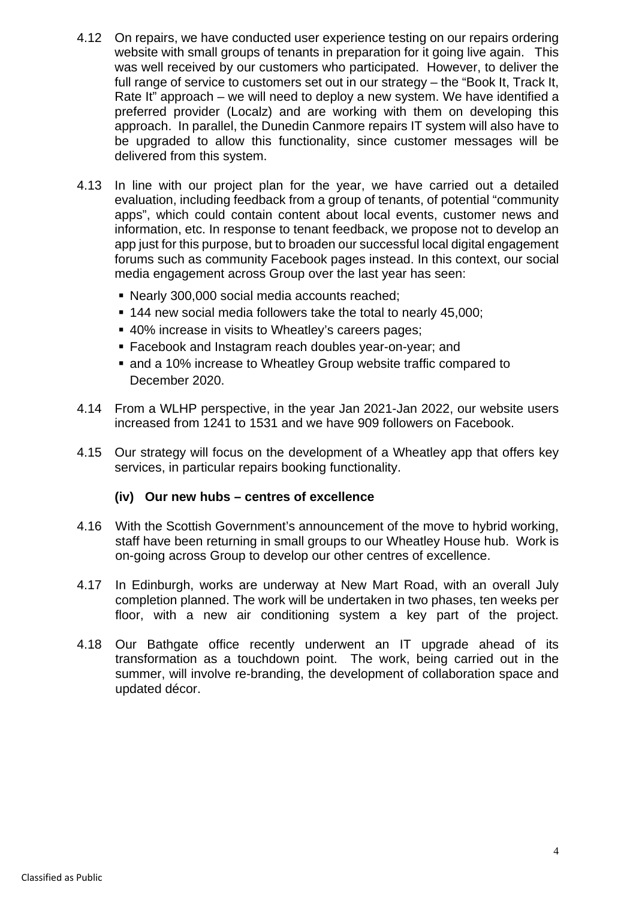- 4.12 On repairs, we have conducted user experience testing on our repairs ordering website with small groups of tenants in preparation for it going live again. This was well received by our customers who participated. However, to deliver the full range of service to customers set out in our strategy – the "Book It, Track It, Rate It" approach – we will need to deploy a new system. We have identified a preferred provider (Localz) and are working with them on developing this approach. In parallel, the Dunedin Canmore repairs IT system will also have to be upgraded to allow this functionality, since customer messages will be delivered from this system.
- 4.13 In line with our project plan for the year, we have carried out a detailed evaluation, including feedback from a group of tenants, of potential "community apps", which could contain content about local events, customer news and information, etc. In response to tenant feedback, we propose not to develop an app just for this purpose, but to broaden our successful local digital engagement forums such as community Facebook pages instead. In this context, our social media engagement across Group over the last year has seen:
	- Nearly 300,000 social media accounts reached;
	- 144 new social media followers take the total to nearly 45,000;
	- 40% increase in visits to Wheatley's careers pages;
	- Facebook and Instagram reach doubles year-on-year; and
	- and a 10% increase to Wheatley Group website traffic compared to December 2020.
- 4.14 From a WLHP perspective, in the year Jan 2021-Jan 2022, our website users increased from 1241 to 1531 and we have 909 followers on Facebook.
- 4.15 Our strategy will focus on the development of a Wheatley app that offers key services, in particular repairs booking functionality.

### **(iv) Our new hubs – centres of excellence**

- 4.16 With the Scottish Government's announcement of the move to hybrid working, staff have been returning in small groups to our Wheatley House hub. Work is on-going across Group to develop our other centres of excellence.
- 4.17 In Edinburgh, works are underway at New Mart Road, with an overall July completion planned. The work will be undertaken in two phases, ten weeks per floor, with a new air conditioning system a key part of the project.
- 4.18 Our Bathgate office recently underwent an IT upgrade ahead of its transformation as a touchdown point. The work, being carried out in the summer, will involve re-branding, the development of collaboration space and updated décor.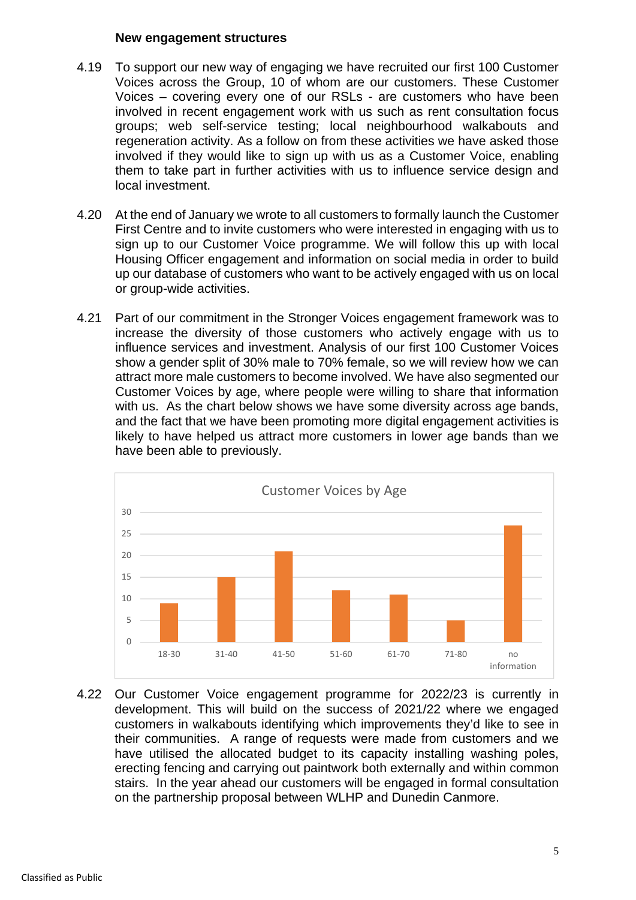### **New engagement structures**

- 4.19 To support our new way of engaging we have recruited our first 100 Customer Voices across the Group, 10 of whom are our customers. These Customer Voices – covering every one of our RSLs - are customers who have been involved in recent engagement work with us such as rent consultation focus groups; web self-service testing; local neighbourhood walkabouts and regeneration activity. As a follow on from these activities we have asked those involved if they would like to sign up with us as a Customer Voice, enabling them to take part in further activities with us to influence service design and local investment.
- 4.20 At the end of January we wrote to all customers to formally launch the Customer First Centre and to invite customers who were interested in engaging with us to sign up to our Customer Voice programme. We will follow this up with local Housing Officer engagement and information on social media in order to build up our database of customers who want to be actively engaged with us on local or group-wide activities.
- 4.21 Part of our commitment in the Stronger Voices engagement framework was to increase the diversity of those customers who actively engage with us to influence services and investment. Analysis of our first 100 Customer Voices show a gender split of 30% male to 70% female, so we will review how we can attract more male customers to become involved. We have also segmented our Customer Voices by age, where people were willing to share that information with us. As the chart below shows we have some diversity across age bands, and the fact that we have been promoting more digital engagement activities is likely to have helped us attract more customers in lower age bands than we have been able to previously.



4.22 Our Customer Voice engagement programme for 2022/23 is currently in development. This will build on the success of 2021/22 where we engaged customers in walkabouts identifying which improvements they'd like to see in their communities. A range of requests were made from customers and we have utilised the allocated budget to its capacity installing washing poles, erecting fencing and carrying out paintwork both externally and within common stairs. In the year ahead our customers will be engaged in formal consultation on the partnership proposal between WLHP and Dunedin Canmore.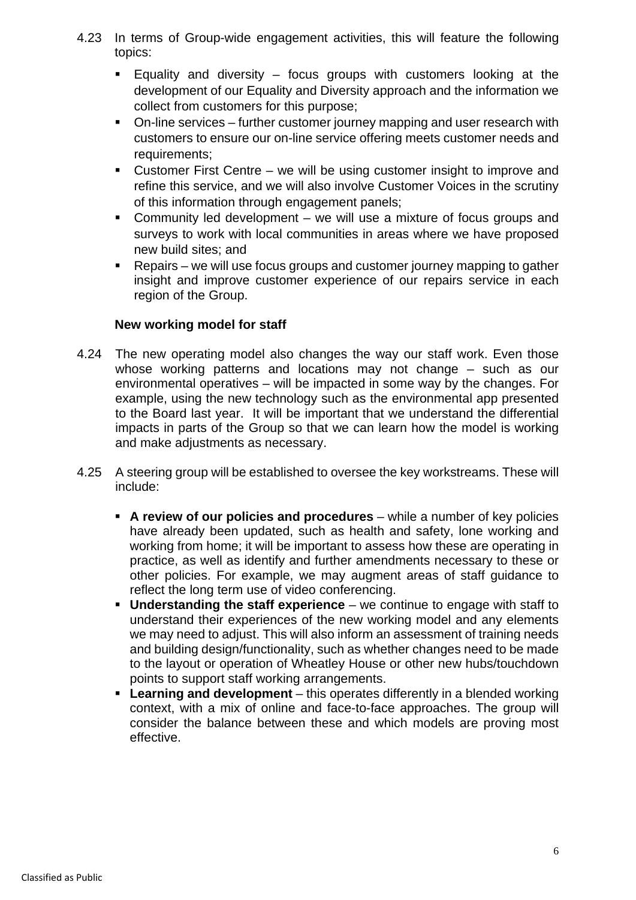- 4.23 In terms of Group-wide engagement activities, this will feature the following topics:
	- Equality and diversity focus groups with customers looking at the development of our Equality and Diversity approach and the information we collect from customers for this purpose;
	- On-line services further customer journey mapping and user research with customers to ensure our on-line service offering meets customer needs and requirements;
	- Customer First Centre we will be using customer insight to improve and refine this service, and we will also involve Customer Voices in the scrutiny of this information through engagement panels;
	- Community led development we will use a mixture of focus groups and surveys to work with local communities in areas where we have proposed new build sites; and
	- Repairs we will use focus groups and customer journey mapping to gather insight and improve customer experience of our repairs service in each region of the Group.

### **New working model for staff**

- 4.24 The new operating model also changes the way our staff work. Even those whose working patterns and locations may not change – such as our environmental operatives – will be impacted in some way by the changes. For example, using the new technology such as the environmental app presented to the Board last year. It will be important that we understand the differential impacts in parts of the Group so that we can learn how the model is working and make adjustments as necessary.
- 4.25 A steering group will be established to oversee the key workstreams. These will include:
	- **A review of our policies and procedures** while a number of key policies have already been updated, such as health and safety, lone working and working from home; it will be important to assess how these are operating in practice, as well as identify and further amendments necessary to these or other policies. For example, we may augment areas of staff guidance to reflect the long term use of video conferencing.
	- **Understanding the staff experience** we continue to engage with staff to understand their experiences of the new working model and any elements we may need to adjust. This will also inform an assessment of training needs and building design/functionality, such as whether changes need to be made to the layout or operation of Wheatley House or other new hubs/touchdown points to support staff working arrangements.
	- **Learning and development** this operates differently in a blended working context, with a mix of online and face-to-face approaches. The group will consider the balance between these and which models are proving most effective.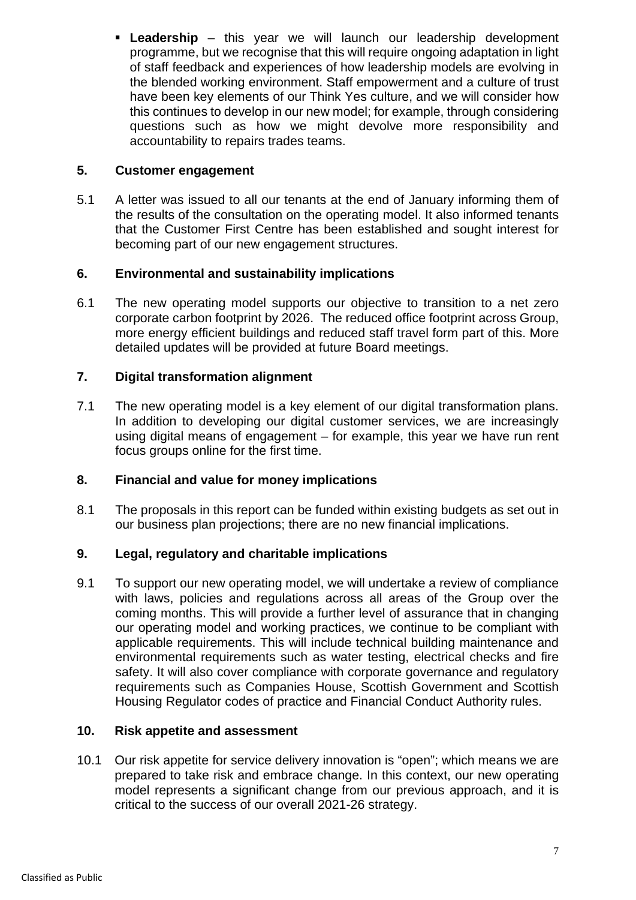**Leadership** – this year we will launch our leadership development programme, but we recognise that this will require ongoing adaptation in light of staff feedback and experiences of how leadership models are evolving in the blended working environment. Staff empowerment and a culture of trust have been key elements of our Think Yes culture, and we will consider how this continues to develop in our new model; for example, through considering questions such as how we might devolve more responsibility and accountability to repairs trades teams.

### **5. Customer engagement**

5.1 A letter was issued to all our tenants at the end of January informing them of the results of the consultation on the operating model. It also informed tenants that the Customer First Centre has been established and sought interest for becoming part of our new engagement structures.

### **6. Environmental and sustainability implications**

6.1 The new operating model supports our objective to transition to a net zero corporate carbon footprint by 2026. The reduced office footprint across Group, more energy efficient buildings and reduced staff travel form part of this. More detailed updates will be provided at future Board meetings.

### **7. Digital transformation alignment**

7.1 The new operating model is a key element of our digital transformation plans. In addition to developing our digital customer services, we are increasingly using digital means of engagement – for example, this year we have run rent focus groups online for the first time.

### **8. Financial and value for money implications**

8.1 The proposals in this report can be funded within existing budgets as set out in our business plan projections; there are no new financial implications.

### **9. Legal, regulatory and charitable implications**

9.1 To support our new operating model, we will undertake a review of compliance with laws, policies and regulations across all areas of the Group over the coming months. This will provide a further level of assurance that in changing our operating model and working practices, we continue to be compliant with applicable requirements. This will include technical building maintenance and environmental requirements such as water testing, electrical checks and fire safety. It will also cover compliance with corporate governance and regulatory requirements such as Companies House, Scottish Government and Scottish Housing Regulator codes of practice and Financial Conduct Authority rules.

### **10. Risk appetite and assessment**

10.1 Our risk appetite for service delivery innovation is "open"; which means we are prepared to take risk and embrace change. In this context, our new operating model represents a significant change from our previous approach, and it is critical to the success of our overall 2021-26 strategy.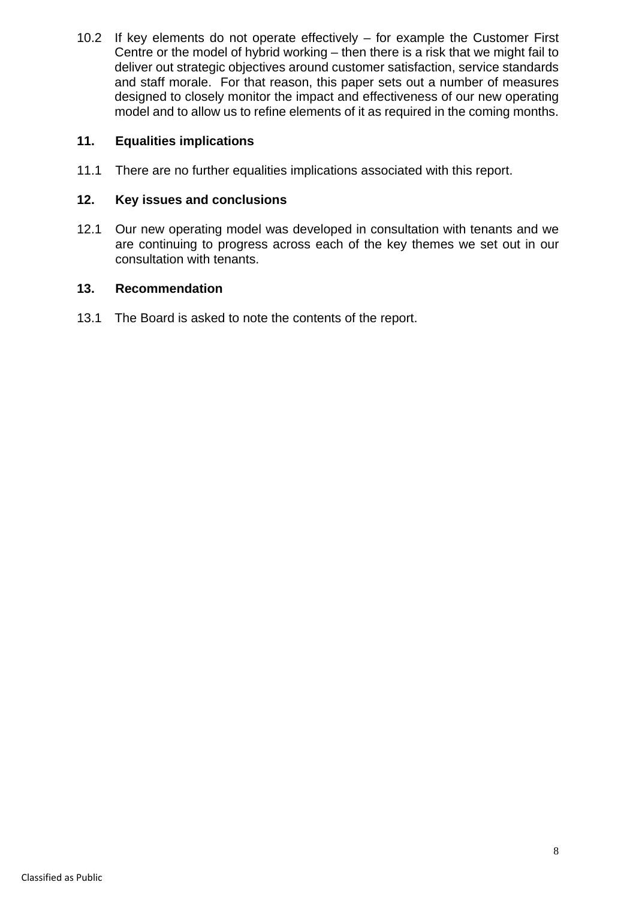10.2 If key elements do not operate effectively – for example the Customer First Centre or the model of hybrid working – then there is a risk that we might fail to deliver out strategic objectives around customer satisfaction, service standards and staff morale. For that reason, this paper sets out a number of measures designed to closely monitor the impact and effectiveness of our new operating model and to allow us to refine elements of it as required in the coming months.

### **11. Equalities implications**

11.1 There are no further equalities implications associated with this report.

### **12. Key issues and conclusions**

12.1 Our new operating model was developed in consultation with tenants and we are continuing to progress across each of the key themes we set out in our consultation with tenants.

### **13. Recommendation**

13.1 The Board is asked to note the contents of the report.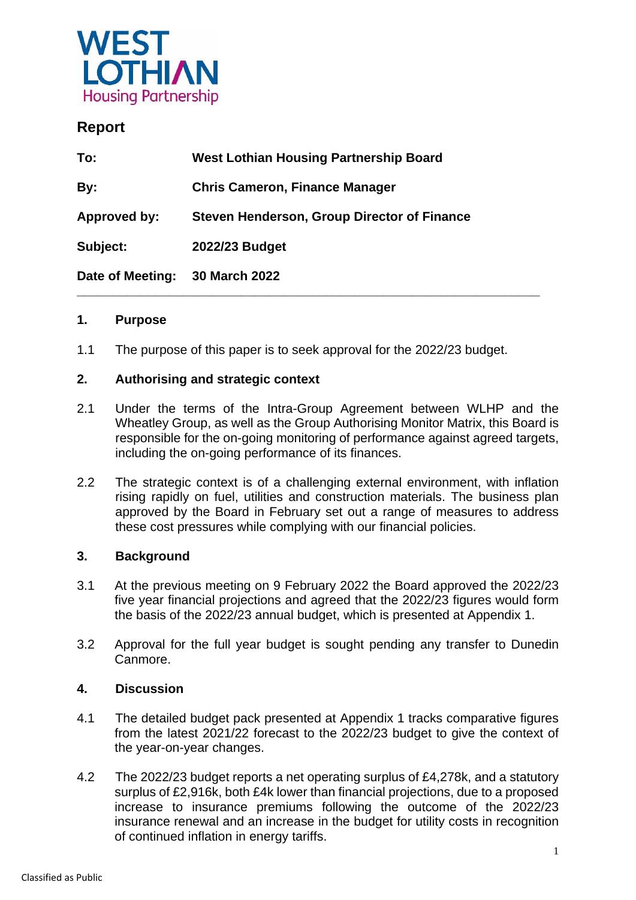

## **Report**

| To:              | <b>West Lothian Housing Partnership Board</b> |
|------------------|-----------------------------------------------|
| By:              | <b>Chris Cameron, Finance Manager</b>         |
| Approved by:     | Steven Henderson, Group Director of Finance   |
| Subject:         | 2022/23 Budget                                |
| Date of Meeting: | <b>30 March 2022</b>                          |

### **1. Purpose**

1.1 The purpose of this paper is to seek approval for the 2022/23 budget.

### **2. Authorising and strategic context**

- 2.1 Under the terms of the Intra-Group Agreement between WLHP and the Wheatley Group, as well as the Group Authorising Monitor Matrix, this Board is responsible for the on-going monitoring of performance against agreed targets, including the on-going performance of its finances.
- 2.2 The strategic context is of a challenging external environment, with inflation rising rapidly on fuel, utilities and construction materials. The business plan approved by the Board in February set out a range of measures to address these cost pressures while complying with our financial policies.

### **3. Background**

- 3.1 At the previous meeting on 9 February 2022 the Board approved the 2022/23 five year financial projections and agreed that the 2022/23 figures would form the basis of the 2022/23 annual budget, which is presented at Appendix 1.
- 3.2 Approval for the full year budget is sought pending any transfer to Dunedin Canmore.

### **4. Discussion**

- 4.1 The detailed budget pack presented at Appendix 1 tracks comparative figures from the latest 2021/22 forecast to the 2022/23 budget to give the context of the year-on-year changes.
- 4.2 The 2022/23 budget reports a net operating surplus of £4,278k, and a statutory surplus of £2,916k, both £4k lower than financial projections, due to a proposed increase to insurance premiums following the outcome of the 2022/23 insurance renewal and an increase in the budget for utility costs in recognition of continued inflation in energy tariffs.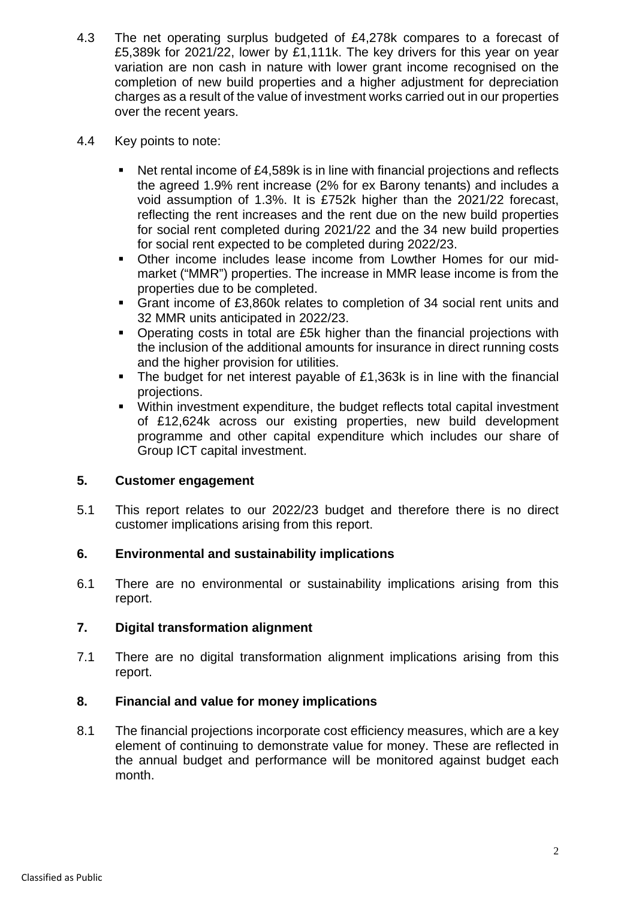- 4.3 The net operating surplus budgeted of £4,278k compares to a forecast of £5,389k for 2021/22, lower by £1,111k. The key drivers for this year on year variation are non cash in nature with lower grant income recognised on the completion of new build properties and a higher adjustment for depreciation charges as a result of the value of investment works carried out in our properties over the recent years.
- 4.4 Key points to note:
	- Net rental income of £4,589k is in line with financial projections and reflects the agreed 1.9% rent increase (2% for ex Barony tenants) and includes a void assumption of 1.3%. It is £752k higher than the 2021/22 forecast, reflecting the rent increases and the rent due on the new build properties for social rent completed during 2021/22 and the 34 new build properties for social rent expected to be completed during 2022/23.
	- Other income includes lease income from Lowther Homes for our midmarket ("MMR") properties. The increase in MMR lease income is from the properties due to be completed.
	- Grant income of £3,860k relates to completion of 34 social rent units and 32 MMR units anticipated in 2022/23.
	- Operating costs in total are £5k higher than the financial projections with the inclusion of the additional amounts for insurance in direct running costs and the higher provision for utilities.
	- The budget for net interest payable of £1,363k is in line with the financial projections.
	- Within investment expenditure, the budget reflects total capital investment of £12,624k across our existing properties, new build development programme and other capital expenditure which includes our share of Group ICT capital investment.

### **5. Customer engagement**

5.1 This report relates to our 2022/23 budget and therefore there is no direct customer implications arising from this report.

### **6. Environmental and sustainability implications**

6.1 There are no environmental or sustainability implications arising from this report.

### **7. Digital transformation alignment**

7.1 There are no digital transformation alignment implications arising from this report.

### **8. Financial and value for money implications**

8.1 The financial projections incorporate cost efficiency measures, which are a key element of continuing to demonstrate value for money. These are reflected in the annual budget and performance will be monitored against budget each month.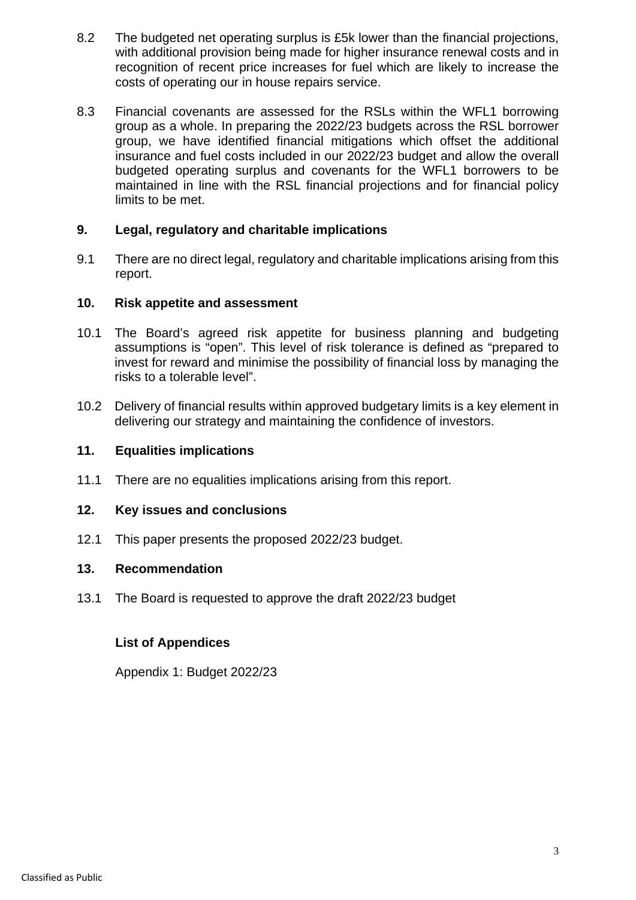- 8.2 The budgeted net operating surplus is £5k lower than the financial projections, with additional provision being made for higher insurance renewal costs and in recognition of recent price increases for fuel which are likely to increase the costs of operating our in house repairs service.
- 8.3 Financial covenants are assessed for the RSLs within the WFL1 borrowing group as a whole. In preparing the 2022/23 budgets across the RSL borrower group, we have identified financial mitigations which offset the additional insurance and fuel costs included in our 2022/23 budget and allow the overall budgeted operating surplus and covenants for the WFL1 borrowers to be maintained in line with the RSL financial projections and for financial policy limits to be met.

### **9. Legal, regulatory and charitable implications**

9.1 There are no direct legal, regulatory and charitable implications arising from this report.

### **10. Risk appetite and assessment**

- 10.1 The Board's agreed risk appetite for business planning and budgeting assumptions is "open". This level of risk tolerance is defined as "prepared to invest for reward and minimise the possibility of financial loss by managing the risks to a tolerable level".
- 10.2 Delivery of financial results within approved budgetary limits is a key element in delivering our strategy and maintaining the confidence of investors.

### **11. Equalities implications**

11.1 There are no equalities implications arising from this report.

### **12. Key issues and conclusions**

12.1 This paper presents the proposed 2022/23 budget.

### **13. Recommendation**

13.1 The Board is requested to approve the draft 2022/23 budget

### **List of Appendices**

Appendix 1: Budget 2022/23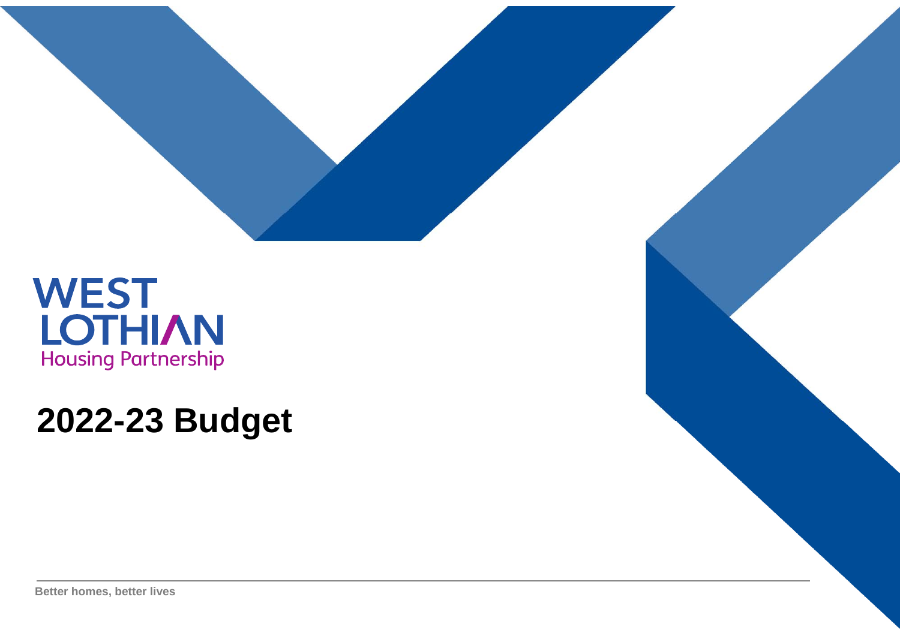

# **2022-23 Budget**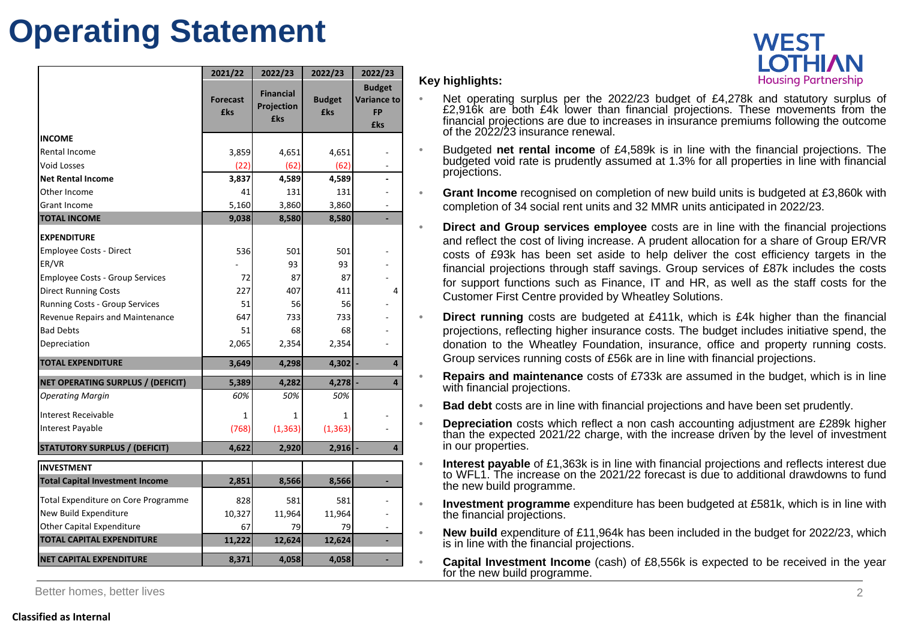# **Operating Statement**

| <b>WEST</b> |                            |
|-------------|----------------------------|
|             | <b>LOTHIAN</b>             |
|             | <b>Housing Partnership</b> |

|                                        | 2021/22                       | 2022/23                                      | 2022/23                     | 2022/23                                                 |
|----------------------------------------|-------------------------------|----------------------------------------------|-----------------------------|---------------------------------------------------------|
|                                        | <b>Forecast</b><br><b>£ks</b> | <b>Financial</b><br>Projection<br><b>£ks</b> | <b>Budget</b><br><b>£ks</b> | <b>Budget</b><br><b>Variance to</b><br><b>FP</b><br>£ks |
| <b>INCOME</b>                          |                               |                                              |                             |                                                         |
| Rental Income                          | 3,859                         | 4,651                                        | 4,651                       |                                                         |
| <b>Void Losses</b>                     | (22)                          | (62)                                         | (62)                        |                                                         |
| <b>Net Rental Income</b>               | 3,837                         | 4,589                                        | 4,589                       |                                                         |
| Other Income                           | 41                            | 131                                          | 131                         |                                                         |
| <b>Grant Income</b>                    | 5,160                         | 3,860                                        | 3,860                       |                                                         |
| <b>TOTAL INCOME</b>                    | 9,038                         | 8,580                                        | 8,580                       |                                                         |
| <b>EXPENDITURE</b>                     |                               |                                              |                             |                                                         |
| Employee Costs - Direct                | 536                           | 501                                          | 501                         |                                                         |
| ER/VR                                  |                               | 93                                           | 93                          |                                                         |
| <b>Employee Costs - Group Services</b> | 72                            | 87                                           | 87                          |                                                         |
| <b>Direct Running Costs</b>            | 227                           | 407                                          | 411                         | 4                                                       |
| Running Costs - Group Services         | 51                            | 56                                           | 56                          |                                                         |
| Revenue Repairs and Maintenance        | 647                           | 733                                          | 733                         |                                                         |
| <b>Bad Debts</b>                       | 51                            | 68                                           | 68                          |                                                         |
| Depreciation                           | 2,065                         | 2,354                                        | 2,354                       |                                                         |
| <b>TOTAL EXPENDITURE</b>               | 3,649                         | 4,298                                        | $4,302$ -                   | 4                                                       |
| NET OPERATING SURPLUS / (DEFICIT)      | 5,389                         | 4,282                                        | $4,278$ -                   | 4                                                       |
| <b>Operating Margin</b>                | 60%                           | 50%                                          | 50%                         |                                                         |
| <b>Interest Receivable</b>             | 1                             | 1                                            | 1                           |                                                         |
| Interest Payable                       | (768)                         | (1, 363)                                     | (1, 363)                    |                                                         |
| <b>STATUTORY SURPLUS / (DEFICIT)</b>   | 4,622                         | 2,920                                        | $2,916$ -                   | 4                                                       |
| <b>INVESTMENT</b>                      |                               |                                              |                             |                                                         |
| <b>Total Capital Investment Income</b> | 2,851                         | 8,566                                        | 8,566                       | ÷,                                                      |
| Total Expenditure on Core Programme    | 828                           | 581                                          | 581                         |                                                         |
| New Build Expenditure                  | 10,327                        | 11,964                                       | 11,964                      |                                                         |
| <b>Other Capital Expenditure</b>       | 67                            | 79                                           | 79                          |                                                         |
| <b>TOTAL CAPITAL EXPENDITURE</b>       | 11,222                        | 12,624                                       | 12,624                      | ÷                                                       |
| <b>NET CAPITAL EXPENDITURE</b>         | 8.371                         | 4.058                                        | 4.058                       |                                                         |

### **Key highlights:**

•

•

•

•

•

•

•

•

•

•

•

•

- Net operating surplus per the 2022/23 budget of £4,278k and statutory surplus of £2,916k are both £4k lower than financial projections. These movements from the financial projections are due to increases in insurance premiums following the outcome of the 2022/23 insurance renewal.
- Budgeted **net rental income** of £4,589k is in line with the financial projections. The budgeted void rate is prudently assumed at 1.3% for all properties in line with financial projections.
- **Grant Income** recognised on completion of new build units is budgeted at £3,860k with completion of 34 social rent units and 32 MMR units anticipated in 2022/23.
	- **Direct and Group services employee** costs are in line with the financial projections and reflect the cost of living increase. A prudent allocation for <sup>a</sup> share of Group ER/VR costs of £93k has been set aside to help deliver the cost efficiency targets in the financial projections through staff savings. Group services of £87k includes the costs for support functions such as Finance, IT and HR, as well as the staff costs for the Customer First Centre provided by Wheatley Solutions.
	- **Direct running** costs are budgeted at £411k, which is £4k higher than the financial projections, reflecting higher insurance costs. The budget includes initiative spend, the donation to the Wheatley Foundation, insurance, office and property running costs. Group services running costs of £56k are in line with financial projections.
	- **Repairs and maintenance** costs of £733k are assumed in the budget, which is in line with financial projections.
	- **Bad debt** costs are in line with financial projections and have been set prudently.
	- **Depreciation** costs which reflect <sup>a</sup> non cash accounting adjustment are £289k higher than the expected 2021/22 charge, with the increase driven by the level of investment in our properties.
	- **Interest payable** of £1,363k is in line with financial projections and reflects interest due to WFL1. The increase on the 2021/22 forecast is due to additional drawdowns to fundthe new build programme.
	- **Investment programme** expenditure has been budgeted at £581k, which is in line with the financial projections.
- **New build** expenditure of £11,964k has been included in the budget for 2022/23, which is in line with the financial projections.
	- **Capital Investment Income** (cash) of £8,556k is expected to be received in the year for the new build programme.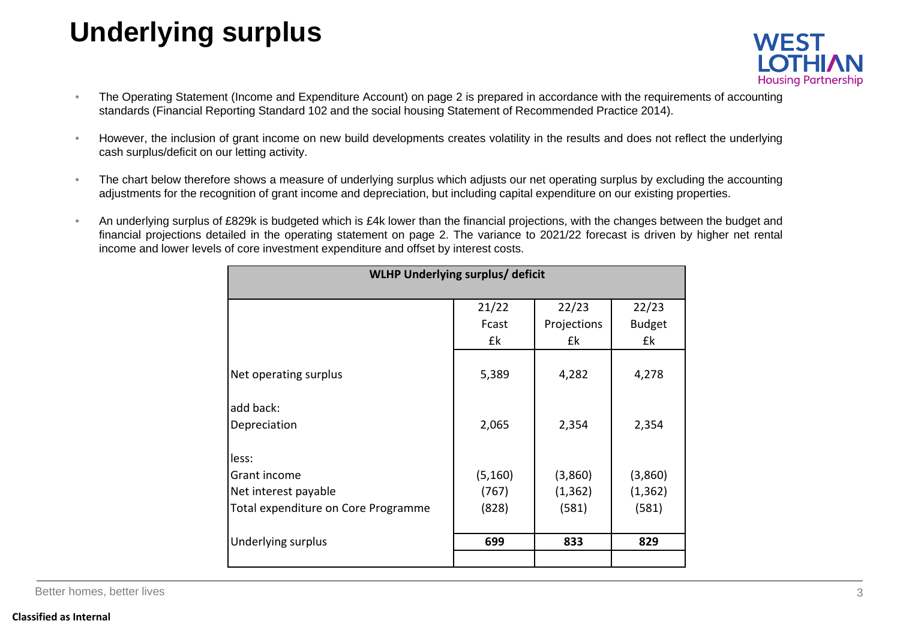# **Underlying surplus**



- • The Operating Statement (Income and Expenditure Account) on page 2 is prepared in accordance with the requirements of accounting standards (Financial Reporting Standard 102 and the social housing Statement of Recommended Practice 2014).
- • However, the inclusion of grant income on new build developments creates volatility in the results and does not reflect the underlying cash surplus/deficit on our letting activity.
- • The chart below therefore shows <sup>a</sup> measure of underlying surplus which adjusts our net operating surplus by excluding the accounting adjustments for the recognition of grant income and depreciation, but including capital expenditure on our existing properties.
- • An underlying surplus of £829k is budgeted which is £4k lower than the financial projections, with the changes between the budget and financial projections detailed in the operating statement on page 2. The variance to 2021/22 forecast is driven by higher net rental income and lower levels of core investment expenditure and offset by interest costs.

| WLHP Underlying surplus/ deficit    |          |             |               |  |
|-------------------------------------|----------|-------------|---------------|--|
|                                     | 21/22    | 22/23       | 22/23         |  |
|                                     | Fcast    | Projections | <b>Budget</b> |  |
|                                     | £k       | £k          | £k            |  |
| Net operating surplus               | 5,389    | 4,282       | 4,278         |  |
| add back:                           |          |             |               |  |
| Depreciation                        | 2,065    | 2,354       | 2,354         |  |
| less:                               |          |             |               |  |
| Grant income                        | (5, 160) | (3,860)     | (3,860)       |  |
| Net interest payable                | (767)    | (1, 362)    | (1, 362)      |  |
| Total expenditure on Core Programme | (828)    | (581)       | (581)         |  |
|                                     |          |             |               |  |
| Underlying surplus                  | 699      | 833         | 829           |  |
|                                     |          |             |               |  |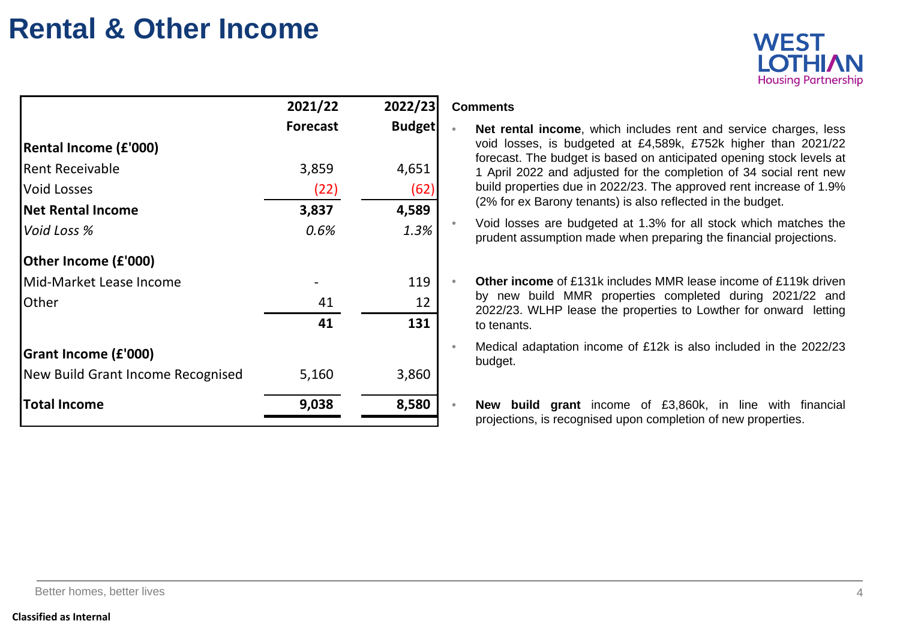# **Rental & Other Income**



|                                   | 2021/22         | 2022/23       |  |
|-----------------------------------|-----------------|---------------|--|
|                                   | <b>Forecast</b> | <b>Budget</b> |  |
| <b>Rental Income (£'000)</b>      |                 |               |  |
| <b>Rent Receivable</b>            | 3,859           | 4,651         |  |
| <b>Void Losses</b>                | (22)            | (62)          |  |
| <b>Net Rental Income</b>          | 3,837           | 4,589         |  |
| Void Loss %                       | 0.6%            | 1.3%          |  |
| Other Income (£'000)              |                 |               |  |
| Mid-Market Lease Income           |                 | 119           |  |
| Other                             | 41              | 12            |  |
|                                   | 41              | 131           |  |
| Grant Income (£'000)              |                 |               |  |
| New Build Grant Income Recognised | 5,160           | 3,860         |  |
| <b>Total Income</b>               | 9,038           | 8,580         |  |

### **Comments**

- **Net rental income**, which includes rent and service charges, less void losses, is budgeted at £4,589k, £752k higher than 2021/22 forecast. The budget is based on anticipated opening stock levels at 1 April 2022 and adjusted for the completion of 34 social rent new build properties due in 2022/23. The approved rent increase of 1.9% (2% for ex Barony tenants) is also reflected in the budget.
- Void losses are budgeted at 1.3% for all stock which matches the prudent assumption made when preparing the financial projections.
- **Other income** of £131k includes MMR lease income of £119k driven by new build MMR properties completed during 2021/22 and 2022/23. WLHP lease the properties to Lowther for onward letting to tenants.
- • Medical adaptation income of £12k is also included in the 2022/23 budget.
	- **New build grant** income of £3,860k, in line with financial projections, is recognised upon completion of new properties.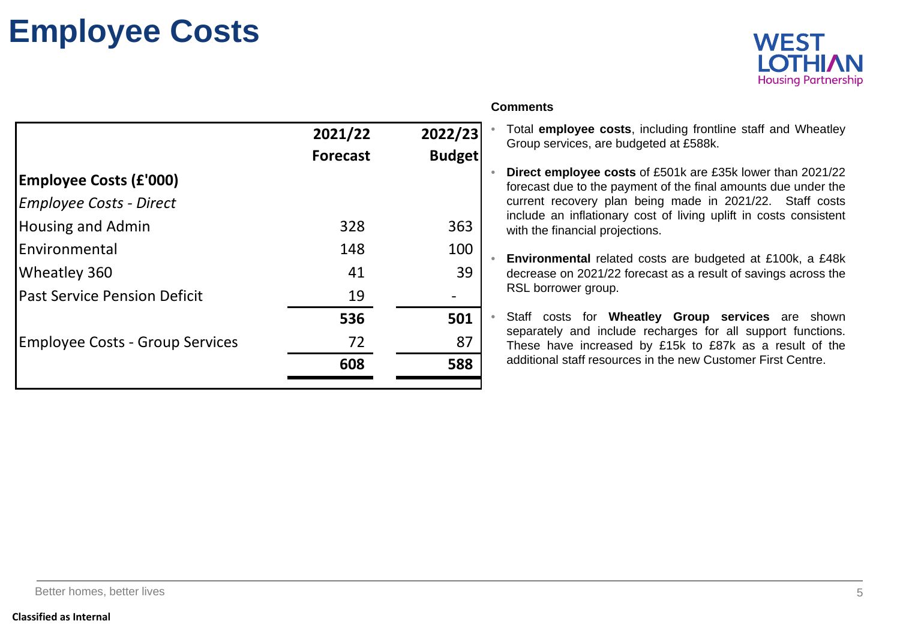# **Employee Costs**



|                                        |                 |               | <b>Comments</b>                                                                                                              |
|----------------------------------------|-----------------|---------------|------------------------------------------------------------------------------------------------------------------------------|
|                                        | 2021/22         | 2022/23       | Total employee costs, including frontline staff and Wheatley<br>Group services, are budgeted at £588k.                       |
|                                        | <b>Forecast</b> | <b>Budget</b> |                                                                                                                              |
| <b>Employee Costs (£'000)</b>          |                 |               | Direct employee costs of £501k are £35k lower than 2021/22<br>forecast due to the payment of the final amounts due under the |
| <b>Employee Costs - Direct</b>         |                 |               | current recovery plan being made in 2021/22. Staff costs                                                                     |
| <b>Housing and Admin</b>               | 328             | 363           | include an inflationary cost of living uplift in costs consistent<br>with the financial projections.                         |
| Environmental                          | 148             | 100           | Environmental related costs are budgeted at £100k, a £48k                                                                    |
| Wheatley 360                           | 41              | 39            | decrease on 2021/22 forecast as a result of savings across the                                                               |
| <b>Past Service Pension Deficit</b>    | 19              |               | RSL borrower group.                                                                                                          |
|                                        | 536             | 501           | Staff costs for Wheatley Group services are shown                                                                            |
| <b>Employee Costs - Group Services</b> | 72              | 87            | separately and include recharges for all support functions.<br>These have increased by £15k to £87k as a result of the       |
|                                        | 608             | 588           | additional staff resources in the new Customer First Centre.                                                                 |
|                                        |                 |               |                                                                                                                              |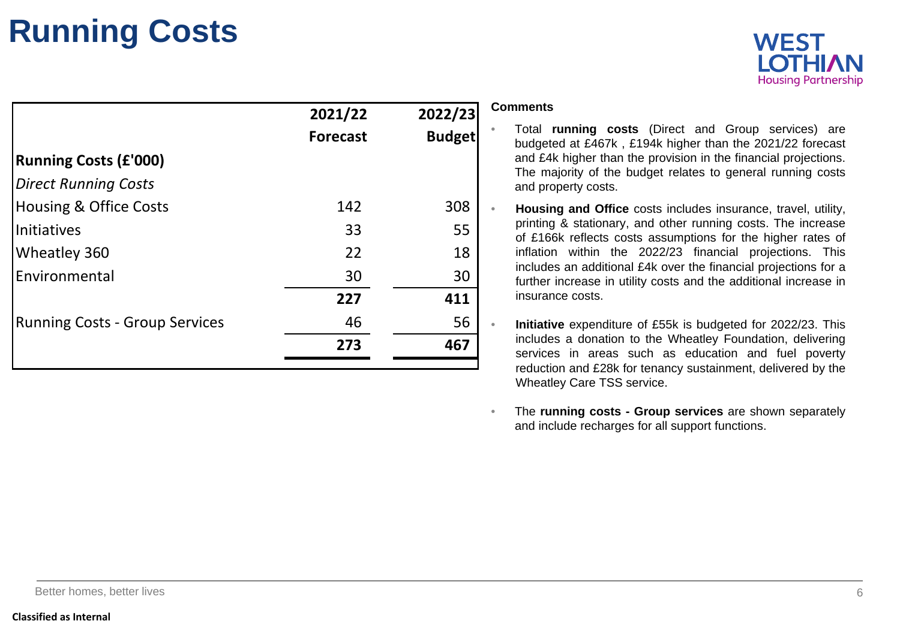# **Running Costs**



|                                       | 2021/22<br><b>Forecast</b> | 2022/23<br><b>Budget</b> | <b>Comments</b><br>Total running costs (Direct and Group services) are<br>budgeted at £467k, £194k higher than the 2021/22 forecast                                                |
|---------------------------------------|----------------------------|--------------------------|------------------------------------------------------------------------------------------------------------------------------------------------------------------------------------|
| <b>Running Costs (£'000)</b>          |                            |                          | and £4k higher than the provision in the financial projections.<br>The majority of the budget relates to general running costs                                                     |
| <b>Direct Running Costs</b>           |                            |                          | and property costs.                                                                                                                                                                |
| <b>Housing &amp; Office Costs</b>     | 142                        | 308                      | Housing and Office costs includes insurance, travel, utility,                                                                                                                      |
| Initiatives                           | 33                         | 55                       | printing & stationary, and other running costs. The increase<br>of £166k reflects costs assumptions for the higher rates of                                                        |
| Wheatley 360                          | 22                         | 18                       | inflation within the 2022/23 financial projections. This                                                                                                                           |
| Environmental                         | 30                         | 30                       | includes an additional £4k over the financial projections for a<br>further increase in utility costs and the additional increase in                                                |
|                                       | 227                        | 411                      | insurance costs.                                                                                                                                                                   |
| <b>Running Costs - Group Services</b> | 46                         | 56                       | Initiative expenditure of £55k is budgeted for 2022/23. This                                                                                                                       |
|                                       | 273                        | 467                      | includes a donation to the Wheatley Foundation, delivering<br>services in areas such as education and fuel poverty<br>reduction and £28k for tenancy sustainment, delivered by the |

• The **running costs - Group services** are shown separately and include recharges for all support functions.

Wheatley Care TSS service.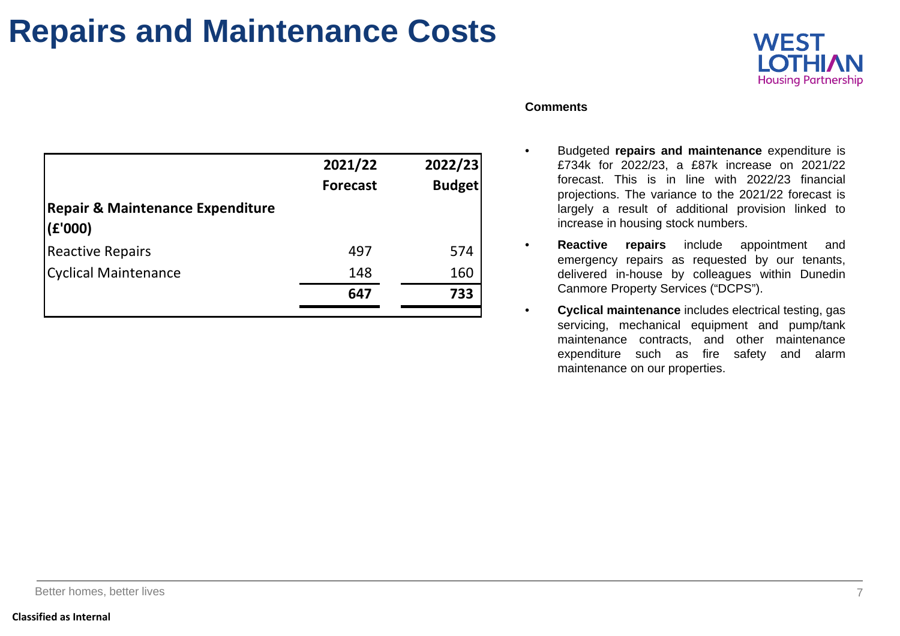# **Repairs and Maintenance Costs**



| Comments |  |
|----------|--|
|----------|--|

| 2021/22<br><b>Forecast</b> | 2022/23<br><b>Budget</b> |
|----------------------------|--------------------------|
|                            |                          |
| 497                        | 574                      |
| 148                        | 160                      |
| 647                        | 733                      |
|                            |                          |

### • Budgeted **repairs and maintenance** expenditure is £734k for 2022/23, <sup>a</sup> £87k increase on 2021/22 forecast. This is in line with 2022/23 financial projections. The variance to the 2021/22 forecast is largely <sup>a</sup> result of additional provision linked to increase in housing stock numbers.

- • **Reactive repairs** include appointment and emergency repairs as requested by our tenants, delivered in-house by colleagues within Dunedin Canmore Property Services ("DCPS").
- • **Cyclical maintenance** includes electrical testing, gas servicing, mechanical equipment and pump/tank maintenance contracts, and other maintenance expenditure such as fire safety and alarm maintenance on our properties.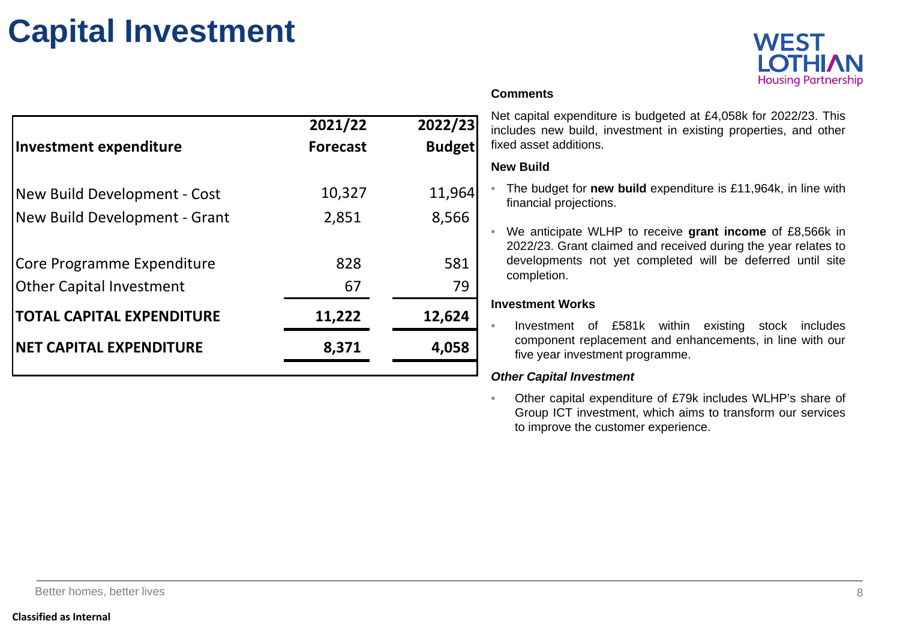# **Capital Investment**



Net capital expenditure is budgeted at £4,058k for 2022/23. This includes new build, investment in existing properties, and other fixed asset additions.

### **New Build**

- • The budget for **new build** expenditure is £11,964k, in line with financial projections.
- • We anticipate WLHP to receive **grant income** of £8,566k in 2022/23. Grant claimed and received during the year relates to developments not yet completed will be deferred until site completion.

### **Investment Works**

• Investment of £581k within existing stock includes component replacement and enhancements, in line with our five year investment programme.

### *Other Capital Investment*

• Other capital expenditure of £79k includes WLHP's share of Group ICT investment, which aims to transform our services to improve the customer experience.

|                                  | 2021/22         | 2022/23       |  |
|----------------------------------|-----------------|---------------|--|
| <b>Investment expenditure</b>    | <b>Forecast</b> | <b>Budget</b> |  |
|                                  |                 |               |  |
| New Build Development - Cost     | 10,327          | 11,964        |  |
| New Build Development - Grant    | 2,851           | 8,566         |  |
|                                  |                 |               |  |
| Core Programme Expenditure       | 828             | 581           |  |
| <b>Other Capital Investment</b>  | 67              | 79            |  |
| <b>TOTAL CAPITAL EXPENDITURE</b> | 11,222          | 12,624        |  |
| <b>NET CAPITAL EXPENDITURE</b>   | 8,371           | 4,058         |  |
|                                  |                 |               |  |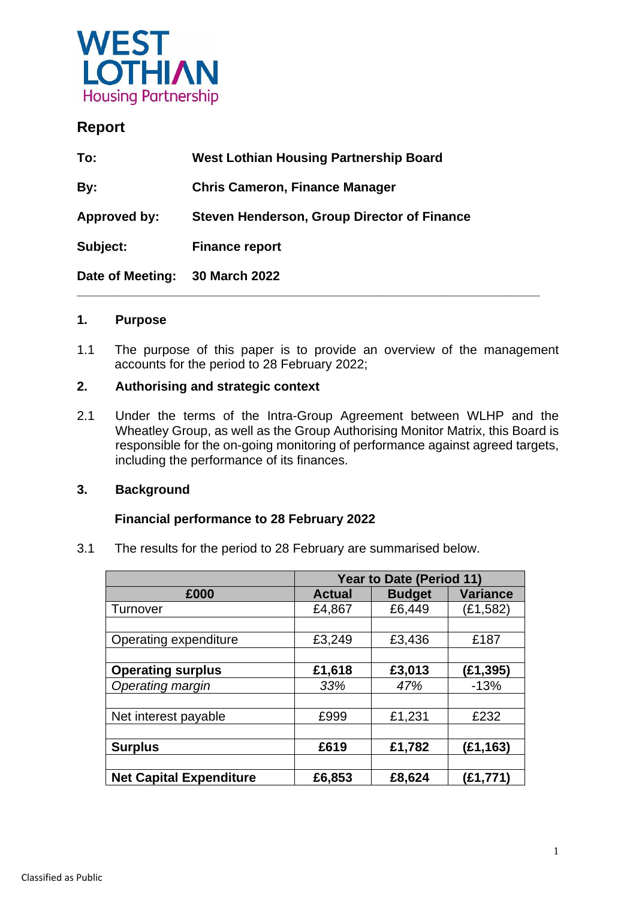

## **Report**

| To:              | <b>West Lothian Housing Partnership Board</b>      |
|------------------|----------------------------------------------------|
| By:              | <b>Chris Cameron, Finance Manager</b>              |
| Approved by:     | <b>Steven Henderson, Group Director of Finance</b> |
| Subject:         | <b>Finance report</b>                              |
| Date of Meeting: | 30 March 2022                                      |

### **1. Purpose**

1.1 The purpose of this paper is to provide an overview of the management accounts for the period to 28 February 2022;

### **2. Authorising and strategic context**

2.1 Under the terms of the Intra-Group Agreement between WLHP and the Wheatley Group, as well as the Group Authorising Monitor Matrix, this Board is responsible for the on-going monitoring of performance against agreed targets, including the performance of its finances.

### **3. Background**

### **Financial performance to 28 February 2022**

3.1 The results for the period to 28 February are summarised below.

|                                | <b>Year to Date (Period 11)</b> |               |                 |  |  |
|--------------------------------|---------------------------------|---------------|-----------------|--|--|
| £000                           | <b>Actual</b>                   | <b>Budget</b> | <b>Variance</b> |  |  |
| Turnover                       | £4,867                          | £6,449        | (£1,582)        |  |  |
|                                |                                 |               |                 |  |  |
| Operating expenditure          | £3,249                          | £3,436        | £187            |  |  |
|                                |                                 |               |                 |  |  |
| <b>Operating surplus</b>       | £1,618                          | £3,013        | (E1, 395)       |  |  |
| Operating margin               | 33%                             | 47%           | $-13%$          |  |  |
|                                |                                 |               |                 |  |  |
| Net interest payable           | £999                            | £1,231        | £232            |  |  |
|                                |                                 |               |                 |  |  |
| <b>Surplus</b>                 | £619                            | £1,782        | (E1, 163)       |  |  |
|                                |                                 |               |                 |  |  |
| <b>Net Capital Expenditure</b> | £6,853                          | £8,624        | (£1,771)        |  |  |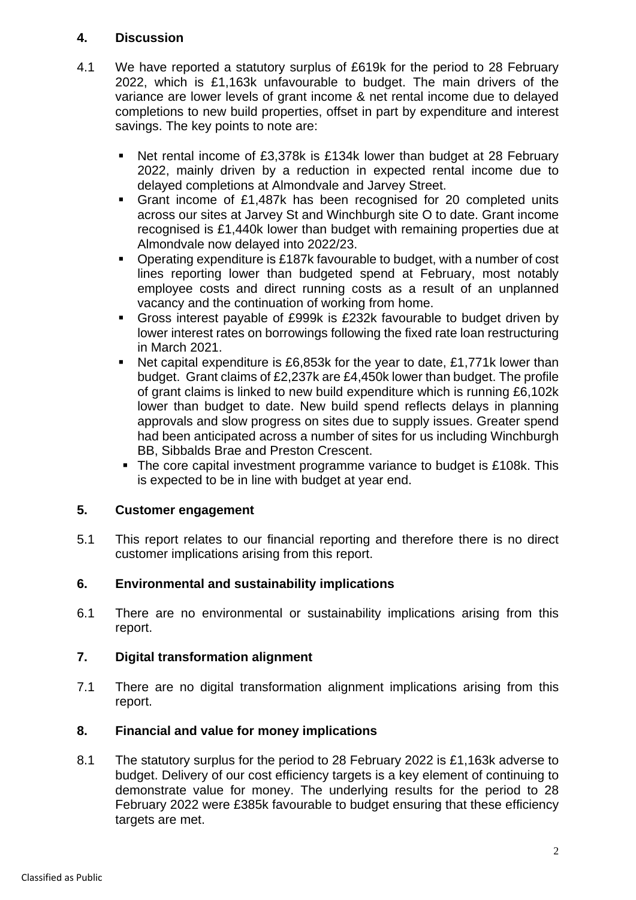### **4. Discussion**

- 4.1 We have reported a statutory surplus of £619k for the period to 28 February 2022, which is £1,163k unfavourable to budget. The main drivers of the variance are lower levels of grant income & net rental income due to delayed completions to new build properties, offset in part by expenditure and interest savings. The key points to note are:
	- Net rental income of £3,378k is £134k lower than budget at 28 February 2022, mainly driven by a reduction in expected rental income due to delayed completions at Almondvale and Jarvey Street.
	- Grant income of £1,487k has been recognised for 20 completed units across our sites at Jarvey St and Winchburgh site O to date. Grant income recognised is £1,440k lower than budget with remaining properties due at Almondvale now delayed into 2022/23.
	- Operating expenditure is £187k favourable to budget, with a number of cost lines reporting lower than budgeted spend at February, most notably employee costs and direct running costs as a result of an unplanned vacancy and the continuation of working from home.
	- Gross interest payable of £999k is £232k favourable to budget driven by lower interest rates on borrowings following the fixed rate loan restructuring in March 2021.
	- Net capital expenditure is £6,853k for the year to date, £1,771k lower than budget. Grant claims of £2,237k are £4,450k lower than budget. The profile of grant claims is linked to new build expenditure which is running £6,102k lower than budget to date. New build spend reflects delays in planning approvals and slow progress on sites due to supply issues. Greater spend had been anticipated across a number of sites for us including Winchburgh BB, Sibbalds Brae and Preston Crescent.
	- The core capital investment programme variance to budget is £108k. This is expected to be in line with budget at year end.

## **5. Customer engagement**

5.1 This report relates to our financial reporting and therefore there is no direct customer implications arising from this report.

## **6. Environmental and sustainability implications**

6.1 There are no environmental or sustainability implications arising from this report.

## **7. Digital transformation alignment**

7.1 There are no digital transformation alignment implications arising from this report.

## **8. Financial and value for money implications**

8.1 The statutory surplus for the period to 28 February 2022 is £1,163k adverse to budget. Delivery of our cost efficiency targets is a key element of continuing to demonstrate value for money. The underlying results for the period to 28 February 2022 were £385k favourable to budget ensuring that these efficiency targets are met.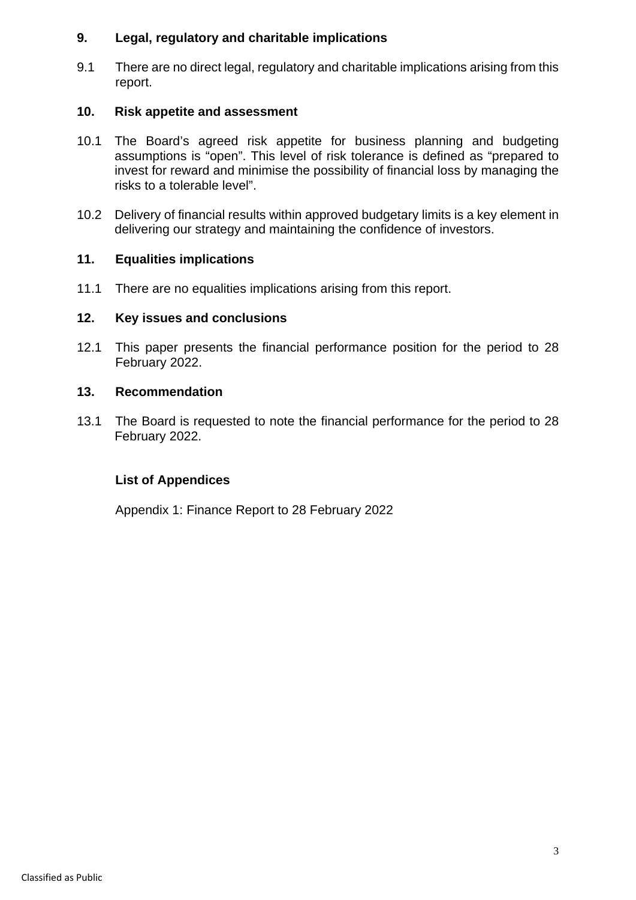### **9. Legal, regulatory and charitable implications**

9.1 There are no direct legal, regulatory and charitable implications arising from this report.

### **10. Risk appetite and assessment**

- 10.1 The Board's agreed risk appetite for business planning and budgeting assumptions is "open". This level of risk tolerance is defined as "prepared to invest for reward and minimise the possibility of financial loss by managing the risks to a tolerable level".
- 10.2 Delivery of financial results within approved budgetary limits is a key element in delivering our strategy and maintaining the confidence of investors.

### **11. Equalities implications**

11.1 There are no equalities implications arising from this report.

### **12. Key issues and conclusions**

12.1 This paper presents the financial performance position for the period to 28 February 2022.

### **13. Recommendation**

13.1 The Board is requested to note the financial performance for the period to 28 February 2022.

### **List of Appendices**

Appendix 1: Finance Report to 28 February 2022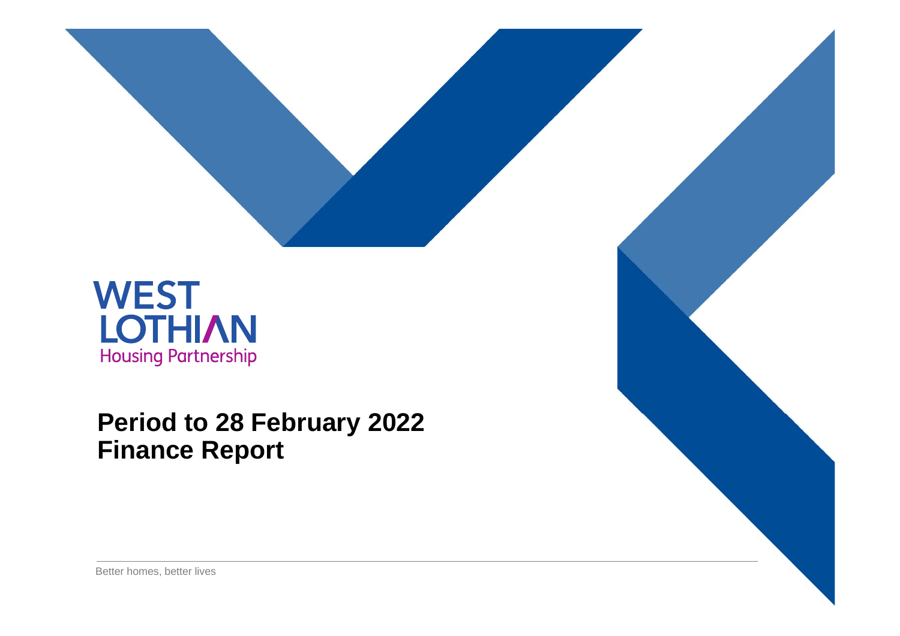

# **Period to 28 February 2022 Finance Report**

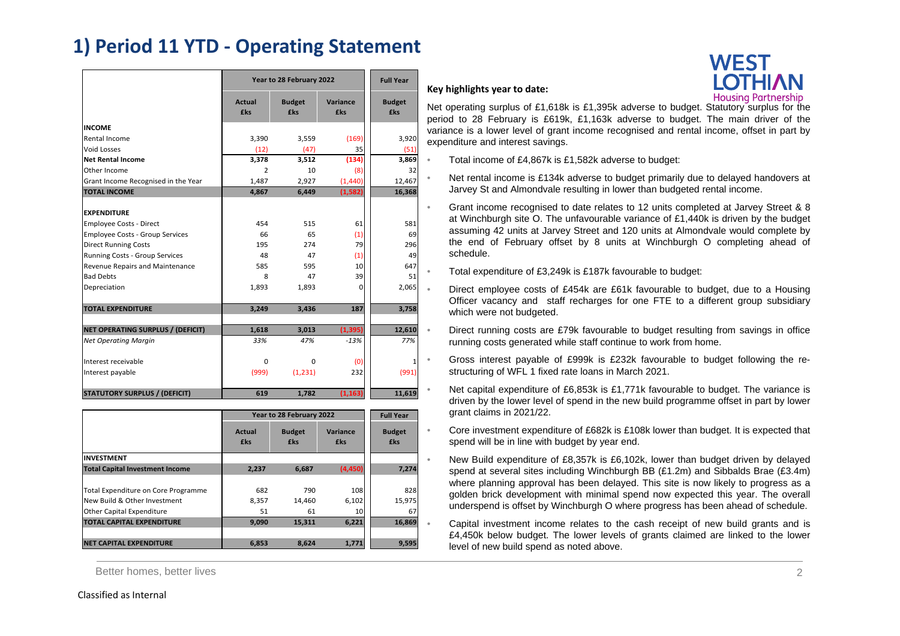# **1) Period 11 YTD ‐ Operating Statement**

|                                        | Year to 28 February 2022 | <b>Full Year</b>     |                        |                      |
|----------------------------------------|--------------------------|----------------------|------------------------|----------------------|
|                                        | Actual<br><b>£ks</b>     | <b>Budget</b><br>£ks | Variance<br><b>£ks</b> | <b>Budget</b><br>£ks |
| <b>INCOME</b>                          |                          |                      |                        |                      |
| Rental Income                          | 3,390                    | 3,559                | (169)                  | 3,920                |
| <b>Void Losses</b>                     | (12)                     | (47)                 | 35                     | (51)                 |
| <b>Net Rental Income</b>               | 3,378                    | 3,512                | (134)                  | 3,869                |
| Other Income                           | $\overline{2}$           | 10                   | (8)                    | 32                   |
| Grant Income Recognised in the Year    | 1,487                    | 2,927                | (1, 440)               | 12,467               |
| <b>TOTAL INCOME</b>                    | 4.867                    | 6,449                | (1, 582)               | 16,368               |
|                                        |                          |                      |                        |                      |
| <b>EXPENDITURE</b>                     |                          |                      |                        |                      |
| <b>Employee Costs - Direct</b>         | 454                      | 515                  | 61                     | 581                  |
| <b>Employee Costs - Group Services</b> | 66                       | 65                   | (1)                    | 69                   |
| <b>Direct Running Costs</b>            | 195                      | 274                  | 79                     | 296                  |
| Running Costs - Group Services         | 48                       | 47                   | (1)                    | 49                   |
| Revenue Repairs and Maintenance        | 585                      | 595                  | 10 <sup>1</sup>        | 647                  |
| <b>Bad Debts</b>                       | 8                        | 47                   | 39                     | 51                   |
| Depreciation                           | 1,893                    | 1,893                | 0                      | 2,065                |
| <b>TOTAL EXPENDITURE</b>               | 3,249                    | 3,436                | 187                    | 3,758                |
|                                        |                          |                      |                        |                      |
| NET OPERATING SURPLUS / (DEFICIT)      | 1,618                    | 3,013                | (1, 395)               | 12,610               |
| <b>Net Operating Margin</b>            | 33%                      | 47%                  | $-13%$                 | 77%                  |
| Interest receivable                    | $\Omega$                 | $\Omega$             | (0)                    | 1                    |
| Interest payable                       | (999)                    | (1, 231)             | 232                    | (991)                |
| <b>STATUTORY SURPLUS / (DEFICIT)</b>   | 619                      | 1.782                | (1, 163)               | 11,619               |

|                                        | Year to 28 February 2022 |                             | <b>Full Year</b>       |                             |
|----------------------------------------|--------------------------|-----------------------------|------------------------|-----------------------------|
|                                        | Actual<br><b>fks</b>     | <b>Budget</b><br><b>fks</b> | Variance<br><b>fks</b> | <b>Budget</b><br><b>£ks</b> |
| <b>INVESTMENT</b>                      |                          |                             |                        |                             |
| <b>Total Capital Investment Income</b> | 2,237                    | 6,687                       | (4,450)                | 7,274                       |
|                                        |                          |                             |                        |                             |
| Total Expenditure on Core Programme    | 682                      | 790                         | 108                    | 828                         |
| New Build & Other Investment           | 8,357                    | 14,460                      | 6,102                  | 15,975                      |
| <b>Other Capital Expenditure</b>       | 51                       | 61                          | 10 <sup>1</sup>        | 67                          |
| <b>TOTAL CAPITAL EXPENDITURE</b>       | 9,090                    | 15,311                      | 6,221                  | 16,869                      |
|                                        |                          |                             |                        |                             |
| <b>NET CAPITAL EXPENDITURE</b>         | 6,853                    | 8.624                       | 1,771                  | 9,595                       |

Better homes, better lives 2000 and the settlement of the settlement of the settlement of the settlement of the settlement of the settlement of the settlement of the settlement of the settlement of the settlement of the se

### **Key highlights year to date:**

•

•

•

•

•

•

•

•

•



Net operating surplus of £1,618k is £1,395k adverse to budget. Statutory surplus for the period to 28 February is £619k, £1,163k adverse to budget. The main driver of the variance is <sup>a</sup> lower level of grant income recognised and rental income, offset in part by expenditure and interest savings.

- Total income of £4,867k is £1,582k adverse to budget:
- Net rental income is £134k adverse to budget primarily due to delayed handovers at Jarvey St and Almondvale resulting in lower than budgeted rental income.
- Grant income recognised to date relates to 12 units completed at Jarvey Street & 8 at Winchburgh site O. The unfavourable variance of £1,440k is driven by the budget assuming 42 units at Jarvey Street and 120 units at Almondvale would complete by the end of February offset by 8 units at Winchburgh O completing ahead of schedule.

Total expenditure of £3,249k is £187k favourable to budget:

 Direct employee costs of £454k are £61k favourable to budget, due to <sup>a</sup> Housing Officer vacancy and staff recharges for one FTE to <sup>a</sup> different group subsidiary which were not budgeted.

 Direct running costs are £79k favourable to budget resulting from savings in office running costs generated while staff continue to work from home.

- Gross interest payable of £999k is £232k favourable to budget following the restructuring of WFL 1 fixed rate loans in March 2021.
- Net capital expenditure of £6,853k is £1,771k favourable to budget. The variance is driven by the lower level of spend in the new build programme offset in part by lower grant claims in 2021/22.
- Core investment expenditure of £682k is £108k lower than budget. It is expected that spend will be in line with budget by year end.

 New Build expenditure of £8,357k is £6,102k, lower than budget driven by delayed spend at several sites including Winchburgh BB (£1.2m) and Sibbalds Brae (£3.4m) where planning approval has been delayed. This site is now likely to progress as <sup>a</sup> golden brick development with minimal spend now expected this year. The overall underspend is offset by Winchburgh O where progress has been ahead of schedule.

 Capital investment income relates to the cash receipt of new build grants and is £4,450k below budget. The lower levels of grants claimed are linked to the lower level of new build spend as noted above.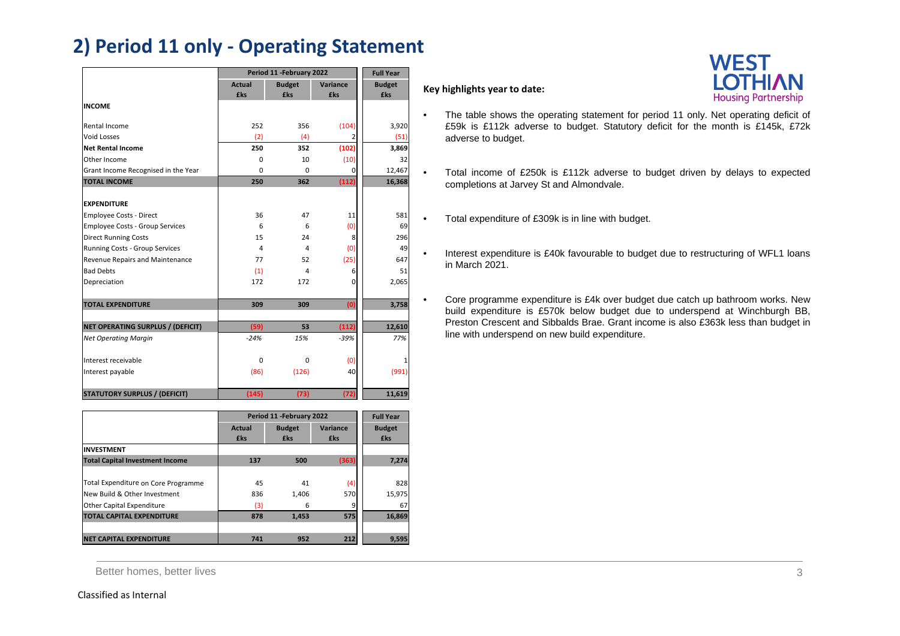# **2) Period 11 only ‐ Operating Statement**

|                                        | Period 11 - February 2022 | <b>Full Year</b> |            |               |
|----------------------------------------|---------------------------|------------------|------------|---------------|
|                                        | <b>Actual</b>             | <b>Budget</b>    | Variance   | <b>Budget</b> |
|                                        | £ks                       | £ks              | <b>£ks</b> | £ks           |
| <b>INCOME</b>                          |                           |                  |            |               |
| Rental Income                          | 252                       | 356              | (104)      | 3,920         |
| <b>Void Losses</b>                     | (2)                       | (4)              | 2          | (51)          |
| <b>Net Rental Income</b>               | 250                       | 352              | (102)      | 3,869         |
| Other Income                           | $\mathbf 0$               | 10               | (10)       | 32            |
| Grant Income Recognised in the Year    | $\Omega$                  | $\Omega$         | 0          | 12,467        |
| <b>TOTAL INCOME</b>                    | 250                       | 362              | (112)      | 16,368        |
|                                        |                           |                  |            |               |
| <b>EXPENDITURE</b>                     |                           |                  |            |               |
| <b>Employee Costs - Direct</b>         | 36                        | 47               | 11         | 581           |
| <b>Employee Costs - Group Services</b> | 6                         | 6                | (0)        | 69            |
| <b>Direct Running Costs</b>            | 15                        | 24               | 8          | 296           |
| Running Costs - Group Services         | 4                         | 4                | (0)        | 49            |
| Revenue Repairs and Maintenance        | 77                        | 52               | (25)       | 647           |
| <b>Bad Debts</b>                       | (1)                       | 4                | 6          | 51            |
| Depreciation                           | 172                       | 172              | $\Omega$   | 2,065         |
|                                        |                           |                  |            |               |
| <b>TOTAL EXPENDITURE</b>               | 309                       | 309              | (0)        | 3,758         |
|                                        |                           |                  |            |               |
| NET OPERATING SURPLUS / (DEFICIT)      | (59)                      | 53               | (112)      | 12,610        |
| <b>Net Operating Margin</b>            | $-24%$                    | 15%              | $-39%$     | 77%           |
|                                        |                           |                  |            |               |
| Interest receivable                    | $\Omega$                  | $\Omega$         | (0)        |               |
| Interest payable                       | (86)                      | (126)            | 40         | (991)         |
|                                        |                           |                  |            |               |
| <b>STATUTORY SURPLUS / (DEFICIT)</b>   | (145)                     | (73)             | (72)       | 11,619        |

|                                        |               | Period 11 - February 2022 |            |               |  |
|----------------------------------------|---------------|---------------------------|------------|---------------|--|
|                                        | <b>Actual</b> | <b>Budget</b>             | Variance   | <b>Budget</b> |  |
|                                        | <b>£ks</b>    | <b>£ks</b>                | <b>£ks</b> | <b>£ks</b>    |  |
| <b>INVESTMENT</b>                      |               |                           |            |               |  |
| <b>Total Capital Investment Income</b> | 137           | 500                       | (363)      | 7,274         |  |
|                                        |               |                           |            |               |  |
| Total Expenditure on Core Programme    | 45            | 41                        | (4)        | 828           |  |
| New Build & Other Investment           | 836           | 1,406                     | 570        | 15,975        |  |
| <b>Other Capital Expenditure</b>       | (3)           | 6                         | 9          | 67            |  |
| <b>TOTAL CAPITAL EXPENDITURE</b>       | 878           | 1,453                     | 575        | 16,869        |  |
|                                        |               |                           |            |               |  |
| <b>NET CAPITAL EXPENDITURE</b>         | 741           | 952                       | 212        | 9,595         |  |

Better homes, better lives 3

### **Key highlights year to date:**

•

•

•

•

- The table shows the operating statement for period 11 only. Net operating deficit of £59k is £112k adverse to budget. Statutory deficit for the month is £145k, £72k adverse to budget.
	- Total income of £250k is £112k adverse to budget driven by delays to expected completions at Jarvey St and Almondvale.
	- Total expenditure of £309k is in line with budget.
	- Interest expenditure is £40k favourable to budget due to restructuring of WFL1 loans in March 2021.
	- Core programme expenditure is £4k over budget due catch up bathroom works. New build expenditure is £570k below budget due to underspend at Winchburgh BB, Preston Crescent and Sibbalds Brae. Grant income is also £363k less than budget in line with underspend on new build expenditure.

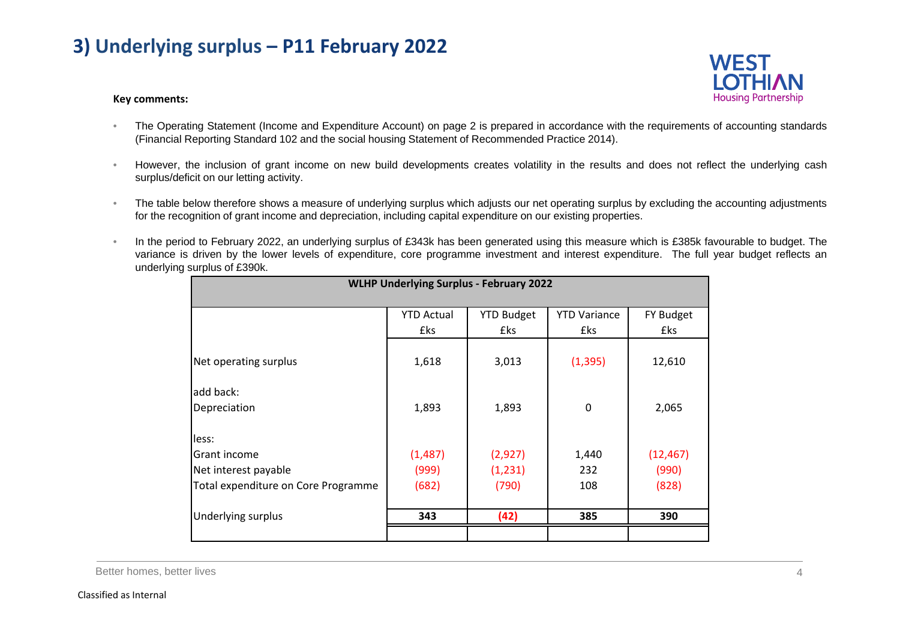# **3) Underlying surplus – P11 February 2022**

# **WEST Housing Partnership**

### **Key comments:**

- • The Operating Statement (Income and Expenditure Account) on page 2 is prepared in accordance with the requirements of accounting standards (Financial Reporting Standard 102 and the social housing Statement of Recommended Practice 2014).
- • However, the inclusion of grant income on new build developments creates volatility in the results and does not reflect the underlying cash surplus/deficit on our letting activity.
- • The table below therefore shows <sup>a</sup> measure of underlying surplus which adjusts our net operating surplus by excluding the accounting adjustments for the recognition of grant income and depreciation, including capital expenditure on our existing properties.
- • In the period to February 2022, an underlying surplus of £343k has been generated using this measure which is £385k favourable to budget. The variance is driven by the lower levels of expenditure, core programme investment and interest expenditure. The full year budget reflects an underlying surplus of £390k.

| <b>WLHP Underlying Surplus - February 2022</b> |                   |                   |                     |           |
|------------------------------------------------|-------------------|-------------------|---------------------|-----------|
|                                                | <b>YTD Actual</b> | <b>YTD Budget</b> | <b>YTD Variance</b> | FY Budget |
|                                                | £ks               | £ks               | £ks                 | £ks       |
| Net operating surplus                          | 1,618             | 3,013             | (1, 395)            | 12,610    |
| add back:<br>Depreciation                      | 1,893             | 1,893             | $\mathbf 0$         | 2,065     |
| less:                                          |                   |                   |                     |           |
| Grant income                                   | (1,487)           | (2,927)           | 1,440               | (12, 467) |
| Net interest payable                           | (999)             | (1, 231)          | 232                 | (990)     |
| Total expenditure on Core Programme            | (682)             | (790)             | 108                 | (828)     |
|                                                |                   |                   |                     |           |
| Underlying surplus                             | 343               | (42)              | 385                 | 390       |
|                                                |                   |                   |                     |           |

Better homes, better lives 4 and the set of the set of the set of the set of the set of the set of the set of the set of the set of the set of the set of the set of the set of the set of the set of the set of the set of th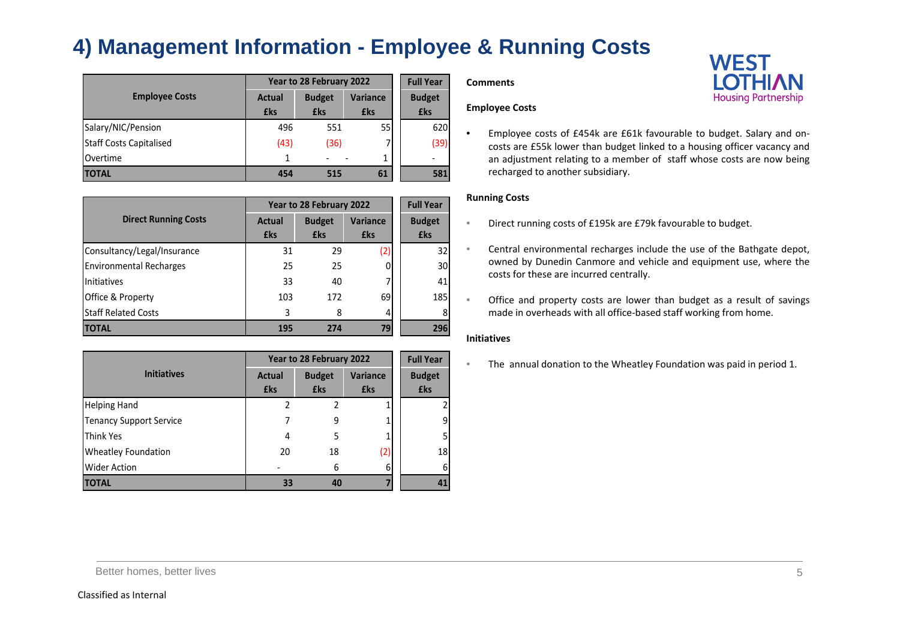# **4) Management Information - Employee & Running Costs**

|                                |            | Year to 28 February 2022 |                 |               |  |
|--------------------------------|------------|--------------------------|-----------------|---------------|--|
| <b>Employee Costs</b>          | Actual     | <b>Budget</b>            | <b>Variance</b> | <b>Budget</b> |  |
|                                | <b>£ks</b> | £ks                      | £ks             | £ks           |  |
| Salary/NIC/Pension             | 496        | 551                      | 55              | 620           |  |
| <b>Staff Costs Capitalised</b> | (43)       | (36)                     |                 | (39)          |  |
| Overtime                       |            |                          | 1               |               |  |
| <b>TOTAL</b>                   | 454        | 515                      | 61              | 581           |  |

|                                |                      | Year to 28 February 2022    |                        |                             |  |
|--------------------------------|----------------------|-----------------------------|------------------------|-----------------------------|--|
| <b>Direct Running Costs</b>    | Actual<br><b>£ks</b> | <b>Budget</b><br><b>£ks</b> | <b>Variance</b><br>£ks | <b>Budget</b><br><b>£ks</b> |  |
| Consultancy/Legal/Insurance    | 31                   | 29                          | (2)                    | 32                          |  |
| <b>Environmental Recharges</b> | 25                   | 25                          |                        | 30                          |  |
| Initiatives                    | 33                   | 40                          |                        | 41                          |  |
| <b>Office &amp; Property</b>   | 103                  | 172                         | 69                     | 185                         |  |
| <b>Staff Related Costs</b>     | 3                    | 8                           | 4                      | 8                           |  |
| <b>TOTAL</b>                   | 195                  | 274                         | 79                     | 296                         |  |

|                                | Year to 28 February 2022 | <b>Full Year</b> |                 |                         |
|--------------------------------|--------------------------|------------------|-----------------|-------------------------|
| <b>Initiatives</b>             | <b>Actual</b>            | <b>Budget</b>    | <b>Variance</b> | <b>Budget</b>           |
|                                | <b>£ks</b>               | <b>£ks</b>       | <b>£ks</b>      | <b>£ks</b>              |
| <b>Helping Hand</b>            | 2                        |                  |                 | $\overline{\mathbf{c}}$ |
| <b>Tenancy Support Service</b> |                          | 9                |                 | 9                       |
| <b>Think Yes</b>               | 4                        | 5                |                 | 5                       |
| <b>Wheatley Foundation</b>     | 20                       | 18               | (2)             | 18                      |
| <b>Wider Action</b>            |                          | 6                | 6               | 6                       |
| <b>TOTAL</b>                   | 33                       | 40               |                 | 41                      |

#### **Comments**

### **Employee Costs**

• Employee costs of £454k are £61k favourable to budget. Salary and on‐ costs are £55k lower than budget linked to <sup>a</sup> housing officer vacancy and an adjustment relating to <sup>a</sup> member of staff whose costs are now being recharged to another subsidiary.

### **Running Costs**

- •Direct running costs of £195k are £79k favourable to budget.
- • Central environmental recharges include the use of the Bathgate depot, owned by Dunedin Canmore and vehicle and equipment use, where the costs for these are incurred centrally.
- • Office and property costs are lower than budget as <sup>a</sup> result of savings made in overheads with all office-based staff working from home.

### **Initiatives**

•The annual donation to the Wheatley Foundation was paid in period 1.

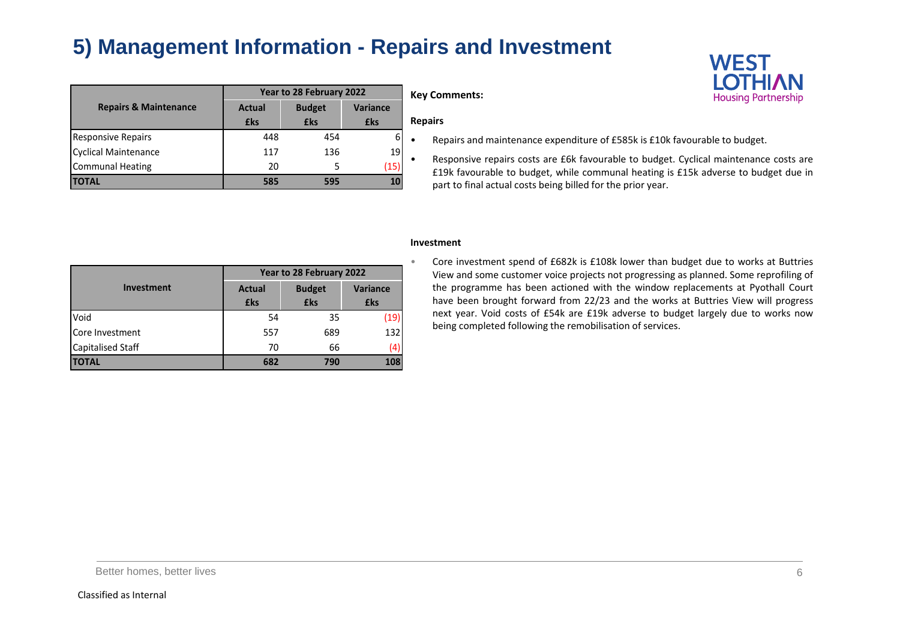# **5) Management Information - Repairs and Investment**

|                                  | Year to 28 February 2022 |               |                 | <b>Key Comments:</b>      |
|----------------------------------|--------------------------|---------------|-----------------|---------------------------|
| <b>Repairs &amp; Maintenance</b> | <b>Actual</b>            | <b>Budget</b> | <b>Variance</b> |                           |
|                                  | <b>£ks</b>               | <b>£ks</b>    | £ks             | <b>Repairs</b>            |
| <b>Responsive Repairs</b>        | 448                      | 454           | 6               | Repairs and               |
| Cyclical Maintenance             | 117                      | 136           | 19              | ٠                         |
| <b>Communal Heating</b>          | 20                       |               | (15)            | Responsive<br>£19k favour |
| <b>TOTAL</b>                     | 585                      | 595           | 10              | part to final             |



- Repairs and maintenance expenditure of £585k is £10k favourable to budget.
- Responsive repairs costs are £6k favourable to budget. Cyclical maintenance costs are £19k favourable to budget, while communal heating is £15k adverse to budget due in part to final actual costs being billed for the prior year.

|                   | Year to 28 February 2022 |               |                 |  |
|-------------------|--------------------------|---------------|-----------------|--|
| <b>Investment</b> | <b>Actual</b>            | <b>Budget</b> | <b>Variance</b> |  |
|                   | <b>£ks</b>               | <b>£ks</b>    | <b>£ks</b>      |  |
| Void              | 54                       | 35            | (19)            |  |
| Core Investment   | 557                      | 689           | 132             |  |
| Capitalised Staff | 70                       | 66            | 4)              |  |
| <b>TOTAL</b>      | 682                      | 790           | 108             |  |

#### **Investment**

 Core investment spend of £682k is £108k lower than budget due to works at Buttries View and some customer voice projects not progressing as planned. Some reprofiling of the programme has been actioned with the window replacements at Pyothall Court have been brought forward from 22/23 and the works at Buttries View will progress next year. Void costs of £54k are £19k adverse to budget largely due to works now being completed following the remobilisation of services.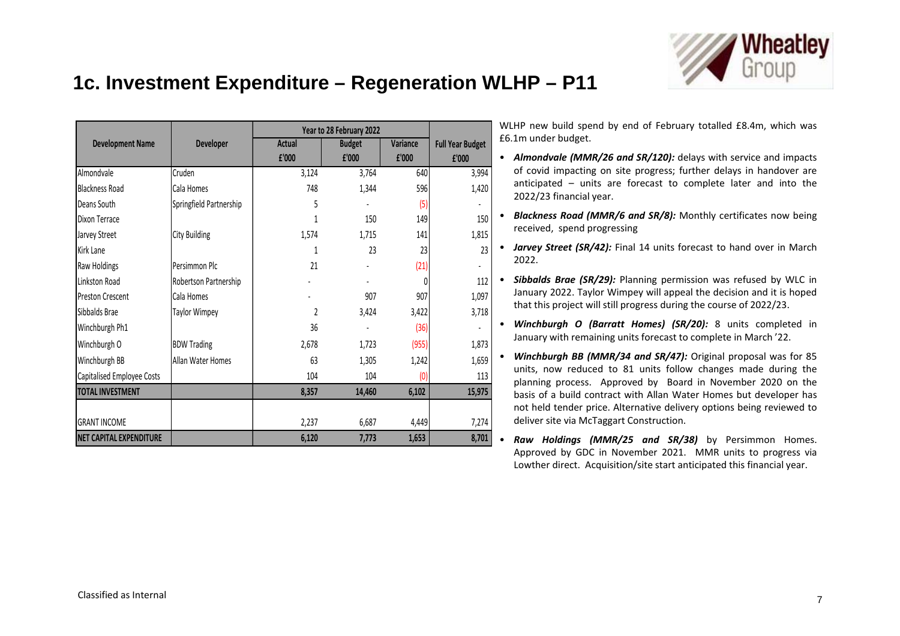

# **1c. Investment Expenditure – Regeneration WLHP – P11**

|                                |                         | Year to 28 February 2022 |               |          |                         |  |
|--------------------------------|-------------------------|--------------------------|---------------|----------|-------------------------|--|
| <b>Development Name</b>        | <b>Developer</b>        | <b>Actual</b>            | <b>Budget</b> | Variance | <b>Full Year Budget</b> |  |
|                                |                         | £'000                    | £'000         | £'000    | £'000                   |  |
| Almondvale                     | Cruden                  | 3,124                    | 3,764         | 640      | 3,994                   |  |
| <b>Blackness Road</b>          | Cala Homes              | 748                      | 1,344         | 596      | 1,420                   |  |
| Deans South                    | Springfield Partnership | 5                        |               | (5)      |                         |  |
| Dixon Terrace                  |                         | 1                        | 150           | 149      | 150                     |  |
| Jarvey Street                  | <b>City Building</b>    | 1,574                    | 1,715         | 141      | 1,815                   |  |
| <b>Kirk Lane</b>               |                         | 1                        | 23            | 23       | 23                      |  |
| Raw Holdings                   | Persimmon Plc           | 21                       |               | (21)     |                         |  |
| Linkston Road                  | Robertson Partnership   |                          |               |          | 112                     |  |
| <b>Preston Crescent</b>        | Cala Homes              |                          | 907           | 907      | 1,097                   |  |
| Sibbalds Brae                  | <b>Taylor Wimpey</b>    | 2                        | 3,424         | 3,422    | 3,718                   |  |
| Winchburgh Ph1                 |                         | 36                       |               | (36)     |                         |  |
| Winchburgh O                   | <b>BDW Trading</b>      | 2,678                    | 1,723         | (955)    | 1,873                   |  |
| Winchburgh BB                  | Allan Water Homes       | 63                       | 1,305         | 1,242    | 1,659                   |  |
| Capitalised Employee Costs     |                         | 104                      | 104           | (0)      | 113                     |  |
| <b>TOTAL INVESTMENT</b>        |                         | 8,357                    | 14,460        | 6,102    | 15,975                  |  |
|                                |                         |                          |               |          |                         |  |
| <b>GRANT INCOME</b>            |                         | 2,237                    | 6,687         | 4,449    | 7,274                   |  |
| <b>NET CAPITAL EXPENDITURE</b> |                         | 6,120                    | 7,773         | 1,653    | 8,701                   |  |

WLHP new build spend by end of February totalled £8.4m, which was £6.1m under budget.

- **Almondvale** (MMR/26 and SR/120): delays with service and impacts of covid impacting on site progress; further delays in handover are anticipated – units are forecast to complete later and into the 2022/23 financial year.
- *Blackness Road (MMR/6 and SR/8):* Monthly certificates now being received, spend progressing
- *Jarvey Street (SR/42):* Final 14 units forecast to hand over in March 2022.

• **Sibbalds Brae (SR/29):** Planning permission was refused by WLC in January 2022. Taylor Wimpey will appeal the decision and it is hoped that this project will still progress during the course of 2022/23.

- *Winchburgh O (Barratt Homes) (SR/20):* 8 units completed in January with remaining units forecast to complete in March '22.
- *Winchburgh BB (MMR/34 and SR/47):* Original proposal was for 85 units, now reduced to 81 units follow changes made during the planning process. Approved by Board in November 2020 on the basis of <sup>a</sup> build contract with Allan Water Homes but developer has not held tender price. Alternative delivery options being reviewed to deliver site via McTaggart Construction.
- • *Raw Holdings (MMR/25 and SR/38)* by Persimmon Homes. Approved by GDC in November 2021. MMR units to progress via Lowther direct. Acquisition/site start anticipated this financial year.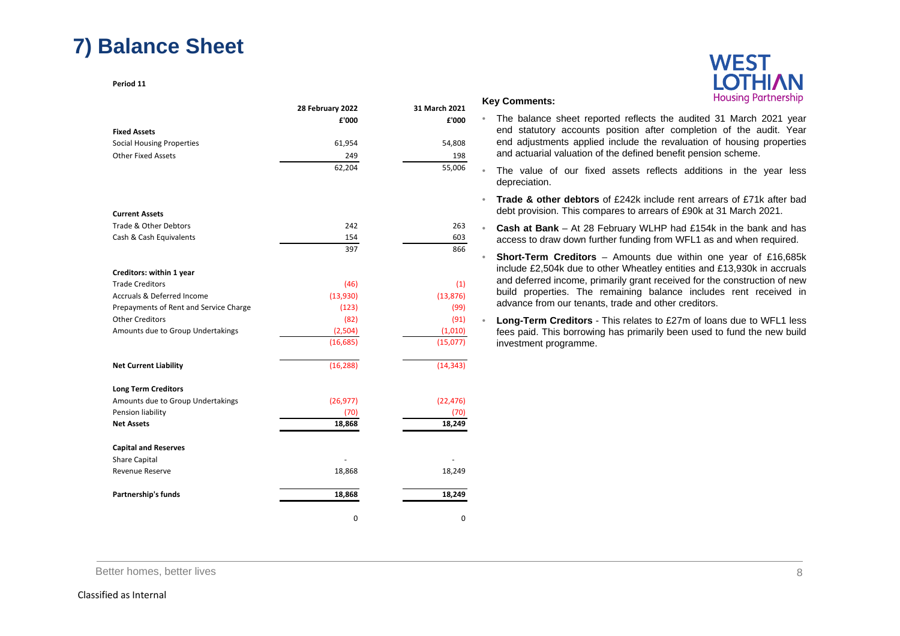# **7) Balance Sheet**

**Period 11**

|                                        | 28 February 2022 | 31 March 2021 | <b>Key Comments:</b>                                                                                                      | <b>TROUGHTY FULLICISHIP</b>                                                      |
|----------------------------------------|------------------|---------------|---------------------------------------------------------------------------------------------------------------------------|----------------------------------------------------------------------------------|
|                                        | £'000            | £'000         | $\bullet$                                                                                                                 | The balance sheet reported reflects the audited 31 March 2021 year               |
| <b>Fixed Assets</b>                    |                  |               |                                                                                                                           | end statutory accounts position after completion of the audit. Year              |
| <b>Social Housing Properties</b>       | 61,954           | 54,808        |                                                                                                                           | end adjustments applied include the revaluation of housing properties            |
| <b>Other Fixed Assets</b>              | 249              | 198           | and actuarial valuation of the defined benefit pension scheme.                                                            |                                                                                  |
|                                        | 62,204           | 55,006        | depreciation.                                                                                                             | The value of our fixed assets reflects additions in the year less                |
|                                        |                  |               |                                                                                                                           | <b>Trade &amp; other debtors</b> of £242k include rent arrears of £71k after bad |
| <b>Current Assets</b>                  |                  |               |                                                                                                                           | debt provision. This compares to arrears of £90k at 31 March 2021.               |
| Trade & Other Debtors                  | 242              | 263           |                                                                                                                           | Cash at Bank - At 28 February WLHP had £154k in the bank and has                 |
| Cash & Cash Equivalents                | 154              | 603           |                                                                                                                           | access to draw down further funding from WFL1 as and when required.              |
|                                        | 397              | 866           |                                                                                                                           |                                                                                  |
|                                        |                  |               |                                                                                                                           | <b>Short-Term Creditors</b> – Amounts due within one year of £16,685k            |
| Creditors: within 1 year               |                  |               |                                                                                                                           | include £2,504k due to other Wheatley entities and £13,930k in accruals          |
| <b>Trade Creditors</b>                 | (46)             | (1)           |                                                                                                                           | and deferred income, primarily grant received for the construction of new        |
| Accruals & Deferred Income             | (13,930)         | (13, 876)     | build properties. The remaining balance includes rent received in<br>advance from our tenants, trade and other creditors. |                                                                                  |
| Prepayments of Rent and Service Charge | (123)            | (99)          |                                                                                                                           |                                                                                  |
| <b>Other Creditors</b>                 | (82)             | (91)          |                                                                                                                           | <b>Long-Term Creditors</b> - This relates to £27m of loans due to WFL1 less      |
| Amounts due to Group Undertakings      | (2,504)          | (1,010)       |                                                                                                                           | fees paid. This borrowing has primarily been used to fund the new build          |
|                                        | (16, 685)        | (15,077)      | investment programme.                                                                                                     |                                                                                  |
| <b>Net Current Liability</b>           | (16, 288)        | (14, 343)     |                                                                                                                           |                                                                                  |
| <b>Long Term Creditors</b>             |                  |               |                                                                                                                           |                                                                                  |
| Amounts due to Group Undertakings      | (26, 977)        | (22, 476)     |                                                                                                                           |                                                                                  |
| Pension liability                      | (70)             | (70)          |                                                                                                                           |                                                                                  |
| <b>Net Assets</b>                      | 18,868           | 18.249        |                                                                                                                           |                                                                                  |
| <b>Capital and Reserves</b>            |                  |               |                                                                                                                           |                                                                                  |
| Share Capital                          |                  |               |                                                                                                                           |                                                                                  |
| <b>Revenue Reserve</b>                 | 18,868           | 18,249        |                                                                                                                           |                                                                                  |
| Partnership's funds                    | 18,868           | 18,249        |                                                                                                                           |                                                                                  |
|                                        |                  |               |                                                                                                                           |                                                                                  |

 $\Omega$  0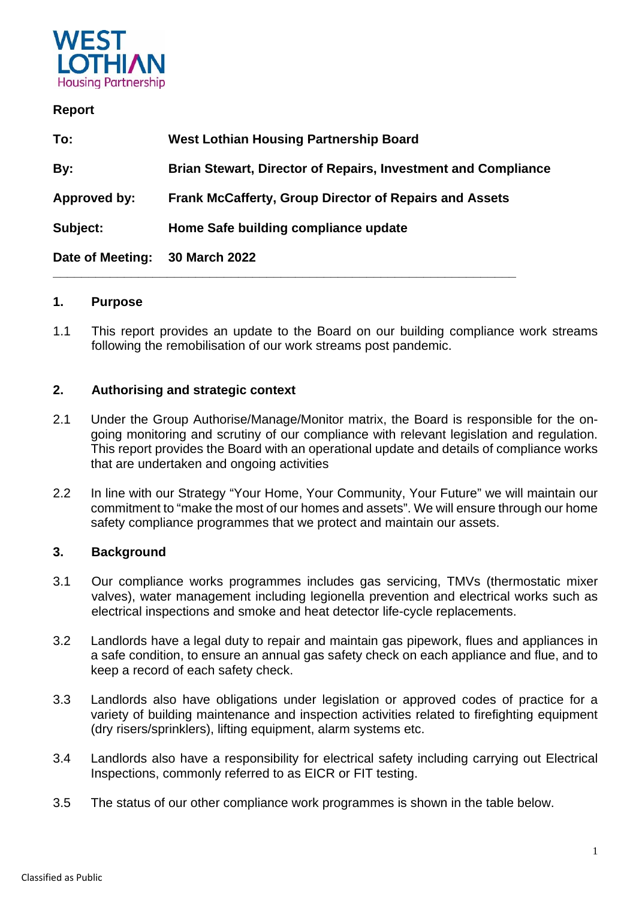

### **Report**

| To:              | <b>West Lothian Housing Partnership Board</b>                        |
|------------------|----------------------------------------------------------------------|
| By:              | <b>Brian Stewart, Director of Repairs, Investment and Compliance</b> |
| Approved by:     | <b>Frank McCafferty, Group Director of Repairs and Assets</b>        |
| Subject:         | Home Safe building compliance update                                 |
| Date of Meeting: | 30 March 2022                                                        |

**\_\_\_\_\_\_\_\_\_\_\_\_\_\_\_\_\_\_\_\_\_\_\_\_\_\_\_\_\_\_\_\_\_\_\_\_\_\_\_\_\_\_\_\_\_\_\_\_\_\_\_\_\_\_\_\_\_\_\_\_\_\_\_\_\_** 

### **1. Purpose**

1.1 This report provides an update to the Board on our building compliance work streams following the remobilisation of our work streams post pandemic.

### **2. Authorising and strategic context**

- 2.1 Under the Group Authorise/Manage/Monitor matrix, the Board is responsible for the ongoing monitoring and scrutiny of our compliance with relevant legislation and regulation. This report provides the Board with an operational update and details of compliance works that are undertaken and ongoing activities
- 2.2 In line with our Strategy "Your Home, Your Community, Your Future" we will maintain our commitment to "make the most of our homes and assets". We will ensure through our home safety compliance programmes that we protect and maintain our assets.

### **3. Background**

- 3.1 Our compliance works programmes includes gas servicing, TMVs (thermostatic mixer valves), water management including legionella prevention and electrical works such as electrical inspections and smoke and heat detector life-cycle replacements.
- 3.2 Landlords have a legal duty to repair and maintain gas pipework, flues and appliances in a safe condition, to ensure an annual gas safety check on each appliance and flue, and to keep a record of each safety check.
- 3.3 Landlords also have obligations under legislation or approved codes of practice for a variety of building maintenance and inspection activities related to firefighting equipment (dry risers/sprinklers), lifting equipment, alarm systems etc.
- 3.4 Landlords also have a responsibility for electrical safety including carrying out Electrical Inspections, commonly referred to as EICR or FIT testing.
- 3.5 The status of our other compliance work programmes is shown in the table below.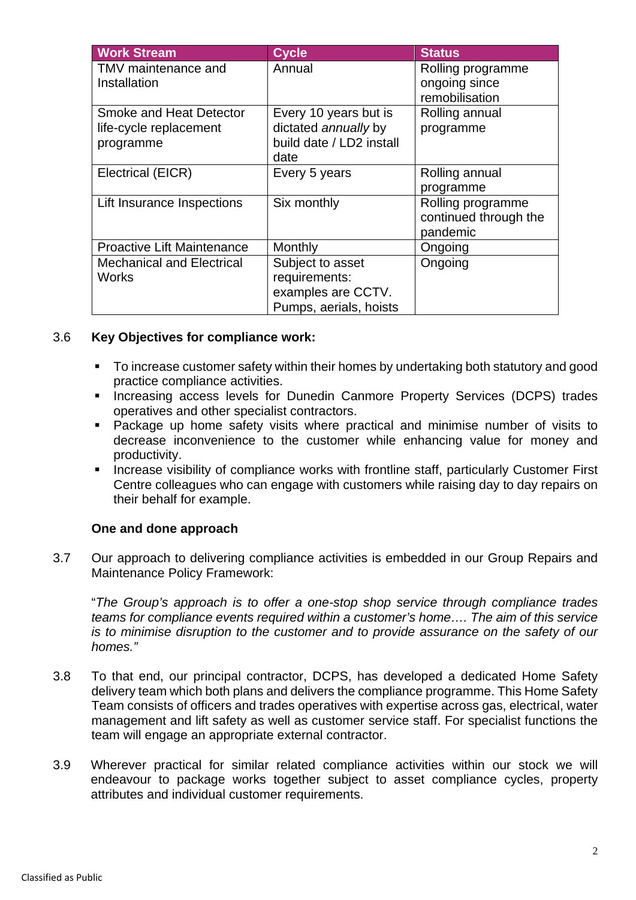| <b>Work Stream</b>                  | <b>Cycle</b>                     | <b>Status</b>                      |
|-------------------------------------|----------------------------------|------------------------------------|
| TMV maintenance and<br>Installation | Annual                           | Rolling programme<br>ongoing since |
|                                     |                                  | remobilisation                     |
| Smoke and Heat Detector             | Every 10 years but is            | Rolling annual                     |
| life-cycle replacement              | dictated annually by             | programme                          |
| programme                           | build date / LD2 install<br>date |                                    |
| Electrical (EICR)                   | Every 5 years                    | Rolling annual                     |
|                                     |                                  | programme                          |
| Lift Insurance Inspections          | Six monthly                      | Rolling programme                  |
|                                     |                                  | continued through the              |
|                                     |                                  | pandemic                           |
| <b>Proactive Lift Maintenance</b>   | Monthly                          | Ongoing                            |
| <b>Mechanical and Electrical</b>    | Subject to asset                 | Ongoing                            |
| Works                               | requirements:                    |                                    |
|                                     | examples are CCTV.               |                                    |
|                                     | Pumps, aerials, hoists           |                                    |

### 3.6 **Key Objectives for compliance work:**

- To increase customer safety within their homes by undertaking both statutory and good practice compliance activities.
- **Increasing access levels for Dunedin Canmore Property Services (DCPS) trades** operatives and other specialist contractors.
- Package up home safety visits where practical and minimise number of visits to decrease inconvenience to the customer while enhancing value for money and productivity.
- **Increase visibility of compliance works with frontline staff, particularly Customer First** Centre colleagues who can engage with customers while raising day to day repairs on their behalf for example.

### **One and done approach**

3.7 Our approach to delivering compliance activities is embedded in our Group Repairs and Maintenance Policy Framework:

"*The Group's approach is to offer a one-stop shop service through compliance trades teams for compliance events required within a customer's home…. The aim of this service is to minimise disruption to the customer and to provide assurance on the safety of our homes."*

- 3.8 To that end, our principal contractor, DCPS, has developed a dedicated Home Safety delivery team which both plans and delivers the compliance programme. This Home Safety Team consists of officers and trades operatives with expertise across gas, electrical, water management and lift safety as well as customer service staff. For specialist functions the team will engage an appropriate external contractor.
- 3.9 Wherever practical for similar related compliance activities within our stock we will endeavour to package works together subject to asset compliance cycles, property attributes and individual customer requirements.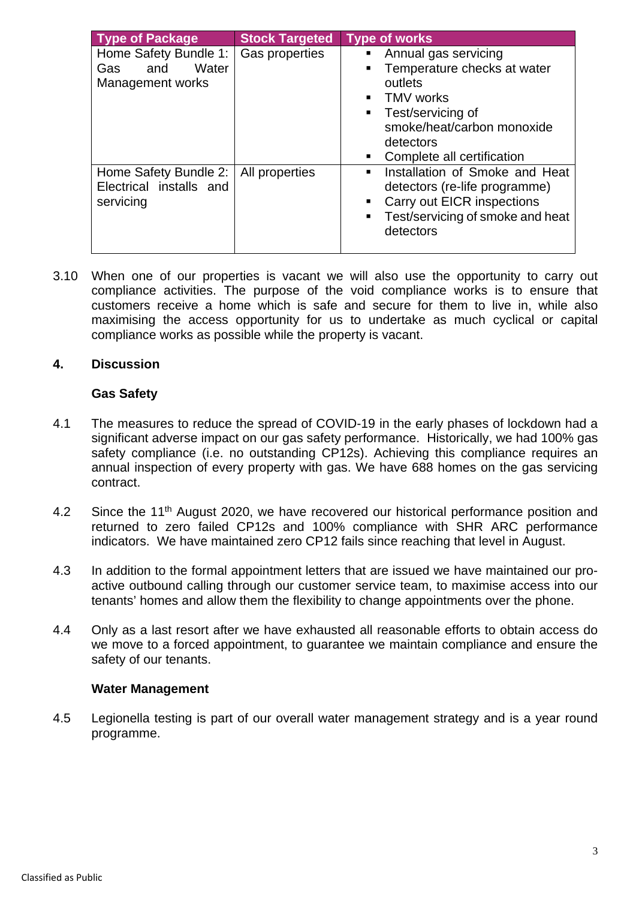| <b>Type of Package</b>                                           | <b>Stock Targeted</b> | <b>Type of works</b>                                                                                                                                                                                                                          |
|------------------------------------------------------------------|-----------------------|-----------------------------------------------------------------------------------------------------------------------------------------------------------------------------------------------------------------------------------------------|
| Home Safety Bundle 1:<br>Water<br>and<br>Gas<br>Management works | Gas properties        | Annual gas servicing<br>Temperature checks at water<br>٠<br>outlets<br><b>TMV</b> works<br>$\blacksquare$<br>Test/servicing of<br>$\blacksquare$<br>smoke/heat/carbon monoxide<br>detectors<br>Complete all certification<br>$\blacksquare$ . |
| Home Safety Bundle 2:<br>Electrical installs and<br>servicing    | All properties        | Installation of Smoke and Heat<br>detectors (re-life programme)<br>Carry out EICR inspections<br>п<br>Test/servicing of smoke and heat<br>$\blacksquare$<br>detectors                                                                         |

3.10 When one of our properties is vacant we will also use the opportunity to carry out compliance activities. The purpose of the void compliance works is to ensure that customers receive a home which is safe and secure for them to live in, while also maximising the access opportunity for us to undertake as much cyclical or capital compliance works as possible while the property is vacant.

### **4. Discussion**

### **Gas Safety**

- 4.1 The measures to reduce the spread of COVID-19 in the early phases of lockdown had a significant adverse impact on our gas safety performance. Historically, we had 100% gas safety compliance (i.e. no outstanding CP12s). Achieving this compliance requires an annual inspection of every property with gas. We have 688 homes on the gas servicing contract.
- 4.2 Since the 11<sup>th</sup> August 2020, we have recovered our historical performance position and returned to zero failed CP12s and 100% compliance with SHR ARC performance indicators. We have maintained zero CP12 fails since reaching that level in August.
- 4.3 In addition to the formal appointment letters that are issued we have maintained our proactive outbound calling through our customer service team, to maximise access into our tenants' homes and allow them the flexibility to change appointments over the phone.
- 4.4 Only as a last resort after we have exhausted all reasonable efforts to obtain access do we move to a forced appointment, to guarantee we maintain compliance and ensure the safety of our tenants.

### **Water Management**

4.5 Legionella testing is part of our overall water management strategy and is a year round programme.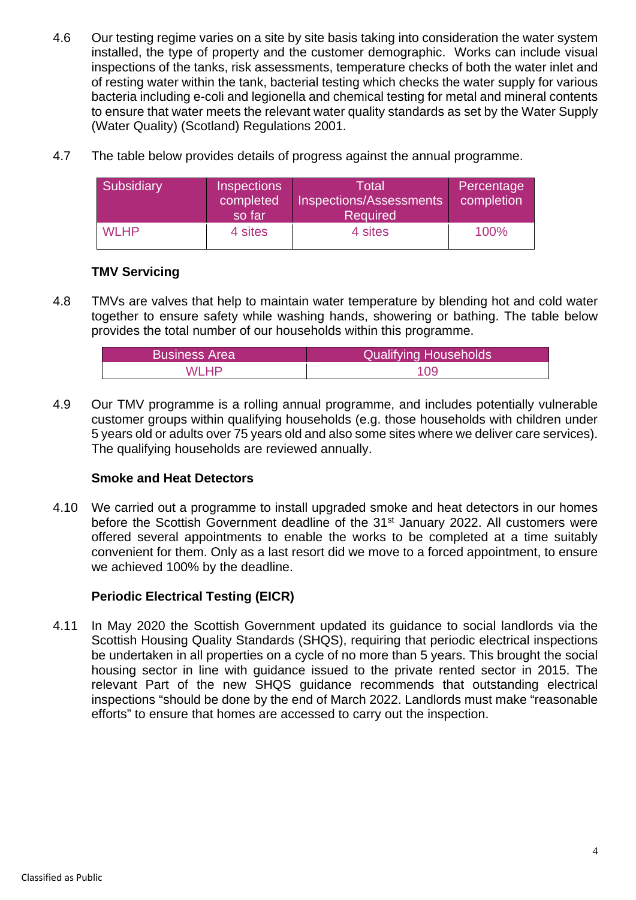- 4.6 Our testing regime varies on a site by site basis taking into consideration the water system installed, the type of property and the customer demographic. Works can include visual inspections of the tanks, risk assessments, temperature checks of both the water inlet and of resting water within the tank, bacterial testing which checks the water supply for various bacteria including e-coli and legionella and chemical testing for metal and mineral contents to ensure that water meets the relevant water quality standards as set by the Water Supply (Water Quality) (Scotland) Regulations 2001.
- 4.7 The table below provides details of progress against the annual programme.

| Subsidiary  | <b>Inspections</b><br>completed<br>so far | Total'<br>Inspections/Assessments<br><b>Required</b> | Percentage<br>completion |
|-------------|-------------------------------------------|------------------------------------------------------|--------------------------|
| <b>WLHP</b> | 4 sites                                   | 4 sites                                              | 100%                     |

### **TMV Servicing**

4.8 TMVs are valves that help to maintain water temperature by blending hot and cold water together to ensure safety while washing hands, showering or bathing. The table below provides the total number of our households within this programme.

| <b>Business Area</b> | <b>Qualifying Households</b> |
|----------------------|------------------------------|
| MI HP                | 109                          |

4.9 Our TMV programme is a rolling annual programme, and includes potentially vulnerable customer groups within qualifying households (e.g. those households with children under 5 years old or adults over 75 years old and also some sites where we deliver care services). The qualifying households are reviewed annually.

### **Smoke and Heat Detectors**

4.10 We carried out a programme to install upgraded smoke and heat detectors in our homes before the Scottish Government deadline of the 31<sup>st</sup> January 2022. All customers were offered several appointments to enable the works to be completed at a time suitably convenient for them. Only as a last resort did we move to a forced appointment, to ensure we achieved 100% by the deadline.

## **Periodic Electrical Testing (EICR)**

4.11 In May 2020 the Scottish Government updated its guidance to social landlords via the Scottish Housing Quality Standards (SHQS), requiring that periodic electrical inspections be undertaken in all properties on a cycle of no more than 5 years. This brought the social housing sector in line with guidance issued to the private rented sector in 2015. The relevant Part of the new SHQS guidance recommends that outstanding electrical inspections "should be done by the end of March 2022. Landlords must make "reasonable efforts" to ensure that homes are accessed to carry out the inspection.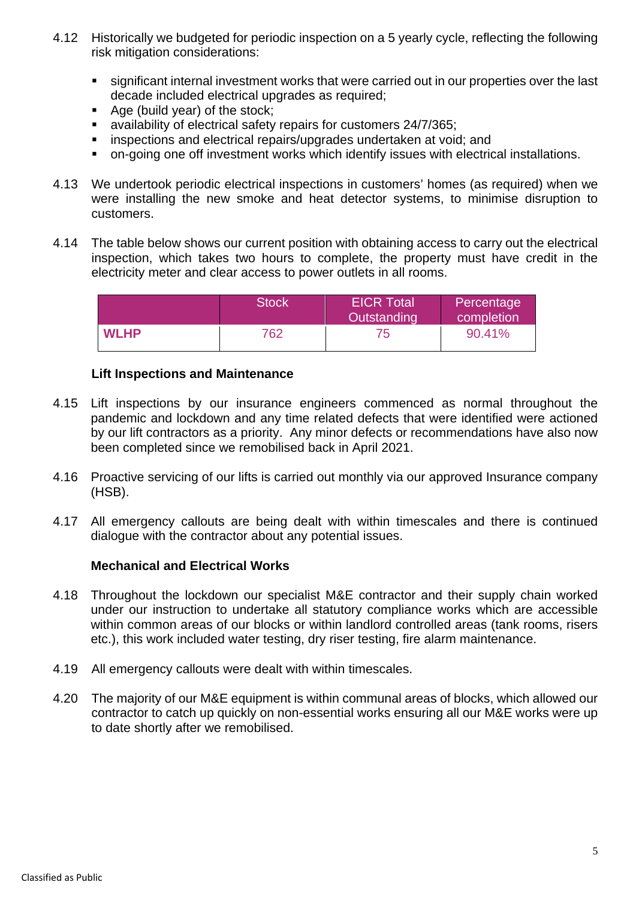- 4.12 Historically we budgeted for periodic inspection on a 5 yearly cycle, reflecting the following risk mitigation considerations:
	- significant internal investment works that were carried out in our properties over the last decade included electrical upgrades as required;
	- Age (build year) of the stock;
	- availability of electrical safety repairs for customers 24/7/365;
	- **EXTEREN** inspections and electrical repairs/upgrades undertaken at void; and
	- on-going one off investment works which identify issues with electrical installations.
- 4.13 We undertook periodic electrical inspections in customers' homes (as required) when we were installing the new smoke and heat detector systems, to minimise disruption to customers.
- 4.14 The table below shows our current position with obtaining access to carry out the electrical inspection, which takes two hours to complete, the property must have credit in the electricity meter and clear access to power outlets in all rooms.

|             | <b>Stock</b> | <b>EICR Total</b><br>Outstanding | Percentage<br>completion |
|-------------|--------------|----------------------------------|--------------------------|
| <b>WLHP</b> | 762          | 75                               | 90.41%                   |

### **Lift Inspections and Maintenance**

- 4.15 Lift inspections by our insurance engineers commenced as normal throughout the pandemic and lockdown and any time related defects that were identified were actioned by our lift contractors as a priority. Any minor defects or recommendations have also now been completed since we remobilised back in April 2021.
- 4.16 Proactive servicing of our lifts is carried out monthly via our approved Insurance company (HSB).
- 4.17 All emergency callouts are being dealt with within timescales and there is continued dialogue with the contractor about any potential issues.

### **Mechanical and Electrical Works**

- 4.18 Throughout the lockdown our specialist M&E contractor and their supply chain worked under our instruction to undertake all statutory compliance works which are accessible within common areas of our blocks or within landlord controlled areas (tank rooms, risers etc.), this work included water testing, dry riser testing, fire alarm maintenance.
- 4.19 All emergency callouts were dealt with within timescales.
- 4.20 The majority of our M&E equipment is within communal areas of blocks, which allowed our contractor to catch up quickly on non-essential works ensuring all our M&E works were up to date shortly after we remobilised.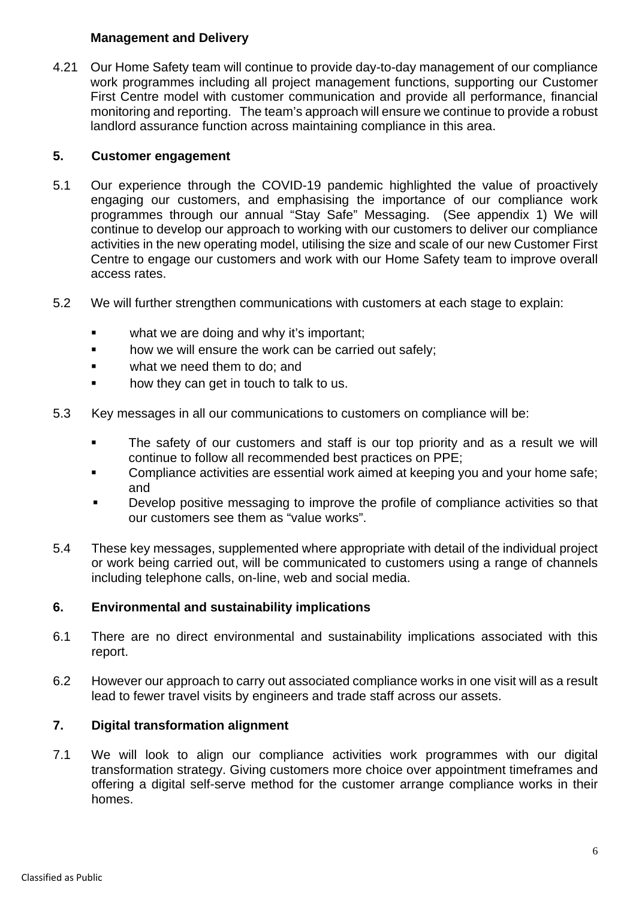### **Management and Delivery**

4.21 Our Home Safety team will continue to provide day-to-day management of our compliance work programmes including all project management functions, supporting our Customer First Centre model with customer communication and provide all performance, financial monitoring and reporting. The team's approach will ensure we continue to provide a robust landlord assurance function across maintaining compliance in this area.

### **5. Customer engagement**

- 5.1 Our experience through the COVID-19 pandemic highlighted the value of proactively engaging our customers, and emphasising the importance of our compliance work programmes through our annual "Stay Safe" Messaging. (See appendix 1) We will continue to develop our approach to working with our customers to deliver our compliance activities in the new operating model, utilising the size and scale of our new Customer First Centre to engage our customers and work with our Home Safety team to improve overall access rates.
- 5.2 We will further strengthen communications with customers at each stage to explain:
	- **•** what we are doing and why it's important;
	- **how we will ensure the work can be carried out safely;**
	- what we need them to do; and
	- **how they can get in touch to talk to us.**
- 5.3 Key messages in all our communications to customers on compliance will be:
	- **The safety of our customers and staff is our top priority and as a result we will** continue to follow all recommended best practices on PPE;
	- **Compliance activities are essential work aimed at keeping you and your home safe;** and
	- **•** Develop positive messaging to improve the profile of compliance activities so that our customers see them as "value works".
- 5.4 These key messages, supplemented where appropriate with detail of the individual project or work being carried out, will be communicated to customers using a range of channels including telephone calls, on-line, web and social media.

### **6. Environmental and sustainability implications**

- 6.1 There are no direct environmental and sustainability implications associated with this report.
- 6.2 However our approach to carry out associated compliance works in one visit will as a result lead to fewer travel visits by engineers and trade staff across our assets.

### **7. Digital transformation alignment**

7.1 We will look to align our compliance activities work programmes with our digital transformation strategy. Giving customers more choice over appointment timeframes and offering a digital self-serve method for the customer arrange compliance works in their homes.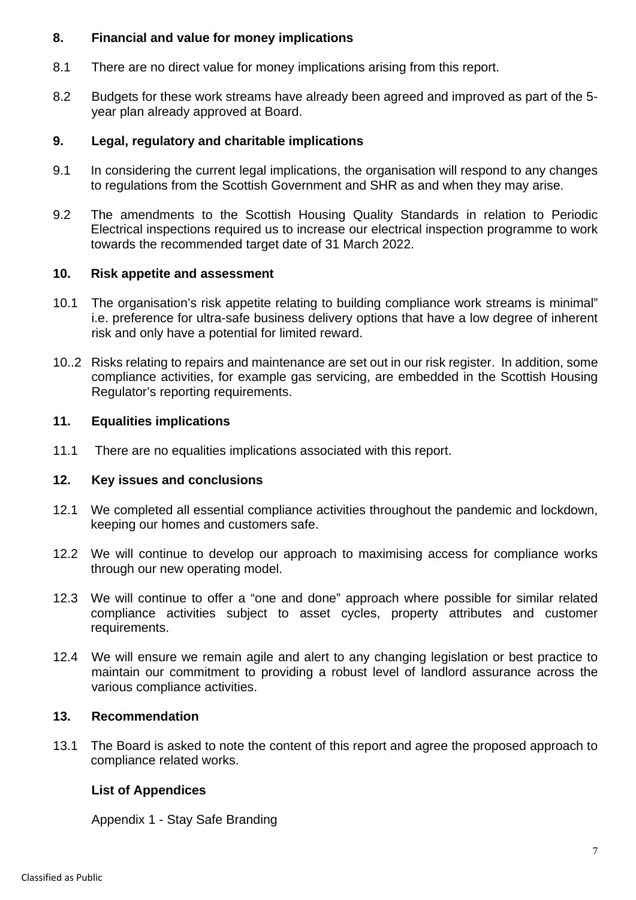### **8. Financial and value for money implications**

- 8.1 There are no direct value for money implications arising from this report.
- 8.2 Budgets for these work streams have already been agreed and improved as part of the 5 year plan already approved at Board.

### **9. Legal, regulatory and charitable implications**

- 9.1 In considering the current legal implications, the organisation will respond to any changes to regulations from the Scottish Government and SHR as and when they may arise.
- 9.2 The amendments to the Scottish Housing Quality Standards in relation to Periodic Electrical inspections required us to increase our electrical inspection programme to work towards the recommended target date of 31 March 2022.

### **10. Risk appetite and assessment**

- 10.1 The organisation's risk appetite relating to building compliance work streams is minimal" i.e. preference for ultra-safe business delivery options that have a low degree of inherent risk and only have a potential for limited reward.
- 10..2 Risks relating to repairs and maintenance are set out in our risk register. In addition, some compliance activities, for example gas servicing, are embedded in the Scottish Housing Regulator's reporting requirements.

### **11. Equalities implications**

11.1 There are no equalities implications associated with this report.

### **12. Key issues and conclusions**

- 12.1 We completed all essential compliance activities throughout the pandemic and lockdown, keeping our homes and customers safe.
- 12.2 We will continue to develop our approach to maximising access for compliance works through our new operating model.
- 12.3 We will continue to offer a "one and done" approach where possible for similar related compliance activities subject to asset cycles, property attributes and customer requirements.
- 12.4 We will ensure we remain agile and alert to any changing legislation or best practice to maintain our commitment to providing a robust level of landlord assurance across the various compliance activities.

### **13. Recommendation**

13.1 The Board is asked to note the content of this report and agree the proposed approach to compliance related works.

### **List of Appendices**

Appendix 1 - Stay Safe Branding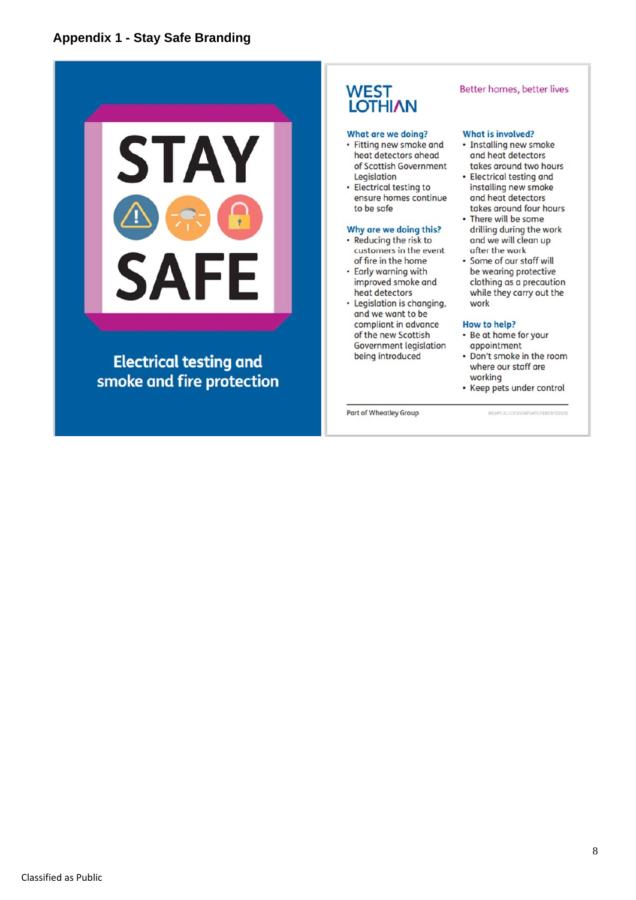

**Electrical testing and** smoke and fire protection

## **WEST LOTHIAN**

#### What are we doing?

- Fitting new smoke and heat detectors ahead of Scottish Government Legislation
- Electrical testing to ensure homes continue to be safe

### Why are we doing this?

- · Reducing the risk to customers in the event of fire in the home
- Early warning with improved smoke and heat detectors
- Legislation is changing. and we want to be compliant in advance of the new Scottish Government legislation being introduced

#### Better homes, better lives

#### **What is involved?**

- · Installing new smoke and heat detectors takes around two hours
- Electrical testing and installing new smoke and heat detectors takes around four hours
- There will be some drilling during the work and we will clean up after the work
- · Some of our staff will be wearing protective clothing as a precaution while they carry out the work

#### **How to help?**

- Be at home for your appointment
- Don't smoke in the room where our staff are working
- Keep pets under control

Part of Wheatley Group

I

WLHPCALLCRO/STAYSAFE/FE819/102031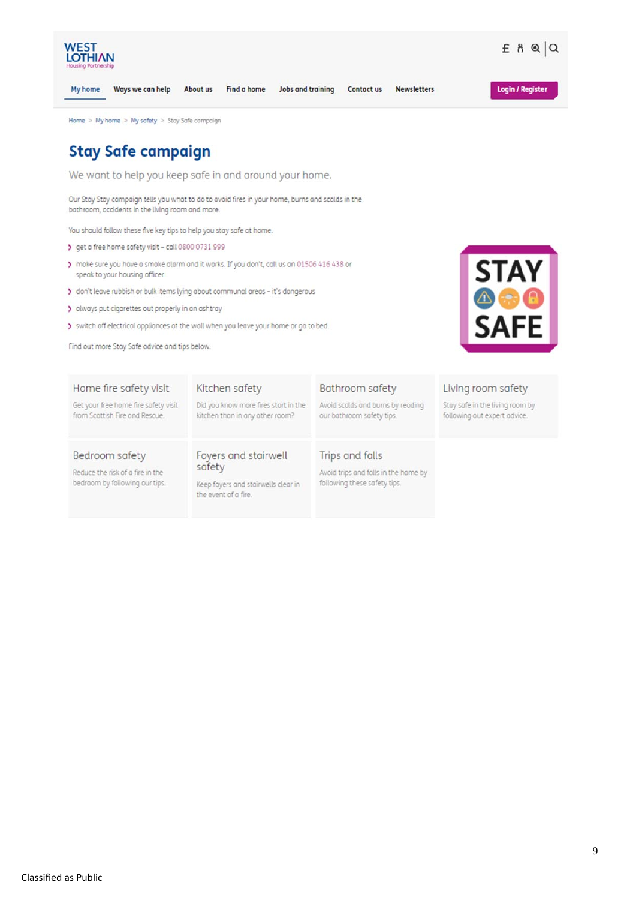

- speak to your housing officer
- > don't leave rubbish or bulk items lying about communal areas it's dangerous
- > always put cigarettes out properly in an ashtray
- > switch off electrical appliances at the wall when you leave your home or go to bed.

Find out more Stay Safe advice and tips below.



## Home fire safety visit

Get your free home fire safety visit from Scottish Fire and Rescue.

### Kitchen safety

Did you know more fires start in the kitchen than in any other room?

# Bathroom safety

Avoid scalds and burns by reading our bothroom safety tips.

### Bedroom safety

Reduce the risk of a fire in the bedroom by following our tips.

#### Foyers and stairwell safety

Keep foyers and stairwells clear in the event of a fire.

### Trips and falls

Avoid trips and falls in the home by following these safety tips.

#### Living room safety

Stay safe in the living room by following out expert odvice.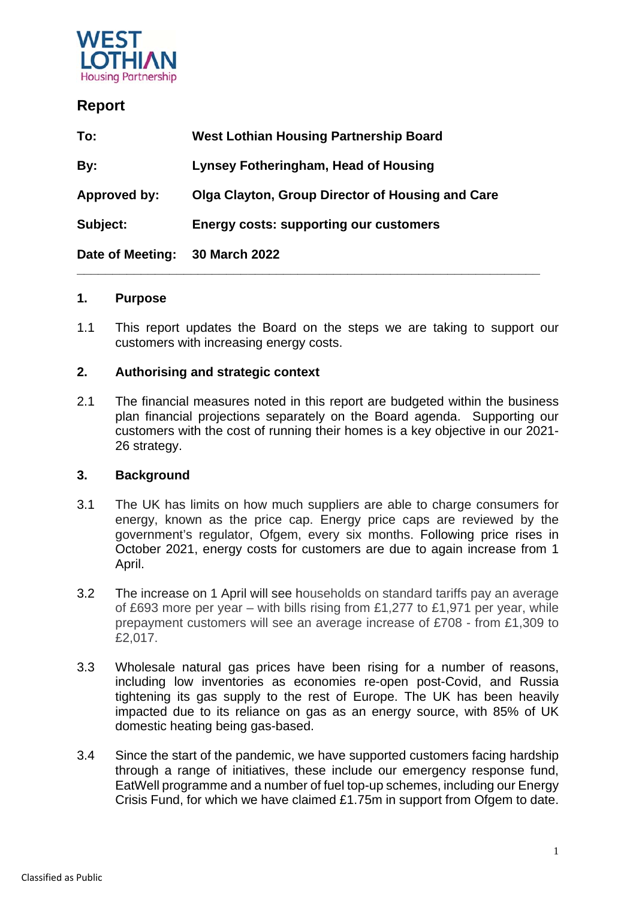

# **Report**

| To:              | <b>West Lothian Housing Partnership Board</b>    |
|------------------|--------------------------------------------------|
| By:              | <b>Lynsey Fotheringham, Head of Housing</b>      |
| Approved by:     | Olga Clayton, Group Director of Housing and Care |
| Subject:         | <b>Energy costs: supporting our customers</b>    |
| Date of Meeting: | 30 March 2022                                    |

### **1. Purpose**

1.1 This report updates the Board on the steps we are taking to support our customers with increasing energy costs.

**\_\_\_\_\_\_\_\_\_\_\_\_\_\_\_\_\_\_\_\_\_\_\_\_\_\_\_\_\_\_\_\_\_\_\_\_\_\_\_\_\_\_\_\_\_\_\_\_\_\_\_\_\_\_\_\_\_\_\_\_\_\_\_\_\_** 

### **2. Authorising and strategic context**

2.1 The financial measures noted in this report are budgeted within the business plan financial projections separately on the Board agenda. Supporting our customers with the cost of running their homes is a key objective in our 2021- 26 strategy.

### **3. Background**

- 3.1 The UK has limits on how much suppliers are able to charge consumers for energy, known as the price cap. Energy price caps are reviewed by the government's regulator, Ofgem, every six months. Following price rises in October 2021, energy costs for customers are due to again increase from 1 April.
- 3.2 The increase on 1 April will see households on standard tariffs pay an average of £693 more per year – with bills rising from £1,277 to £1,971 per year, while prepayment customers will see an average increase of £708 - from £1,309 to £2,017.
- 3.3 Wholesale natural gas prices have been rising for a number of reasons, including low inventories as economies re-open post-Covid, and Russia tightening its gas supply to the rest of Europe. The UK has been heavily impacted due to its reliance on gas as an energy source, with 85% of UK domestic heating being gas-based.
- 3.4 Since the start of the pandemic, we have supported customers facing hardship through a range of initiatives, these include our emergency response fund, EatWell programme and a number of fuel top-up schemes, including our Energy Crisis Fund, for which we have claimed £1.75m in support from Ofgem to date.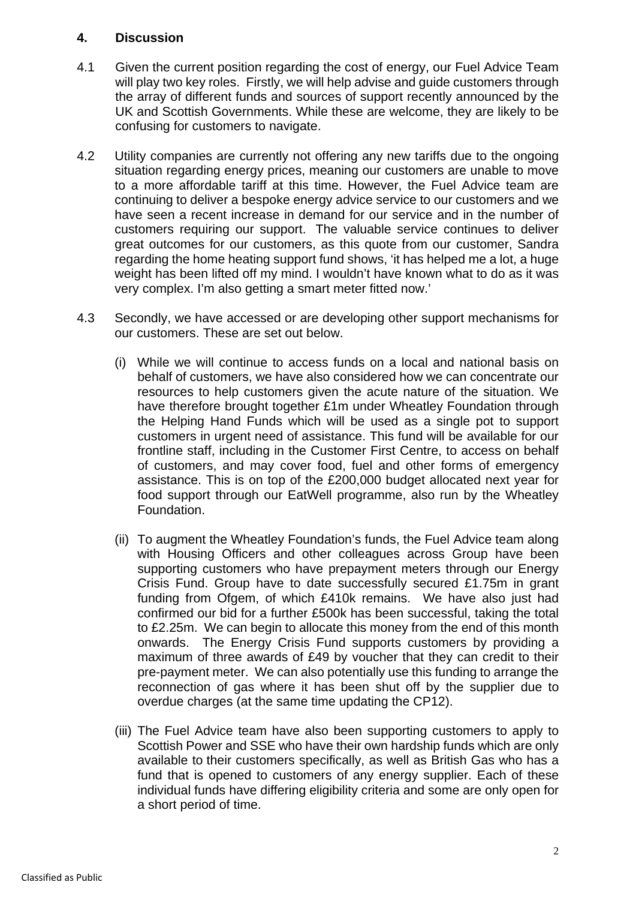### **4. Discussion**

- 4.1 Given the current position regarding the cost of energy, our Fuel Advice Team will play two key roles. Firstly, we will help advise and guide customers through the array of different funds and sources of support recently announced by the UK and Scottish Governments. While these are welcome, they are likely to be confusing for customers to navigate.
- 4.2 Utility companies are currently not offering any new tariffs due to the ongoing situation regarding energy prices, meaning our customers are unable to move to a more affordable tariff at this time. However, the Fuel Advice team are continuing to deliver a bespoke energy advice service to our customers and we have seen a recent increase in demand for our service and in the number of customers requiring our support. The valuable service continues to deliver great outcomes for our customers, as this quote from our customer, Sandra regarding the home heating support fund shows, 'it has helped me a lot, a huge weight has been lifted off my mind. I wouldn't have known what to do as it was very complex. I'm also getting a smart meter fitted now.'
- 4.3 Secondly, we have accessed or are developing other support mechanisms for our customers. These are set out below.
	- (i) While we will continue to access funds on a local and national basis on behalf of customers, we have also considered how we can concentrate our resources to help customers given the acute nature of the situation. We have therefore brought together £1m under Wheatley Foundation through the Helping Hand Funds which will be used as a single pot to support customers in urgent need of assistance. This fund will be available for our frontline staff, including in the Customer First Centre, to access on behalf of customers, and may cover food, fuel and other forms of emergency assistance. This is on top of the £200,000 budget allocated next year for food support through our EatWell programme, also run by the Wheatley Foundation.
	- (ii) To augment the Wheatley Foundation's funds, the Fuel Advice team along with Housing Officers and other colleagues across Group have been supporting customers who have prepayment meters through our Energy Crisis Fund. Group have to date successfully secured £1.75m in grant funding from Ofgem, of which £410k remains. We have also just had confirmed our bid for a further £500k has been successful, taking the total to £2.25m. We can begin to allocate this money from the end of this month onwards. The Energy Crisis Fund supports customers by providing a maximum of three awards of £49 by voucher that they can credit to their pre-payment meter. We can also potentially use this funding to arrange the reconnection of gas where it has been shut off by the supplier due to overdue charges (at the same time updating the CP12).
	- (iii) The Fuel Advice team have also been supporting customers to apply to Scottish Power and SSE who have their own hardship funds which are only available to their customers specifically, as well as British Gas who has a fund that is opened to customers of any energy supplier. Each of these individual funds have differing eligibility criteria and some are only open for a short period of time.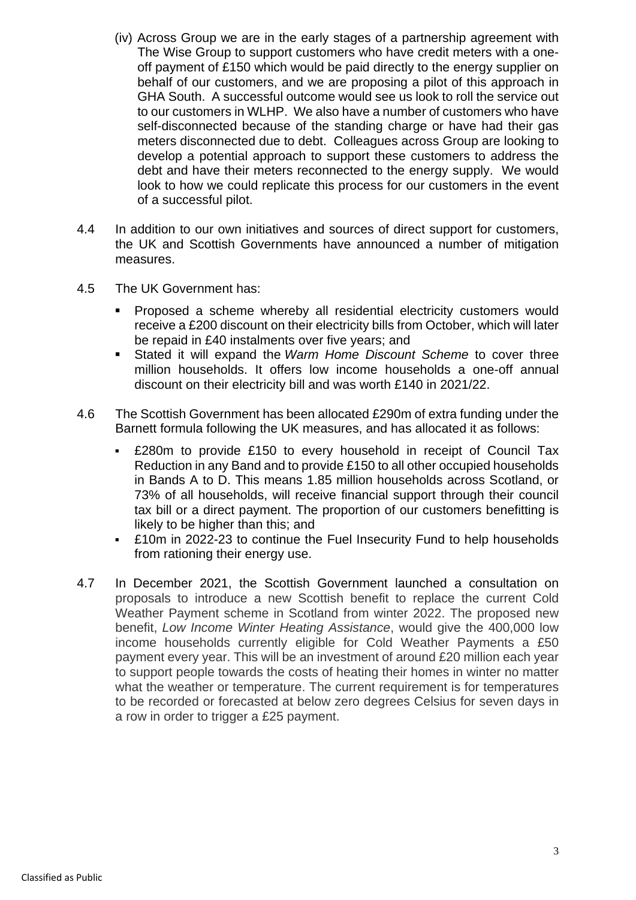- (iv) Across Group we are in the early stages of a partnership agreement with The Wise Group to support customers who have credit meters with a oneoff payment of £150 which would be paid directly to the energy supplier on behalf of our customers, and we are proposing a pilot of this approach in GHA South. A successful outcome would see us look to roll the service out to our customers in WLHP. We also have a number of customers who have self-disconnected because of the standing charge or have had their gas meters disconnected due to debt. Colleagues across Group are looking to develop a potential approach to support these customers to address the debt and have their meters reconnected to the energy supply. We would look to how we could replicate this process for our customers in the event of a successful pilot.
- 4.4 In addition to our own initiatives and sources of direct support for customers, the UK and Scottish Governments have announced a number of mitigation measures.
- 4.5 The UK Government has:
	- **Proposed a scheme whereby all residential electricity customers would** receive a £200 discount on their electricity bills from October, which will later be repaid in £40 instalments over five years; and
	- Stated it will expand the *Warm Home Discount Scheme* to cover three million households. It offers low income households a one-off annual discount on their electricity bill and was worth £140 in 2021/22.
- 4.6 The Scottish Government has been allocated £290m of extra funding under the Barnett formula following the UK measures, and has allocated it as follows:
	- £280m to provide £150 to every household in receipt of Council Tax Reduction in any Band and to provide £150 to all other occupied households in Bands A to D. This means 1.85 million households across Scotland, or 73% of all households, will receive financial support through their council tax bill or a direct payment. The proportion of our customers benefitting is likely to be higher than this; and
	- £10m in 2022-23 to continue the Fuel Insecurity Fund to help households from rationing their energy use.
- 4.7 In December 2021, the Scottish Government launched a consultation on proposals to introduce a new Scottish benefit to replace the current Cold Weather Payment scheme in Scotland from winter 2022. The proposed new benefit, *Low Income Winter Heating Assistance*, would give the 400,000 low income households currently eligible for Cold Weather Payments a £50 payment every year. This will be an investment of around £20 million each year to support people towards the costs of heating their homes in winter no matter what the weather or temperature. The current requirement is for temperatures to be recorded or forecasted at below zero degrees Celsius for seven days in a row in order to trigger a £25 payment.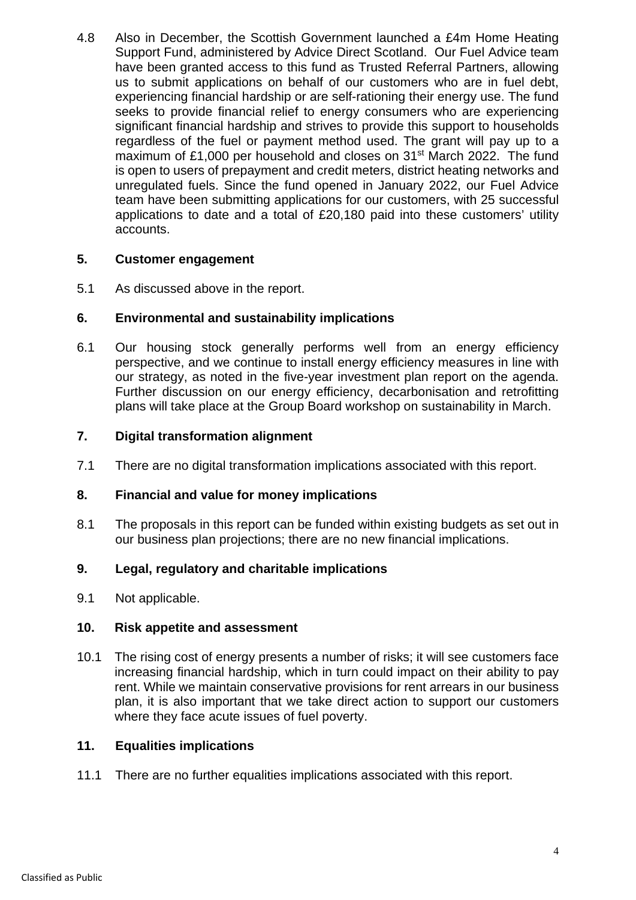4.8 Also in December, the Scottish Government launched a £4m Home Heating Support Fund, administered by Advice Direct Scotland. Our Fuel Advice team have been granted access to this fund as Trusted Referral Partners, allowing us to submit applications on behalf of our customers who are in fuel debt, experiencing financial hardship or are self-rationing their energy use. The fund seeks to provide financial relief to energy consumers who are experiencing significant financial hardship and strives to provide this support to households regardless of the fuel or payment method used. The grant will pay up to a maximum of £1,000 per household and closes on 31<sup>st</sup> March 2022. The fund is open to users of prepayment and credit meters, district heating networks and unregulated fuels. Since the fund opened in January 2022, our Fuel Advice team have been submitting applications for our customers, with 25 successful applications to date and a total of £20,180 paid into these customers' utility accounts.

### **5. Customer engagement**

5.1 As discussed above in the report.

### **6. Environmental and sustainability implications**

6.1 Our housing stock generally performs well from an energy efficiency perspective, and we continue to install energy efficiency measures in line with our strategy, as noted in the five-year investment plan report on the agenda. Further discussion on our energy efficiency, decarbonisation and retrofitting plans will take place at the Group Board workshop on sustainability in March.

### **7. Digital transformation alignment**

7.1 There are no digital transformation implications associated with this report.

### **8. Financial and value for money implications**

8.1 The proposals in this report can be funded within existing budgets as set out in our business plan projections; there are no new financial implications.

### **9. Legal, regulatory and charitable implications**

9.1 Not applicable.

### **10. Risk appetite and assessment**

10.1 The rising cost of energy presents a number of risks; it will see customers face increasing financial hardship, which in turn could impact on their ability to pay rent. While we maintain conservative provisions for rent arrears in our business plan, it is also important that we take direct action to support our customers where they face acute issues of fuel poverty.

### **11. Equalities implications**

11.1 There are no further equalities implications associated with this report.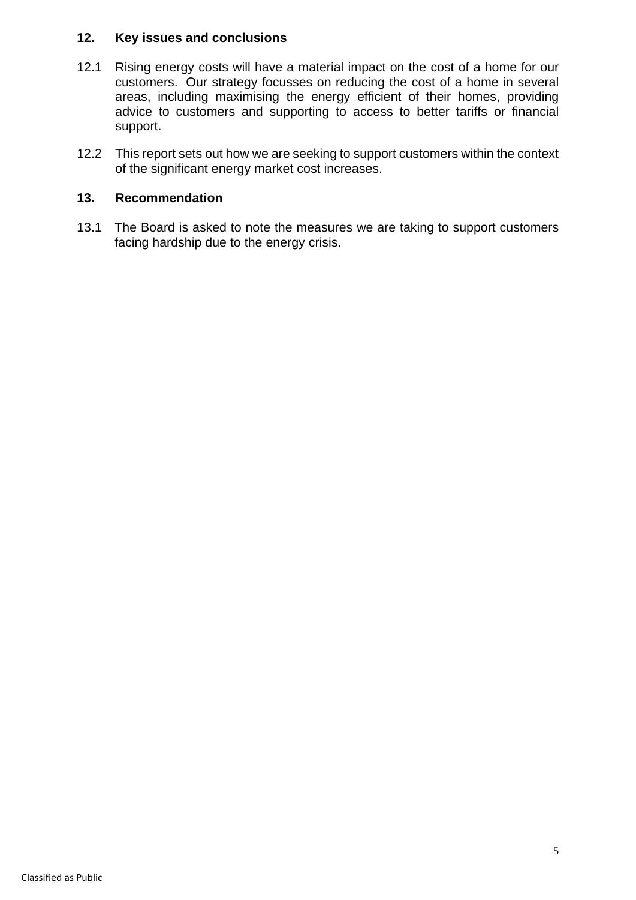### **12. Key issues and conclusions**

- 12.1 Rising energy costs will have a material impact on the cost of a home for our customers. Our strategy focusses on reducing the cost of a home in several areas, including maximising the energy efficient of their homes, providing advice to customers and supporting to access to better tariffs or financial support.
- 12.2 This report sets out how we are seeking to support customers within the context of the significant energy market cost increases.

### **13. Recommendation**

13.1 The Board is asked to note the measures we are taking to support customers facing hardship due to the energy crisis.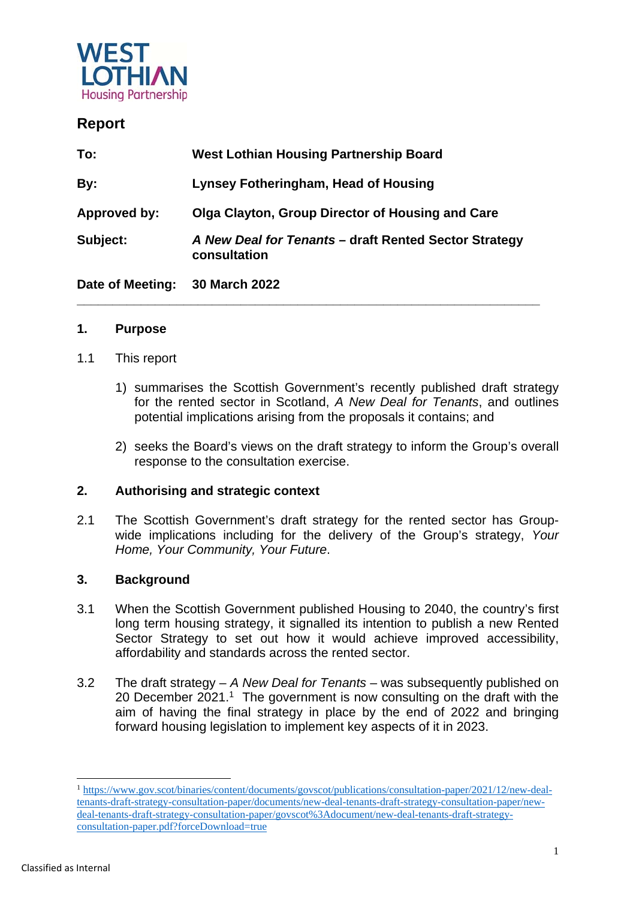

## **Report**

| Date of Meeting: | 30 March 2022                                                         |
|------------------|-----------------------------------------------------------------------|
| Subject:         | A New Deal for Tenants - draft Rented Sector Strategy<br>consultation |
| Approved by:     | <b>Olga Clayton, Group Director of Housing and Care</b>               |
| By:              | <b>Lynsey Fotheringham, Head of Housing</b>                           |
| To:              | <b>West Lothian Housing Partnership Board</b>                         |

### **1. Purpose**

- 1.1 This report
	- 1) summarises the Scottish Government's recently published draft strategy for the rented sector in Scotland, *A New Deal for Tenants*, and outlines potential implications arising from the proposals it contains; and
	- 2) seeks the Board's views on the draft strategy to inform the Group's overall response to the consultation exercise.

### **2. Authorising and strategic context**

2.1 The Scottish Government's draft strategy for the rented sector has Groupwide implications including for the delivery of the Group's strategy, *Your Home, Your Community, Your Future*.

### **3. Background**

- 3.1 When the Scottish Government published Housing to 2040, the country's first long term housing strategy, it signalled its intention to publish a new Rented Sector Strategy to set out how it would achieve improved accessibility, affordability and standards across the rented sector.
- 3.2 The draft strategy *A New Deal for Tenants* was subsequently published on 20 December 2021.<sup>1</sup> The government is now consulting on the draft with the aim of having the final strategy in place by the end of 2022 and bringing forward housing legislation to implement key aspects of it in 2023.

-

<sup>1</sup> https://www.gov.scot/binaries/content/documents/govscot/publications/consultation-paper/2021/12/new-dealtenants-draft-strategy-consultation-paper/documents/new-deal-tenants-draft-strategy-consultation-paper/newdeal-tenants-draft-strategy-consultation-paper/govscot%3Adocument/new-deal-tenants-draft-strategyconsultation-paper.pdf?forceDownload=true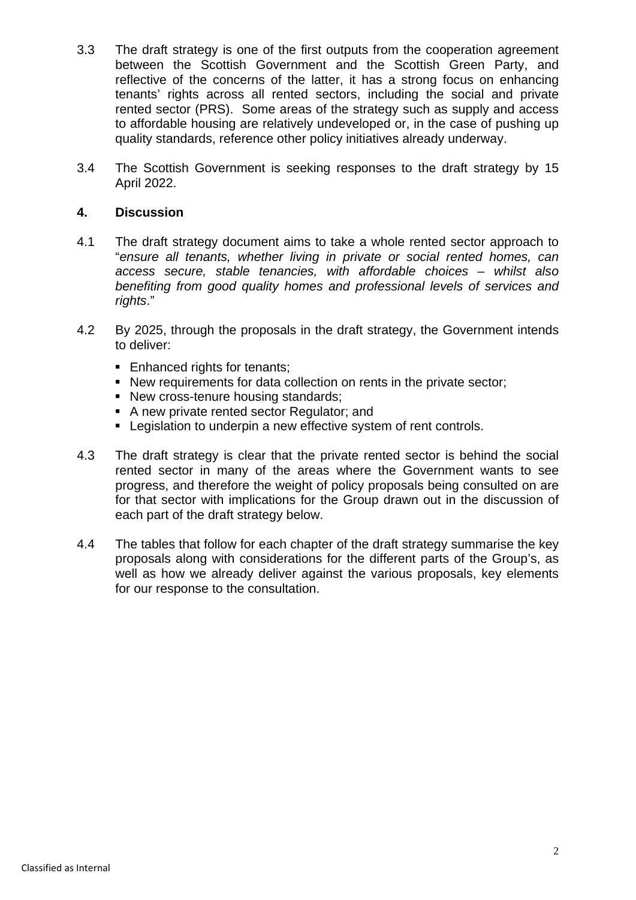- 3.3 The draft strategy is one of the first outputs from the cooperation agreement between the Scottish Government and the Scottish Green Party, and reflective of the concerns of the latter, it has a strong focus on enhancing tenants' rights across all rented sectors, including the social and private rented sector (PRS). Some areas of the strategy such as supply and access to affordable housing are relatively undeveloped or, in the case of pushing up quality standards, reference other policy initiatives already underway.
- 3.4 The Scottish Government is seeking responses to the draft strategy by 15 April 2022.

### **4. Discussion**

- 4.1 The draft strategy document aims to take a whole rented sector approach to "*ensure all tenants, whether living in private or social rented homes, can access secure, stable tenancies, with affordable choices – whilst also benefiting from good quality homes and professional levels of services and rights*."
- 4.2 By 2025, through the proposals in the draft strategy, the Government intends to deliver:
	- Enhanced rights for tenants;
	- New requirements for data collection on rents in the private sector;
	- New cross-tenure housing standards;
	- A new private rented sector Regulator; and
	- **Example 1** Legislation to underpin a new effective system of rent controls.
- 4.3 The draft strategy is clear that the private rented sector is behind the social rented sector in many of the areas where the Government wants to see progress, and therefore the weight of policy proposals being consulted on are for that sector with implications for the Group drawn out in the discussion of each part of the draft strategy below.
- 4.4 The tables that follow for each chapter of the draft strategy summarise the key proposals along with considerations for the different parts of the Group's, as well as how we already deliver against the various proposals, key elements for our response to the consultation.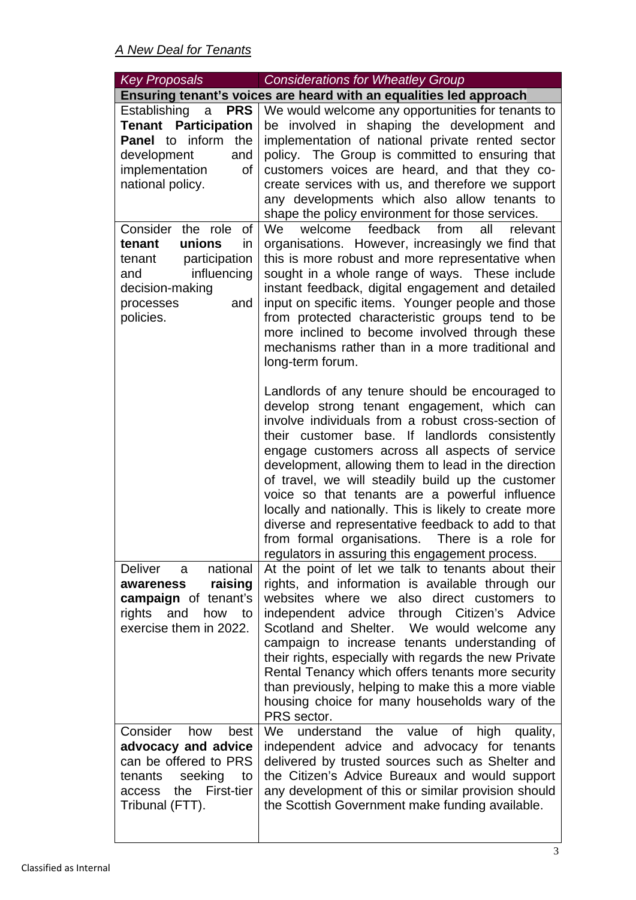| Key Proposals                                                                                                                                                        | <b>Considerations for Wheatley Group</b>                                                                                                                                                                                                                                                                                                                                                                                                                                                                                                                                                                                                   |
|----------------------------------------------------------------------------------------------------------------------------------------------------------------------|--------------------------------------------------------------------------------------------------------------------------------------------------------------------------------------------------------------------------------------------------------------------------------------------------------------------------------------------------------------------------------------------------------------------------------------------------------------------------------------------------------------------------------------------------------------------------------------------------------------------------------------------|
|                                                                                                                                                                      | Ensuring tenant's voices are heard with an equalities led approach                                                                                                                                                                                                                                                                                                                                                                                                                                                                                                                                                                         |
| Establishing<br><b>PRS</b><br>a<br><b>Tenant Participation</b><br>inform<br><b>Panel</b> to<br>the<br>development<br>and<br>implementation<br>of<br>national policy. | We would welcome any opportunities for tenants to<br>be involved in shaping the development and<br>implementation of national private rented sector<br>policy. The Group is committed to ensuring that<br>customers voices are heard, and that they co-<br>create services with us, and therefore we support<br>any developments which also allow tenants to<br>shape the policy environment for those services.                                                                                                                                                                                                                           |
| Consider the role<br>of<br>unions<br>in<br>tenant<br>participation<br>tenant<br>influencing<br>and<br>decision-making<br>and<br>processes<br>policies.               | feedback<br>welcome<br>from<br>all<br>We<br>relevant<br>organisations. However, increasingly we find that<br>this is more robust and more representative when<br>sought in a whole range of ways. These include<br>instant feedback, digital engagement and detailed<br>input on specific items. Younger people and those<br>from protected characteristic groups tend to be<br>more inclined to become involved through these<br>mechanisms rather than in a more traditional and<br>long-term forum.                                                                                                                                     |
|                                                                                                                                                                      | Landlords of any tenure should be encouraged to<br>develop strong tenant engagement, which can<br>involve individuals from a robust cross-section of<br>their customer base. If landlords consistently<br>engage customers across all aspects of service<br>development, allowing them to lead in the direction<br>of travel, we will steadily build up the customer<br>voice so that tenants are a powerful influence<br>locally and nationally. This is likely to create more<br>diverse and representative feedback to add to that<br>from formal organisations. There is a role for<br>regulators in assuring this engagement process. |
| national<br>Deliver<br>a<br>raising<br>awareness<br>campaign of tenant's<br>rights and<br>how<br>to<br>exercise them in 2022.                                        | At the point of let we talk to tenants about their<br>rights, and information is available through our<br>websites where we also direct customers to<br>independent advice through Citizen's Advice<br>Scotland and Shelter. We would welcome any<br>campaign to increase tenants understanding of<br>their rights, especially with regards the new Private<br>Rental Tenancy which offers tenants more security<br>than previously, helping to make this a more viable<br>housing choice for many households wary of the<br>PRS sector.                                                                                                   |
| Consider<br>how<br>best<br>advocacy and advice<br>can be offered to PRS<br>seeking to<br>tenants<br>the First-tier<br>access<br>Tribunal (FTT).                      | understand the value of high<br>We<br>quality,<br>independent advice and advocacy for tenants<br>delivered by trusted sources such as Shelter and<br>the Citizen's Advice Bureaux and would support<br>any development of this or similar provision should<br>the Scottish Government make funding available.                                                                                                                                                                                                                                                                                                                              |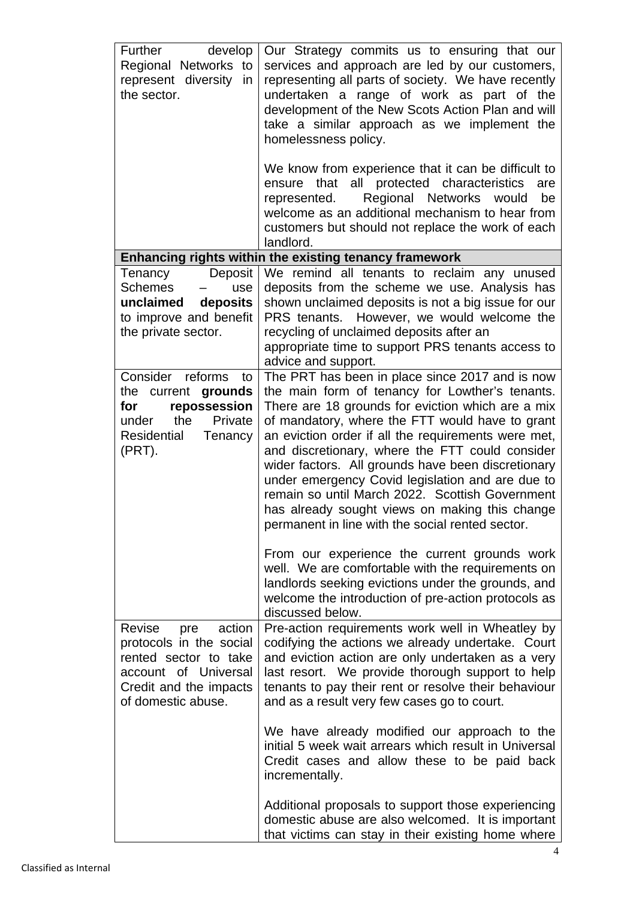| develop<br>Further<br>Regional Networks to<br>represent diversity in<br>the sector.                                                                 | Our Strategy commits us to ensuring that our<br>services and approach are led by our customers,<br>representing all parts of society. We have recently<br>undertaken a range of work as part of the<br>development of the New Scots Action Plan and will<br>take a similar approach as we implement the<br>homelessness policy.<br>We know from experience that it can be difficult to<br>that all protected characteristics<br>ensure<br>are<br>Regional Networks would<br>represented.<br>be<br>welcome as an additional mechanism to hear from<br>customers but should not replace the work of each<br>landlord.                                                                                                                                                                                                           |
|-----------------------------------------------------------------------------------------------------------------------------------------------------|-------------------------------------------------------------------------------------------------------------------------------------------------------------------------------------------------------------------------------------------------------------------------------------------------------------------------------------------------------------------------------------------------------------------------------------------------------------------------------------------------------------------------------------------------------------------------------------------------------------------------------------------------------------------------------------------------------------------------------------------------------------------------------------------------------------------------------|
|                                                                                                                                                     | Enhancing rights within the existing tenancy framework                                                                                                                                                                                                                                                                                                                                                                                                                                                                                                                                                                                                                                                                                                                                                                        |
| Deposit<br>Tenancy<br><b>Schemes</b><br>use<br>unclaimed<br>deposits<br>to improve and benefit<br>the private sector.                               | We remind all tenants to reclaim any unused<br>deposits from the scheme we use. Analysis has<br>shown unclaimed deposits is not a big issue for our<br>PRS tenants. However, we would welcome the<br>recycling of unclaimed deposits after an<br>appropriate time to support PRS tenants access to<br>advice and support.                                                                                                                                                                                                                                                                                                                                                                                                                                                                                                     |
| Consider reforms<br>to<br>the current grounds<br>repossession<br>for<br>the<br>Private<br>under<br>Residential<br>Tenancy<br>(PRT).                 | The PRT has been in place since 2017 and is now<br>the main form of tenancy for Lowther's tenants.<br>There are 18 grounds for eviction which are a mix<br>of mandatory, where the FTT would have to grant<br>an eviction order if all the requirements were met,<br>and discretionary, where the FTT could consider<br>wider factors. All grounds have been discretionary<br>under emergency Covid legislation and are due to<br>remain so until March 2022. Scottish Government<br>has already sought views on making this change<br>permanent in line with the social rented sector.<br>From our experience the current grounds work<br>well. We are comfortable with the requirements on<br>landlords seeking evictions under the grounds, and<br>welcome the introduction of pre-action protocols as<br>discussed below. |
| Revise<br>action<br>pre<br>protocols in the social<br>rented sector to take<br>account of Universal<br>Credit and the impacts<br>of domestic abuse. | Pre-action requirements work well in Wheatley by<br>codifying the actions we already undertake. Court<br>and eviction action are only undertaken as a very<br>last resort. We provide thorough support to help<br>tenants to pay their rent or resolve their behaviour<br>and as a result very few cases go to court.<br>We have already modified our approach to the<br>initial 5 week wait arrears which result in Universal<br>Credit cases and allow these to be paid back<br>incrementally.<br>Additional proposals to support those experiencing<br>domestic abuse are also welcomed. It is important                                                                                                                                                                                                                   |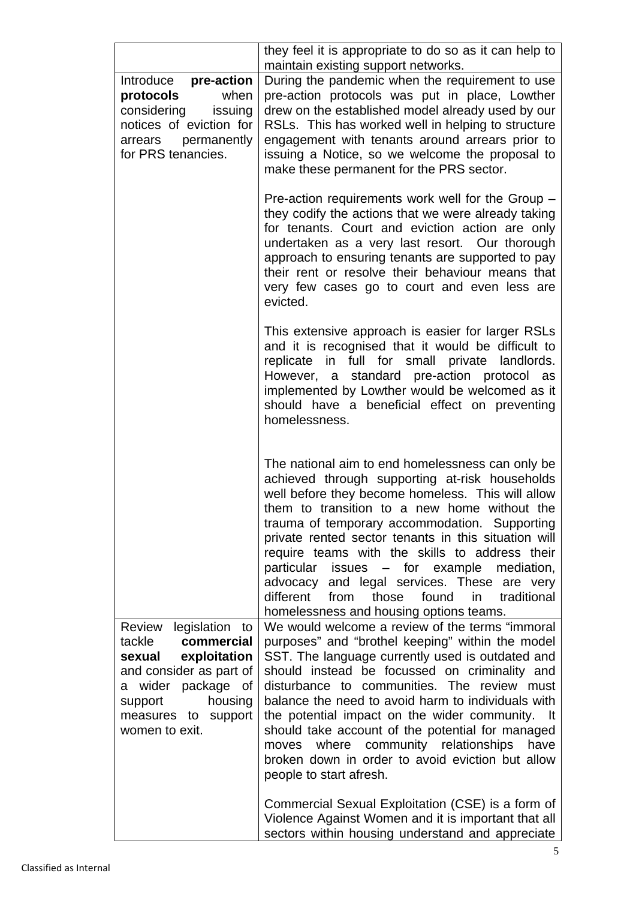|                                                                                                                                                                                               | they feel it is appropriate to do so as it can help to                                                                                                                                                                                                                                                                                                                                                                                                                                                                                                                                                  |
|-----------------------------------------------------------------------------------------------------------------------------------------------------------------------------------------------|---------------------------------------------------------------------------------------------------------------------------------------------------------------------------------------------------------------------------------------------------------------------------------------------------------------------------------------------------------------------------------------------------------------------------------------------------------------------------------------------------------------------------------------------------------------------------------------------------------|
| pre-action<br>Introduce<br>protocols<br>when<br>considering issuing<br>notices of eviction for<br>arrears permanently<br>for PRS tenancies.                                                   | maintain existing support networks.<br>During the pandemic when the requirement to use<br>pre-action protocols was put in place, Lowther<br>drew on the established model already used by our<br>RSLs. This has worked well in helping to structure<br>engagement with tenants around arrears prior to<br>issuing a Notice, so we welcome the proposal to<br>make these permanent for the PRS sector.                                                                                                                                                                                                   |
|                                                                                                                                                                                               | Pre-action requirements work well for the Group -<br>they codify the actions that we were already taking<br>for tenants. Court and eviction action are only<br>undertaken as a very last resort. Our thorough<br>approach to ensuring tenants are supported to pay<br>their rent or resolve their behaviour means that<br>very few cases go to court and even less are<br>evicted.                                                                                                                                                                                                                      |
|                                                                                                                                                                                               | This extensive approach is easier for larger RSLs<br>and it is recognised that it would be difficult to<br>replicate in full for small private landlords.<br>However, a standard pre-action protocol as<br>implemented by Lowther would be welcomed as it<br>should have a beneficial effect on preventing<br>homelessness.                                                                                                                                                                                                                                                                             |
|                                                                                                                                                                                               | The national aim to end homelessness can only be<br>achieved through supporting at-risk households<br>well before they become homeless. This will allow<br>them to transition to a new home without the<br>trauma of temporary accommodation. Supporting<br>private rented sector tenants in this situation will<br>require teams with the skills to address their<br>particular issues – for example mediation,<br>advocacy<br>and legal services. These are very<br>found<br>different<br>from<br>those<br>in<br>traditional<br>homelessness and housing options teams.                               |
| Review<br>legislation<br>to<br>commercial<br>tackle<br>exploitation<br>sexual<br>and consider as part of<br>a wider package of<br>housing<br>support<br>measures to support<br>women to exit. | We would welcome a review of the terms "immoral<br>purposes" and "brothel keeping" within the model<br>SST. The language currently used is outdated and<br>should instead be focussed on criminality and<br>disturbance to communities. The review must<br>balance the need to avoid harm to individuals with<br>the potential impact on the wider community. It<br>should take account of the potential for managed<br>moves where community relationships<br>have<br>broken down in order to avoid eviction but allow<br>people to start afresh.<br>Commercial Sexual Exploitation (CSE) is a form of |
|                                                                                                                                                                                               | Violence Against Women and it is important that all<br>sectors within housing understand and appreciate                                                                                                                                                                                                                                                                                                                                                                                                                                                                                                 |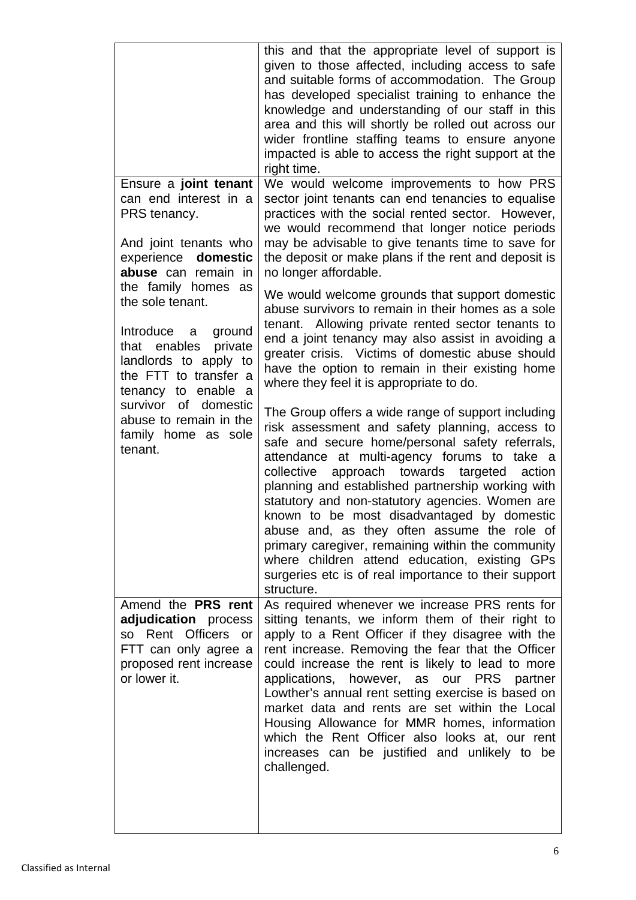| Ensure a joint tenant<br>can end interest in a<br>PRS tenancy.<br>And joint tenants who<br>experience domestic<br>abuse can remain in                                                                                                                            | this and that the appropriate level of support is<br>given to those affected, including access to safe<br>and suitable forms of accommodation. The Group<br>has developed specialist training to enhance the<br>knowledge and understanding of our staff in this<br>area and this will shortly be rolled out across our<br>wider frontline staffing teams to ensure anyone<br>impacted is able to access the right support at the<br>right time.<br>We would welcome improvements to how PRS<br>sector joint tenants can end tenancies to equalise<br>practices with the social rented sector. However,<br>we would recommend that longer notice periods<br>may be advisable to give tenants time to save for<br>the deposit or make plans if the rent and deposit is<br>no longer affordable.                                                                                                                                                                                                               |
|------------------------------------------------------------------------------------------------------------------------------------------------------------------------------------------------------------------------------------------------------------------|--------------------------------------------------------------------------------------------------------------------------------------------------------------------------------------------------------------------------------------------------------------------------------------------------------------------------------------------------------------------------------------------------------------------------------------------------------------------------------------------------------------------------------------------------------------------------------------------------------------------------------------------------------------------------------------------------------------------------------------------------------------------------------------------------------------------------------------------------------------------------------------------------------------------------------------------------------------------------------------------------------------|
| the family homes<br>as<br>the sole tenant.<br>Introduce<br>ground<br>a a<br>that enables<br>private<br>landlords to apply to<br>the FTT to transfer a<br>tenancy to enable a<br>survivor of domestic<br>abuse to remain in the<br>family home as sole<br>tenant. | We would welcome grounds that support domestic<br>abuse survivors to remain in their homes as a sole<br>tenant. Allowing private rented sector tenants to<br>end a joint tenancy may also assist in avoiding a<br>greater crisis. Victims of domestic abuse should<br>have the option to remain in their existing home<br>where they feel it is appropriate to do.<br>The Group offers a wide range of support including<br>risk assessment and safety planning, access to<br>safe and secure home/personal safety referrals,<br>attendance at multi-agency forums to take a<br>collective approach towards targeted action<br>planning and established partnership working with<br>statutory and non-statutory agencies. Women are<br>known to be most disadvantaged by domestic<br>abuse and, as they often assume the role of<br>primary caregiver, remaining within the community<br>where children attend education, existing GPs<br>surgeries etc is of real importance to their support<br>structure. |
| Amend the PRS rent<br>adjudication process<br>so Rent Officers or<br>FTT can only agree a<br>proposed rent increase<br>or lower it.                                                                                                                              | As required whenever we increase PRS rents for<br>sitting tenants, we inform them of their right to<br>apply to a Rent Officer if they disagree with the<br>rent increase. Removing the fear that the Officer<br>could increase the rent is likely to lead to more<br>applications, however, as our PRS<br>partner<br>Lowther's annual rent setting exercise is based on<br>market data and rents are set within the Local<br>Housing Allowance for MMR homes, information<br>which the Rent Officer also looks at, our rent<br>increases can be justified and unlikely to be<br>challenged.                                                                                                                                                                                                                                                                                                                                                                                                                 |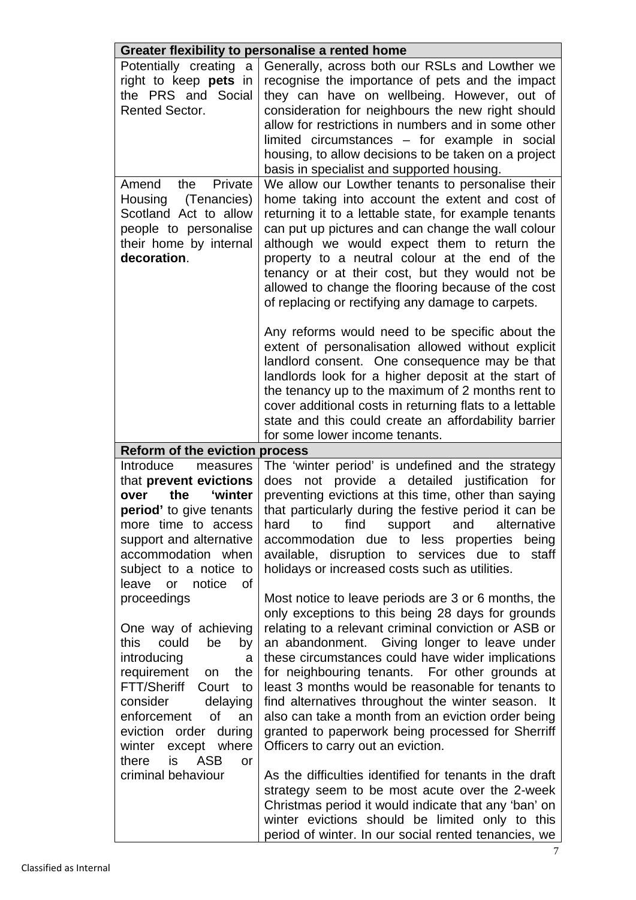| Greater flexibility to personalise a rented home                                                                                                                                                                                                                                                   |                                                                                                                                                                                                                                                                                                                                                                                                                                                                                                                                                                                     |  |
|----------------------------------------------------------------------------------------------------------------------------------------------------------------------------------------------------------------------------------------------------------------------------------------------------|-------------------------------------------------------------------------------------------------------------------------------------------------------------------------------------------------------------------------------------------------------------------------------------------------------------------------------------------------------------------------------------------------------------------------------------------------------------------------------------------------------------------------------------------------------------------------------------|--|
| Potentially creating a<br>right to keep pets in<br>the PRS and Social<br><b>Rented Sector.</b>                                                                                                                                                                                                     | Generally, across both our RSLs and Lowther we<br>recognise the importance of pets and the impact<br>they can have on wellbeing. However, out of<br>consideration for neighbours the new right should<br>allow for restrictions in numbers and in some other<br>limited circumstances - for example in social<br>housing, to allow decisions to be taken on a project<br>basis in specialist and supported housing.                                                                                                                                                                 |  |
| Amend<br>the<br>Private<br>(Tenancies)<br>Housing<br>Scotland Act to allow<br>people to personalise<br>their home by internal<br>decoration.                                                                                                                                                       | We allow our Lowther tenants to personalise their<br>home taking into account the extent and cost of<br>returning it to a lettable state, for example tenants<br>can put up pictures and can change the wall colour<br>although we would expect them to return the<br>property to a neutral colour at the end of the<br>tenancy or at their cost, but they would not be<br>allowed to change the flooring because of the cost<br>of replacing or rectifying any damage to carpets.                                                                                                  |  |
|                                                                                                                                                                                                                                                                                                    | Any reforms would need to be specific about the<br>extent of personalisation allowed without explicit<br>landlord consent. One consequence may be that<br>landlords look for a higher deposit at the start of<br>the tenancy up to the maximum of 2 months rent to<br>cover additional costs in returning flats to a lettable<br>state and this could create an affordability barrier<br>for some lower income tenants.                                                                                                                                                             |  |
| <b>Reform of the eviction process</b>                                                                                                                                                                                                                                                              |                                                                                                                                                                                                                                                                                                                                                                                                                                                                                                                                                                                     |  |
| Introduce<br>measures<br>that prevent evictions<br>the<br>'winter<br>over<br>period' to give tenants<br>more time to access<br>support and alternative<br>accommodation when<br>subject to a notice to<br>of<br>leave or notice                                                                    | The 'winter period' is undefined and the strategy<br>provide a detailed justification<br>not<br>does<br>for<br>preventing evictions at this time, other than saying<br>that particularly during the festive period it can be<br>to<br>find<br>support<br>and<br>alternative<br>hard<br>accommodation due to less properties being<br>available, disruption to services due to<br>staff<br>holidays or increased costs such as utilities.                                                                                                                                            |  |
| proceedings<br>One way of achieving<br>this<br>could<br>be<br>by<br>introducing<br>a<br>requirement<br>the<br>on<br><b>FTT/Sheriff</b><br>to<br>Court<br>consider<br>delaying<br>enforcement<br><b>of</b><br>an<br>eviction order during<br>winter except where<br>is<br><b>ASB</b><br>there<br>or | Most notice to leave periods are 3 or 6 months, the<br>only exceptions to this being 28 days for grounds<br>relating to a relevant criminal conviction or ASB or<br>an abandonment. Giving longer to leave under<br>these circumstances could have wider implications<br>for neighbouring tenants. For other grounds at<br>least 3 months would be reasonable for tenants to<br>find alternatives throughout the winter season. It<br>also can take a month from an eviction order being<br>granted to paperwork being processed for Sherriff<br>Officers to carry out an eviction. |  |
| criminal behaviour                                                                                                                                                                                                                                                                                 | As the difficulties identified for tenants in the draft<br>strategy seem to be most acute over the 2-week<br>Christmas period it would indicate that any 'ban' on                                                                                                                                                                                                                                                                                                                                                                                                                   |  |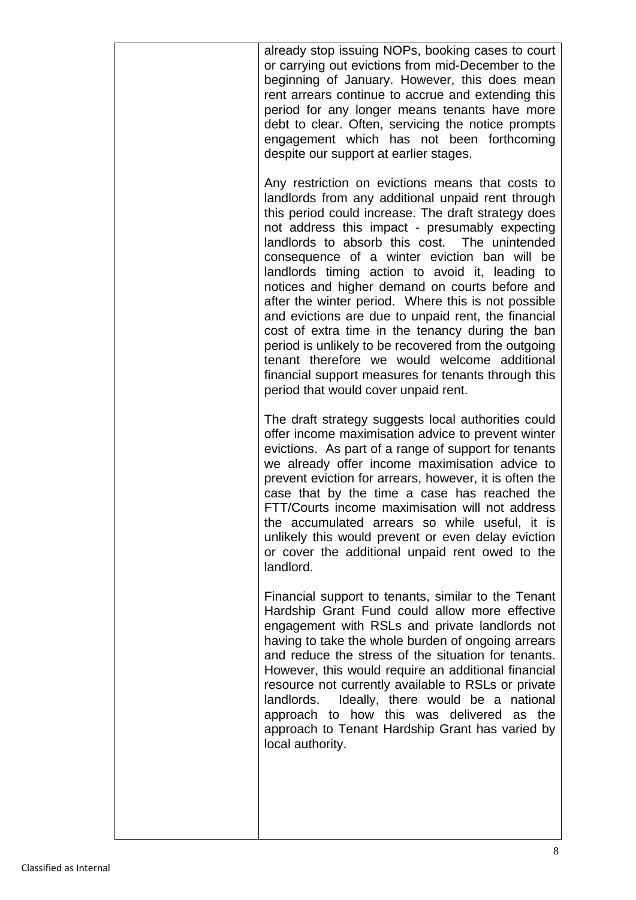| already stop issuing NOPs, booking cases to court<br>or carrying out evictions from mid-December to the<br>beginning of January. However, this does mean<br>rent arrears continue to accrue and extending this<br>period for any longer means tenants have more<br>debt to clear. Often, servicing the notice prompts<br>engagement which has not been forthcoming<br>despite our support at earlier stages.                                                                                                                                                                                                                                                                                                                                                                                  |
|-----------------------------------------------------------------------------------------------------------------------------------------------------------------------------------------------------------------------------------------------------------------------------------------------------------------------------------------------------------------------------------------------------------------------------------------------------------------------------------------------------------------------------------------------------------------------------------------------------------------------------------------------------------------------------------------------------------------------------------------------------------------------------------------------|
| Any restriction on evictions means that costs to<br>landlords from any additional unpaid rent through<br>this period could increase. The draft strategy does<br>not address this impact - presumably expecting<br>landlords to absorb this cost. The unintended<br>consequence of a winter eviction ban will be<br>landlords timing action to avoid it, leading to<br>notices and higher demand on courts before and<br>after the winter period. Where this is not possible<br>and evictions are due to unpaid rent, the financial<br>cost of extra time in the tenancy during the ban<br>period is unlikely to be recovered from the outgoing<br>tenant therefore we would welcome additional<br>financial support measures for tenants through this<br>period that would cover unpaid rent. |
| The draft strategy suggests local authorities could<br>offer income maximisation advice to prevent winter<br>evictions. As part of a range of support for tenants<br>we already offer income maximisation advice to<br>prevent eviction for arrears, however, it is often the<br>case that by the time a case has reached the<br>FTT/Courts income maximisation will not address<br>the accumulated arrears so while useful, it is<br>unlikely this would prevent or even delay eviction<br>or cover the additional unpaid rent owed to the<br>landlord.                                                                                                                                                                                                                                      |
| Financial support to tenants, similar to the Tenant<br>Hardship Grant Fund could allow more effective<br>engagement with RSLs and private landlords not<br>having to take the whole burden of ongoing arrears<br>and reduce the stress of the situation for tenants.<br>However, this would require an additional financial<br>resource not currently available to RSLs or private<br>landlords. Ideally, there would be a national<br>approach to how this was delivered as the<br>approach to Tenant Hardship Grant has varied by<br>local authority.                                                                                                                                                                                                                                       |
|                                                                                                                                                                                                                                                                                                                                                                                                                                                                                                                                                                                                                                                                                                                                                                                               |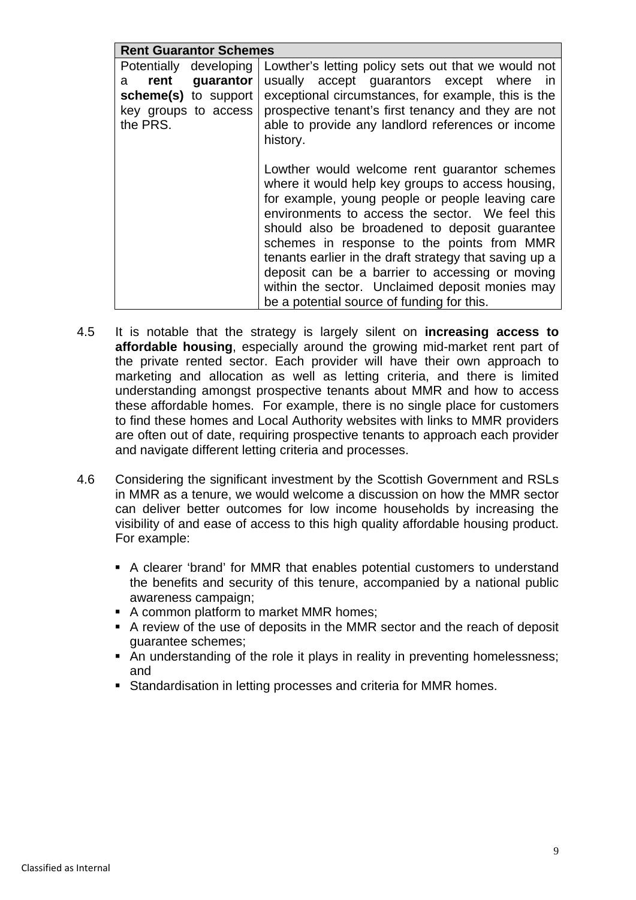| <b>Rent Guarantor Schemes</b> |                                                        |
|-------------------------------|--------------------------------------------------------|
| Potentially<br>developing     | Lowther's letting policy sets out that we would not    |
| rent<br>guarantor<br>a        | usually accept guarantors except where in              |
| scheme(s) to support          | exceptional circumstances, for example, this is the    |
| key groups to access          | prospective tenant's first tenancy and they are not    |
| the PRS.                      | able to provide any landlord references or income      |
|                               | history.                                               |
|                               |                                                        |
|                               | Lowther would welcome rent guarantor schemes           |
|                               | where it would help key groups to access housing,      |
|                               | for example, young people or people leaving care       |
|                               | environments to access the sector. We feel this        |
|                               | should also be broadened to deposit guarantee          |
|                               | schemes in response to the points from MMR             |
|                               | tenants earlier in the draft strategy that saving up a |
|                               | deposit can be a barrier to accessing or moving        |
|                               | within the sector. Unclaimed deposit monies may        |
|                               | be a potential source of funding for this.             |

- 4.5 It is notable that the strategy is largely silent on **increasing access to affordable housing**, especially around the growing mid-market rent part of the private rented sector. Each provider will have their own approach to marketing and allocation as well as letting criteria, and there is limited understanding amongst prospective tenants about MMR and how to access these affordable homes. For example, there is no single place for customers to find these homes and Local Authority websites with links to MMR providers are often out of date, requiring prospective tenants to approach each provider and navigate different letting criteria and processes.
- 4.6 Considering the significant investment by the Scottish Government and RSLs in MMR as a tenure, we would welcome a discussion on how the MMR sector can deliver better outcomes for low income households by increasing the visibility of and ease of access to this high quality affordable housing product. For example:
	- A clearer 'brand' for MMR that enables potential customers to understand the benefits and security of this tenure, accompanied by a national public awareness campaign;
	- A common platform to market MMR homes;
	- A review of the use of deposits in the MMR sector and the reach of deposit guarantee schemes;
	- An understanding of the role it plays in reality in preventing homelessness; and
	- Standardisation in letting processes and criteria for MMR homes.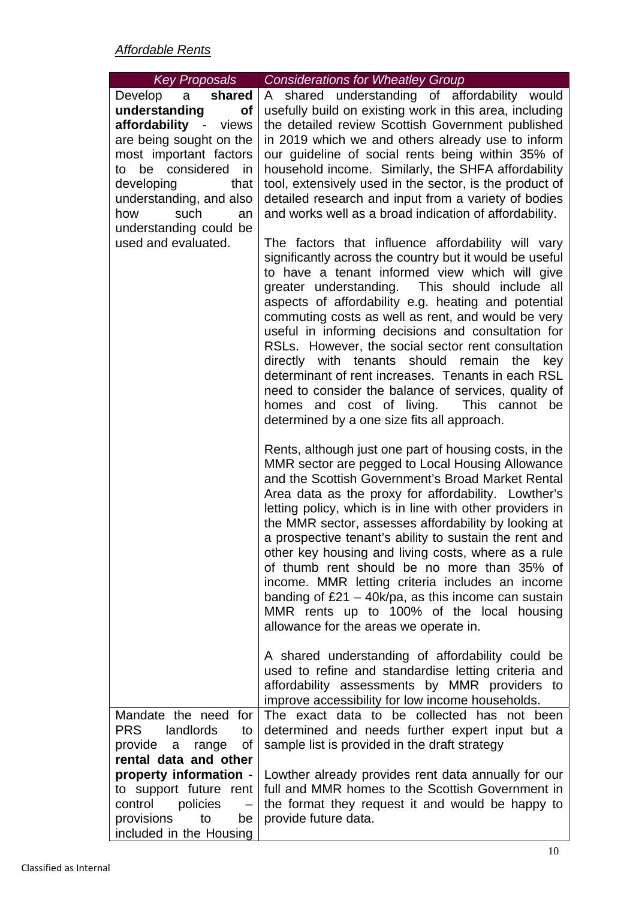| <b>Key Proposals</b>                                                                                                                                                                                                                                                       | <b>Considerations for Wheatley Group</b>                                                                                                                                                                                                                                                                                                                                                                                                                                                                                                                                                                                                                                                                       |
|----------------------------------------------------------------------------------------------------------------------------------------------------------------------------------------------------------------------------------------------------------------------------|----------------------------------------------------------------------------------------------------------------------------------------------------------------------------------------------------------------------------------------------------------------------------------------------------------------------------------------------------------------------------------------------------------------------------------------------------------------------------------------------------------------------------------------------------------------------------------------------------------------------------------------------------------------------------------------------------------------|
| Develop a shared<br>understanding<br><b>of</b><br>affordability - views<br>are being sought on the<br>most important factors<br>to be considered in<br>developing<br>that<br>understanding, and also<br>how<br>such<br>an<br>understanding could be<br>used and evaluated. | A shared understanding of affordability would<br>usefully build on existing work in this area, including<br>the detailed review Scottish Government published<br>in 2019 which we and others already use to inform<br>our guideline of social rents being within 35% of<br>household income. Similarly, the SHFA affordability<br>tool, extensively used in the sector, is the product of<br>detailed research and input from a variety of bodies<br>and works well as a broad indication of affordability.                                                                                                                                                                                                    |
|                                                                                                                                                                                                                                                                            | The factors that influence affordability will vary<br>significantly across the country but it would be useful<br>to have a tenant informed view which will give<br>greater understanding. This should include all<br>aspects of affordability e.g. heating and potential<br>commuting costs as well as rent, and would be very<br>useful in informing decisions and consultation for<br>RSLs. However, the social sector rent consultation<br>directly with tenants should remain the key<br>determinant of rent increases. Tenants in each RSL<br>need to consider the balance of services, quality of<br>homes and cost of living. This cannot be<br>determined by a one size fits all approach.             |
|                                                                                                                                                                                                                                                                            | Rents, although just one part of housing costs, in the<br>MMR sector are pegged to Local Housing Allowance<br>and the Scottish Government's Broad Market Rental<br>Area data as the proxy for affordability. Lowther's<br>letting policy, which is in line with other providers in<br>the MMR sector, assesses affordability by looking at<br>a prospective tenant's ability to sustain the rent and<br>other key housing and living costs, where as a rule<br>of thumb rent should be no more than 35% of<br>income. MMR letting criteria includes an income<br>banding of $£21 - 40k/pa$ , as this income can sustain<br>MMR rents up to 100% of the local housing<br>allowance for the areas we operate in. |
|                                                                                                                                                                                                                                                                            | A shared understanding of affordability could be<br>used to refine and standardise letting criteria and<br>affordability assessments by MMR providers to<br>improve accessibility for low income households.                                                                                                                                                                                                                                                                                                                                                                                                                                                                                                   |
| Mandate the need for<br><b>PRS</b><br>landlords<br>to<br>provide a range<br>Οf<br>rental data and other                                                                                                                                                                    | The exact data to be collected has not been<br>determined and needs further expert input but a<br>sample list is provided in the draft strategy                                                                                                                                                                                                                                                                                                                                                                                                                                                                                                                                                                |
| property information -<br>to support future rent<br>control<br>policies<br>to<br>provisions<br>be<br>included in the Housing                                                                                                                                               | Lowther already provides rent data annually for our<br>full and MMR homes to the Scottish Government in<br>the format they request it and would be happy to<br>provide future data.                                                                                                                                                                                                                                                                                                                                                                                                                                                                                                                            |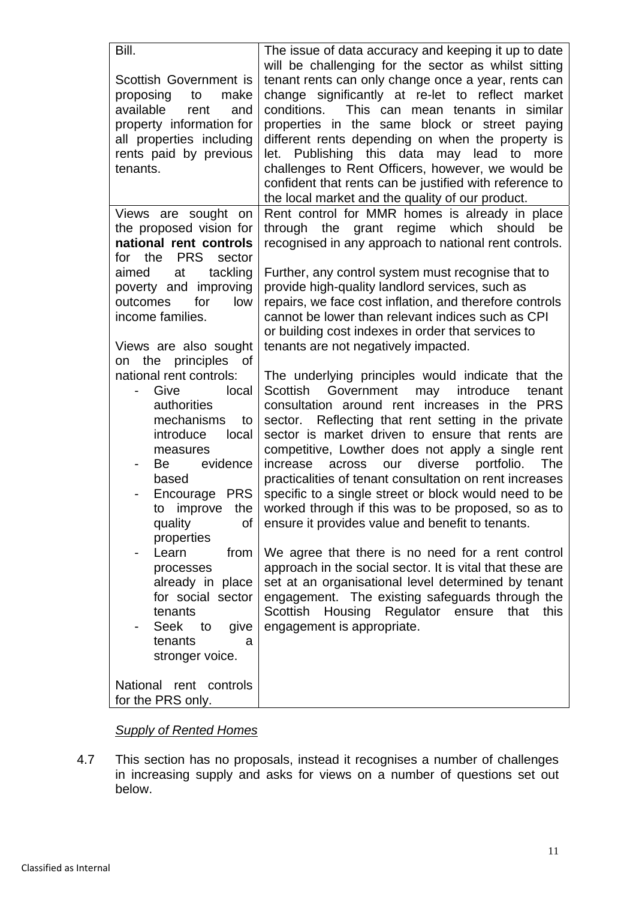| Bill.                                                                                                                                                                                                                                                                  | The issue of data accuracy and keeping it up to date                                                                                                                                                                                                                                                                                                                                                                                                                                                                                                                                                                                                                                                                                  |
|------------------------------------------------------------------------------------------------------------------------------------------------------------------------------------------------------------------------------------------------------------------------|---------------------------------------------------------------------------------------------------------------------------------------------------------------------------------------------------------------------------------------------------------------------------------------------------------------------------------------------------------------------------------------------------------------------------------------------------------------------------------------------------------------------------------------------------------------------------------------------------------------------------------------------------------------------------------------------------------------------------------------|
| Scottish Government is<br>proposing<br>to<br>make<br>available<br>rent<br>and<br>property information for<br>all properties including<br>rents paid by previous<br>tenants.                                                                                            | will be challenging for the sector as whilst sitting<br>tenant rents can only change once a year, rents can<br>change significantly at re-let to reflect market<br>This can mean tenants in<br>conditions.<br>similar<br>properties in the same block or street paying<br>different rents depending on when the property is<br>let. Publishing this data may lead to more<br>challenges to Rent Officers, however, we would be<br>confident that rents can be justified with reference to<br>the local market and the quality of our product.                                                                                                                                                                                         |
| Views are sought on<br>the proposed vision for<br>national rent controls<br><b>PRS</b><br>for the<br>sector                                                                                                                                                            | Rent control for MMR homes is already in place<br>through the grant regime which should<br>be<br>recognised in any approach to national rent controls.                                                                                                                                                                                                                                                                                                                                                                                                                                                                                                                                                                                |
| tackling<br>aimed<br>at<br>poverty and improving<br>outcomes<br>for<br>low<br>income families.<br>Views are also sought                                                                                                                                                | Further, any control system must recognise that to<br>provide high-quality landlord services, such as<br>repairs, we face cost inflation, and therefore controls<br>cannot be lower than relevant indices such as CPI<br>or building cost indexes in order that services to<br>tenants are not negatively impacted.                                                                                                                                                                                                                                                                                                                                                                                                                   |
| the principles of<br>on<br>national rent controls:<br>Give<br>local<br>authorities<br>mechanisms<br>to<br>introduce<br>local<br>measures<br>evidence<br>Be<br>based<br>Encourage PRS<br>improve the<br>to<br>quality<br>Οf<br>properties<br>Learn<br>from<br>processes | The underlying principles would indicate that the<br>Scottish<br>Government may<br>introduce<br>tenant<br>consultation around rent increases in the PRS<br>sector. Reflecting that rent setting in the private<br>sector is market driven to ensure that rents are<br>competitive, Lowther does not apply a single rent<br>portfolio.<br>increase<br>across<br>diverse<br>The<br>our<br>practicalities of tenant consultation on rent increases<br>specific to a single street or block would need to be<br>worked through if this was to be proposed, so as to<br>ensure it provides value and benefit to tenants.<br>We agree that there is no need for a rent control<br>approach in the social sector. It is vital that these are |
| already in place<br>for social sector<br>tenants<br><b>Seek</b><br>to<br>give<br>tenants<br>a<br>stronger voice.<br>National rent controls                                                                                                                             | set at an organisational level determined by tenant<br>engagement. The existing safeguards through the<br>Scottish<br>Housing<br>Regulator<br>that<br>this<br>ensure<br>engagement is appropriate.                                                                                                                                                                                                                                                                                                                                                                                                                                                                                                                                    |
| for the PRS only.                                                                                                                                                                                                                                                      |                                                                                                                                                                                                                                                                                                                                                                                                                                                                                                                                                                                                                                                                                                                                       |

### *Supply of Rented Homes*

4.7 This section has no proposals, instead it recognises a number of challenges in increasing supply and asks for views on a number of questions set out below.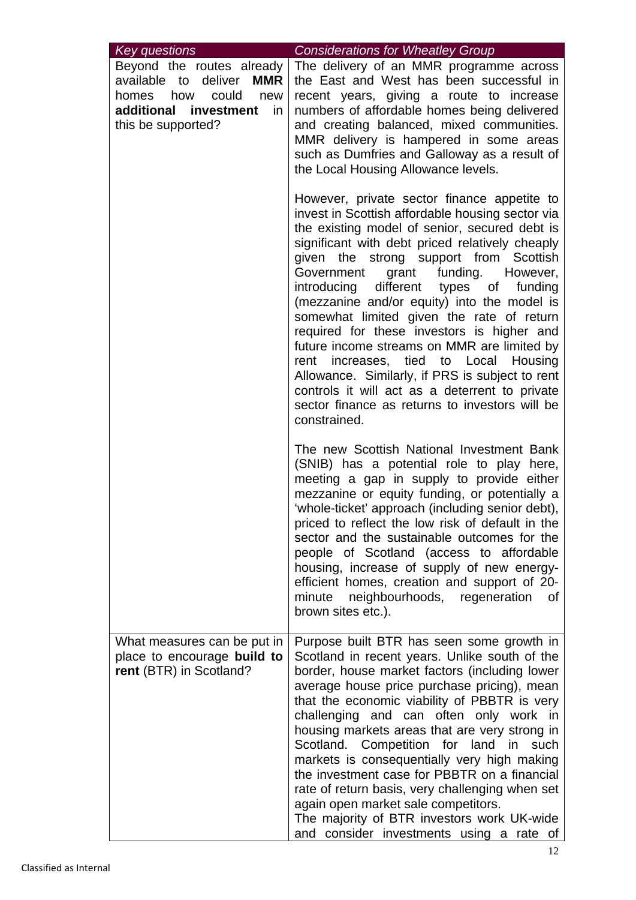| <b>Key questions</b>                                                                                                                        | <b>Considerations for Wheatley Group</b>                                                                                                                                                                                                                                                                                                                                                                                                                                                                                                                                                                                                                                                                                                     |
|---------------------------------------------------------------------------------------------------------------------------------------------|----------------------------------------------------------------------------------------------------------------------------------------------------------------------------------------------------------------------------------------------------------------------------------------------------------------------------------------------------------------------------------------------------------------------------------------------------------------------------------------------------------------------------------------------------------------------------------------------------------------------------------------------------------------------------------------------------------------------------------------------|
| Beyond the routes already<br>available to deliver MMR<br>could<br>homes<br>how<br>new<br>additional investment<br>in.<br>this be supported? | The delivery of an MMR programme across<br>the East and West has been successful in<br>recent years, giving a route to increase<br>numbers of affordable homes being delivered<br>and creating balanced, mixed communities.<br>MMR delivery is hampered in some areas<br>such as Dumfries and Galloway as a result of<br>the Local Housing Allowance levels.                                                                                                                                                                                                                                                                                                                                                                                 |
|                                                                                                                                             | However, private sector finance appetite to<br>invest in Scottish affordable housing sector via<br>the existing model of senior, secured debt is<br>significant with debt priced relatively cheaply<br>given the strong support from Scottish<br>grant funding. However,<br>Government<br>introducing different types of<br>funding<br>(mezzanine and/or equity) into the model is<br>somewhat limited given the rate of return<br>required for these investors is higher and<br>future income streams on MMR are limited by<br>rent increases, tied to Local Housing<br>Allowance. Similarly, if PRS is subject to rent<br>controls it will act as a deterrent to private<br>sector finance as returns to investors will be<br>constrained. |
|                                                                                                                                             | The new Scottish National Investment Bank<br>(SNIB) has a potential role to play here,<br>meeting a gap in supply to provide either<br>mezzanine or equity funding, or potentially a<br>'whole-ticket' approach (including senior debt),<br>priced to reflect the low risk of default in the<br>sector and the sustainable outcomes for the<br>people of Scotland (access to affordable<br>housing, increase of supply of new energy-<br>efficient homes, creation and support of 20-<br>neighbourhoods, regeneration<br>minute<br>0f<br>brown sites etc.).                                                                                                                                                                                  |
| What measures can be put in<br>place to encourage build to<br>rent (BTR) in Scotland?                                                       | Purpose built BTR has seen some growth in<br>Scotland in recent years. Unlike south of the<br>border, house market factors (including lower<br>average house price purchase pricing), mean<br>that the economic viability of PBBTR is very<br>challenging and can often only work in<br>housing markets areas that are very strong in<br>Scotland. Competition for land in<br>such<br>markets is consequentially very high making<br>the investment case for PBBTR on a financial<br>rate of return basis, very challenging when set<br>again open market sale competitors.<br>The majority of BTR investors work UK-wide<br>and consider investments using a rate of                                                                        |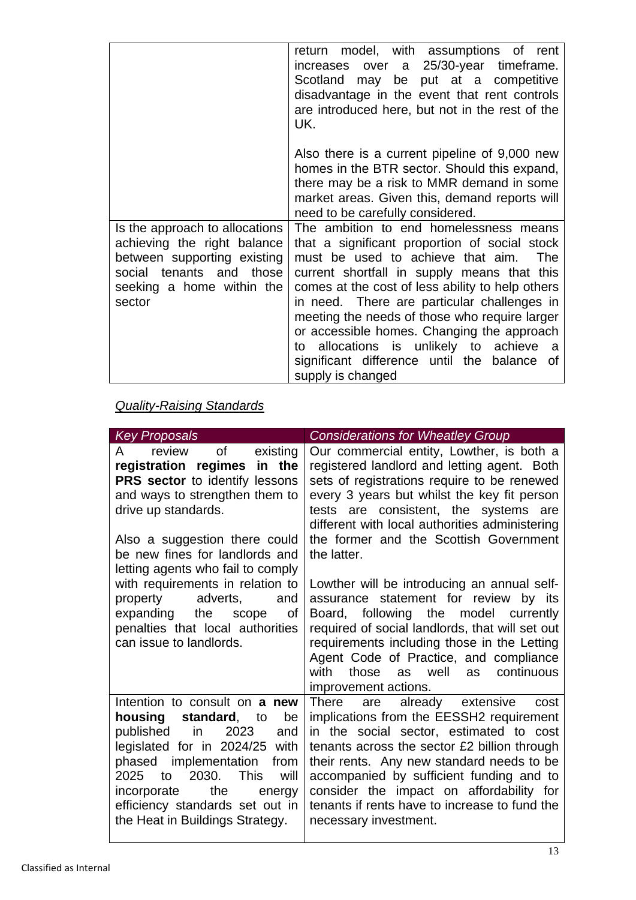|                                                                                                                                                                 | return model, with assumptions of rent<br>increases over a 25/30-year timeframe.<br>Scotland may be put at a competitive<br>disadvantage in the event that rent controls<br>are introduced here, but not in the rest of the<br>UK.                                                                                                                                                                                                                                                                                                                                                                                                                                                                                                          |
|-----------------------------------------------------------------------------------------------------------------------------------------------------------------|---------------------------------------------------------------------------------------------------------------------------------------------------------------------------------------------------------------------------------------------------------------------------------------------------------------------------------------------------------------------------------------------------------------------------------------------------------------------------------------------------------------------------------------------------------------------------------------------------------------------------------------------------------------------------------------------------------------------------------------------|
| Is the approach to allocations<br>achieving the right balance<br>between supporting existing<br>social tenants and those<br>seeking a home within the<br>sector | Also there is a current pipeline of 9,000 new<br>homes in the BTR sector. Should this expand,<br>there may be a risk to MMR demand in some<br>market areas. Given this, demand reports will<br>need to be carefully considered.<br>The ambition to end homelessness means<br>that a significant proportion of social stock<br>must be used to achieve that aim.<br>The<br>current shortfall in supply means that this<br>comes at the cost of less ability to help others<br>in need. There are particular challenges in<br>meeting the needs of those who require larger<br>or accessible homes. Changing the approach<br>to allocations is unlikely to achieve<br>- a<br>significant difference until the balance of<br>supply is changed |

# *Quality-Raising Standards*

| Key Proposals                                                                                                                                                                                                                                                                                                              | <b>Considerations for Wheatley Group</b>                                                                                                                                                                                                                                                                                                                                                     |
|----------------------------------------------------------------------------------------------------------------------------------------------------------------------------------------------------------------------------------------------------------------------------------------------------------------------------|----------------------------------------------------------------------------------------------------------------------------------------------------------------------------------------------------------------------------------------------------------------------------------------------------------------------------------------------------------------------------------------------|
| of existing<br>review<br>A<br>registration regimes in the<br>PRS sector to identify lessons<br>and ways to strengthen them to<br>drive up standards.<br>Also a suggestion there could<br>be new fines for landlords and<br>letting agents who fail to comply                                                               | Our commercial entity, Lowther, is both a<br>registered landlord and letting agent. Both<br>sets of registrations require to be renewed<br>every 3 years but whilst the key fit person<br>tests are consistent, the systems are<br>different with local authorities administering<br>the former and the Scottish Government<br>the latter.                                                   |
| with requirements in relation to<br>property<br>adverts,<br>and<br>expanding the scope<br>of<br>penalties that local authorities<br>can issue to landlords.                                                                                                                                                                | Lowther will be introducing an annual self-<br>assurance statement for review<br>by its<br>Board, following the model currently<br>required of social landlords, that will set out<br>requirements including those in the Letting<br>Agent Code of Practice, and compliance<br>with<br>those<br>as well<br>continuous<br>as<br>improvement actions.                                          |
| Intention to consult on a new<br>standard, to<br>housing<br>be<br>in<br>2023<br>published<br>and<br>legislated for in 2024/25 with<br>implementation<br>phased<br>from<br>2030.<br><b>This</b><br>2025<br>to<br>will<br>the<br>incorporate<br>energy<br>efficiency standards set out in<br>the Heat in Buildings Strategy. | There<br>are already extensive<br>cost<br>implications from the EESSH2 requirement<br>in the social sector, estimated to cost<br>tenants across the sector £2 billion through<br>their rents. Any new standard needs to be<br>accompanied by sufficient funding and to<br>consider the impact on affordability for<br>tenants if rents have to increase to fund the<br>necessary investment. |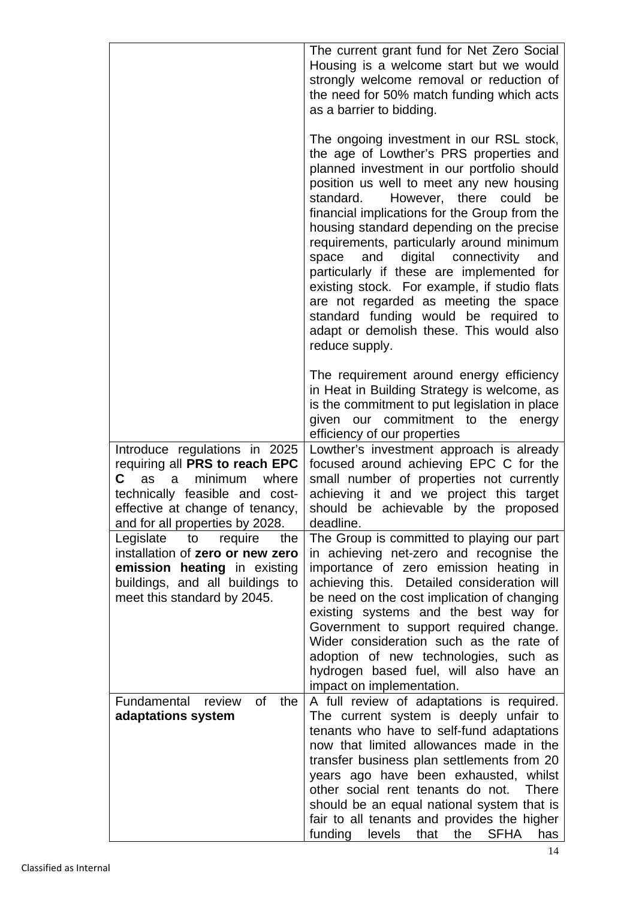|                                                                                                                                                                            | The current grant fund for Net Zero Social<br>Housing is a welcome start but we would<br>strongly welcome removal or reduction of<br>the need for 50% match funding which acts<br>as a barrier to bidding.                                                                                                                                                                                                                                                                                                                                                                                                                                                            |
|----------------------------------------------------------------------------------------------------------------------------------------------------------------------------|-----------------------------------------------------------------------------------------------------------------------------------------------------------------------------------------------------------------------------------------------------------------------------------------------------------------------------------------------------------------------------------------------------------------------------------------------------------------------------------------------------------------------------------------------------------------------------------------------------------------------------------------------------------------------|
|                                                                                                                                                                            | The ongoing investment in our RSL stock,<br>the age of Lowther's PRS properties and<br>planned investment in our portfolio should<br>position us well to meet any new housing<br>there<br>standard.<br>However,<br>could<br>be<br>financial implications for the Group from the<br>housing standard depending on the precise<br>requirements, particularly around minimum<br>digital connectivity<br>space<br>and<br>and<br>particularly if these are implemented for<br>existing stock. For example, if studio flats<br>are not regarded as meeting the space<br>standard funding would be required to<br>adapt or demolish these. This would also<br>reduce supply. |
| Introduce regulations in 2025                                                                                                                                              | The requirement around energy efficiency<br>in Heat in Building Strategy is welcome, as<br>is the commitment to put legislation in place<br>given our commitment to the energy<br>efficiency of our properties<br>Lowther's investment approach is already                                                                                                                                                                                                                                                                                                                                                                                                            |
| requiring all PRS to reach EPC<br>minimum<br>where<br>C<br>as<br>a<br>technically feasible and cost-<br>effective at change of tenancy,<br>and for all properties by 2028. | focused around achieving EPC C for the<br>small number of properties not currently<br>achieving it and we project this target<br>should be achievable by the proposed<br>deadline.                                                                                                                                                                                                                                                                                                                                                                                                                                                                                    |
| Legislate<br>require<br>the<br>to<br>installation of zero or new zero<br>emission heating in existing<br>buildings, and all buildings to<br>meet this standard by 2045.    | The Group is committed to playing our part<br>in achieving net-zero and recognise the<br>importance of zero emission heating in<br>achieving this. Detailed consideration will<br>be need on the cost implication of changing<br>existing systems and the best way for<br>Government to support required change.<br>Wider consideration such as the rate of<br>adoption of new technologies, such as<br>hydrogen based fuel, will also have an<br>impact on implementation.                                                                                                                                                                                           |
| 0f<br>Fundamental<br>the<br>review<br>adaptations system                                                                                                                   | A full review of adaptations is required.<br>The current system is deeply unfair to<br>tenants who have to self-fund adaptations<br>now that limited allowances made in the<br>transfer business plan settlements from 20<br>years ago have been exhausted, whilst<br>other social rent tenants do not.<br><b>There</b><br>should be an equal national system that is<br>fair to all tenants and provides the higher<br>funding<br><b>SFHA</b><br>levels<br>that the<br>has                                                                                                                                                                                           |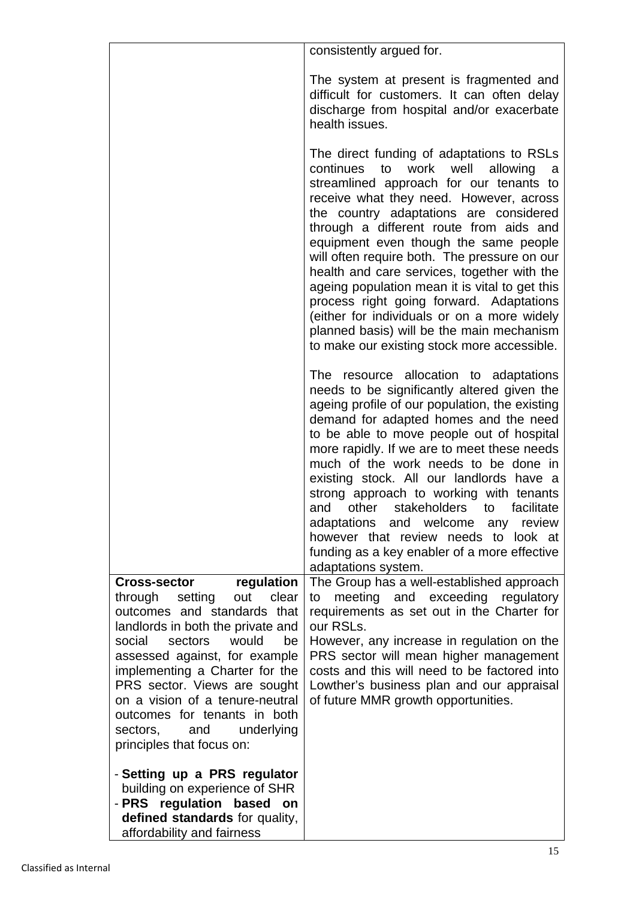|                                                                                                                                                                                                                                                                                                                                                                                                                  | consistently argued for.                                                                                                                                                                                                                                                                                                                                                                                                                                                                                                                                                                                                                                  |
|------------------------------------------------------------------------------------------------------------------------------------------------------------------------------------------------------------------------------------------------------------------------------------------------------------------------------------------------------------------------------------------------------------------|-----------------------------------------------------------------------------------------------------------------------------------------------------------------------------------------------------------------------------------------------------------------------------------------------------------------------------------------------------------------------------------------------------------------------------------------------------------------------------------------------------------------------------------------------------------------------------------------------------------------------------------------------------------|
|                                                                                                                                                                                                                                                                                                                                                                                                                  | The system at present is fragmented and<br>difficult for customers. It can often delay<br>discharge from hospital and/or exacerbate<br>health issues.                                                                                                                                                                                                                                                                                                                                                                                                                                                                                                     |
|                                                                                                                                                                                                                                                                                                                                                                                                                  | The direct funding of adaptations to RSLs<br>continues<br>to<br>work<br>well<br>allowing<br>a<br>streamlined approach for our tenants to<br>receive what they need. However, across<br>the country adaptations are considered<br>through a different route from aids and<br>equipment even though the same people<br>will often require both. The pressure on our<br>health and care services, together with the<br>ageing population mean it is vital to get this<br>process right going forward. Adaptations<br>(either for individuals or on a more widely<br>planned basis) will be the main mechanism<br>to make our existing stock more accessible. |
|                                                                                                                                                                                                                                                                                                                                                                                                                  | The resource allocation to adaptations<br>needs to be significantly altered given the<br>ageing profile of our population, the existing<br>demand for adapted homes and the need<br>to be able to move people out of hospital<br>more rapidly. If we are to meet these needs<br>much of the work needs to be done in<br>existing stock. All our landlords have a<br>strong approach to working with tenants<br>and other stakeholders<br>facilitate<br>to<br>adaptations and welcome any<br>review<br>however that review needs to look at<br>funding as a key enabler of a more effective<br>adaptations system.                                         |
| regulation<br><b>Cross-sector</b><br>clear<br>through setting<br>out<br>outcomes and standards that<br>landlords in both the private and<br>social<br>sectors<br>would<br>be<br>assessed against, for example<br>implementing a Charter for the<br>PRS sector. Views are sought<br>on a vision of a tenure-neutral<br>outcomes for tenants in both<br>underlying<br>sectors,<br>and<br>principles that focus on: | The Group has a well-established approach<br>meeting and exceeding regulatory<br>to<br>requirements as set out in the Charter for<br>our RSLs.<br>However, any increase in regulation on the<br>PRS sector will mean higher management<br>costs and this will need to be factored into<br>Lowther's business plan and our appraisal<br>of future MMR growth opportunities.                                                                                                                                                                                                                                                                                |
| - Setting up a PRS regulator<br>building on experience of SHR<br>- PRS regulation based<br>on<br>defined standards for quality,<br>affordability and fairness                                                                                                                                                                                                                                                    |                                                                                                                                                                                                                                                                                                                                                                                                                                                                                                                                                                                                                                                           |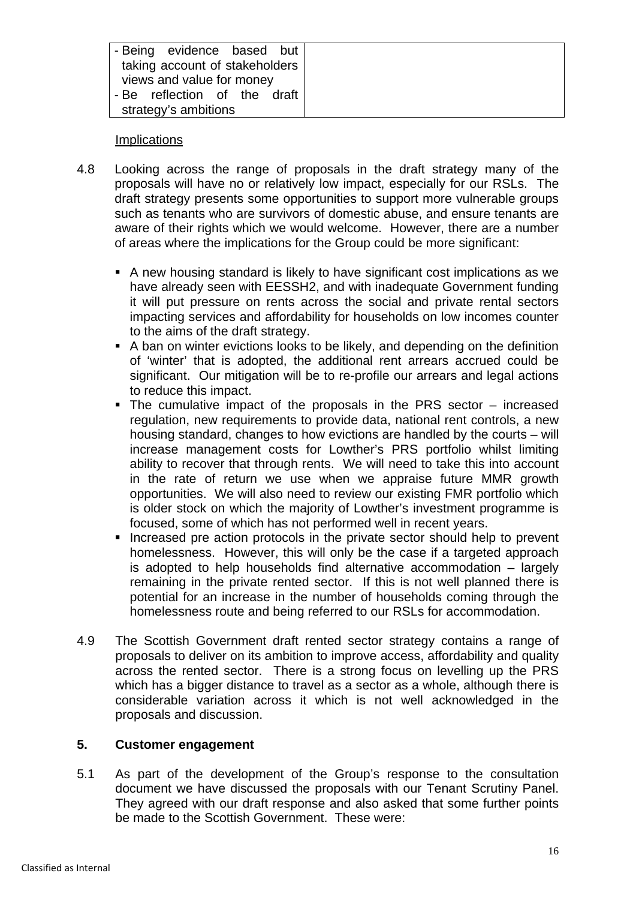| - Being evidence based but<br>taking account of stakeholders |
|--------------------------------------------------------------|
| views and value for money                                    |
| - Be reflection of the draft                                 |
| strategy's ambitions                                         |

### Implications

- 4.8 Looking across the range of proposals in the draft strategy many of the proposals will have no or relatively low impact, especially for our RSLs. The draft strategy presents some opportunities to support more vulnerable groups such as tenants who are survivors of domestic abuse, and ensure tenants are aware of their rights which we would welcome. However, there are a number of areas where the implications for the Group could be more significant:
	- A new housing standard is likely to have significant cost implications as we have already seen with EESSH2, and with inadequate Government funding it will put pressure on rents across the social and private rental sectors impacting services and affordability for households on low incomes counter to the aims of the draft strategy.
	- A ban on winter evictions looks to be likely, and depending on the definition of 'winter' that is adopted, the additional rent arrears accrued could be significant. Our mitigation will be to re-profile our arrears and legal actions to reduce this impact.
	- The cumulative impact of the proposals in the PRS sector increased regulation, new requirements to provide data, national rent controls, a new housing standard, changes to how evictions are handled by the courts – will increase management costs for Lowther's PRS portfolio whilst limiting ability to recover that through rents. We will need to take this into account in the rate of return we use when we appraise future MMR growth opportunities. We will also need to review our existing FMR portfolio which is older stock on which the majority of Lowther's investment programme is focused, some of which has not performed well in recent years.
	- Increased pre action protocols in the private sector should help to prevent homelessness. However, this will only be the case if a targeted approach is adopted to help households find alternative accommodation – largely remaining in the private rented sector. If this is not well planned there is potential for an increase in the number of households coming through the homelessness route and being referred to our RSLs for accommodation.
- 4.9 The Scottish Government draft rented sector strategy contains a range of proposals to deliver on its ambition to improve access, affordability and quality across the rented sector. There is a strong focus on levelling up the PRS which has a bigger distance to travel as a sector as a whole, although there is considerable variation across it which is not well acknowledged in the proposals and discussion.

### **5. Customer engagement**

5.1 As part of the development of the Group's response to the consultation document we have discussed the proposals with our Tenant Scrutiny Panel. They agreed with our draft response and also asked that some further points be made to the Scottish Government. These were: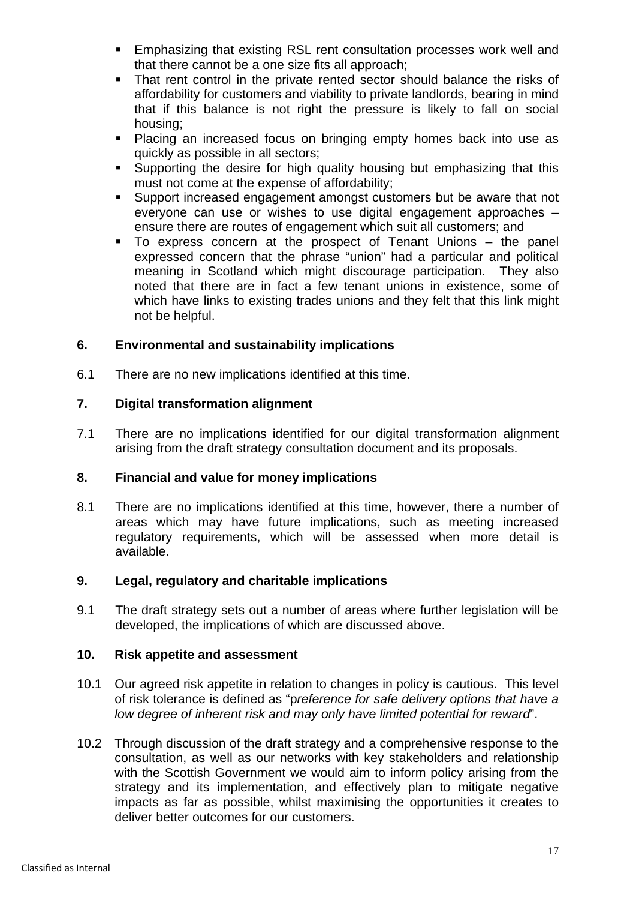- Emphasizing that existing RSL rent consultation processes work well and that there cannot be a one size fits all approach;
- That rent control in the private rented sector should balance the risks of affordability for customers and viability to private landlords, bearing in mind that if this balance is not right the pressure is likely to fall on social housing;
- Placing an increased focus on bringing empty homes back into use as quickly as possible in all sectors;
- **Supporting the desire for high quality housing but emphasizing that this** must not come at the expense of affordability;
- Support increased engagement amongst customers but be aware that not everyone can use or wishes to use digital engagement approaches – ensure there are routes of engagement which suit all customers; and
- To express concern at the prospect of Tenant Unions the panel expressed concern that the phrase "union" had a particular and political meaning in Scotland which might discourage participation. They also noted that there are in fact a few tenant unions in existence, some of which have links to existing trades unions and they felt that this link might not be helpful.

### **6. Environmental and sustainability implications**

6.1 There are no new implications identified at this time.

### **7. Digital transformation alignment**

7.1 There are no implications identified for our digital transformation alignment arising from the draft strategy consultation document and its proposals.

### **8. Financial and value for money implications**

8.1 There are no implications identified at this time, however, there a number of areas which may have future implications, such as meeting increased regulatory requirements, which will be assessed when more detail is available.

### **9. Legal, regulatory and charitable implications**

9.1 The draft strategy sets out a number of areas where further legislation will be developed, the implications of which are discussed above.

### **10. Risk appetite and assessment**

- 10.1 Our agreed risk appetite in relation to changes in policy is cautious. This level of risk tolerance is defined as "p*reference for safe delivery options that have a low degree of inherent risk and may only have limited potential for reward*".
- 10.2 Through discussion of the draft strategy and a comprehensive response to the consultation, as well as our networks with key stakeholders and relationship with the Scottish Government we would aim to inform policy arising from the strategy and its implementation, and effectively plan to mitigate negative impacts as far as possible, whilst maximising the opportunities it creates to deliver better outcomes for our customers.